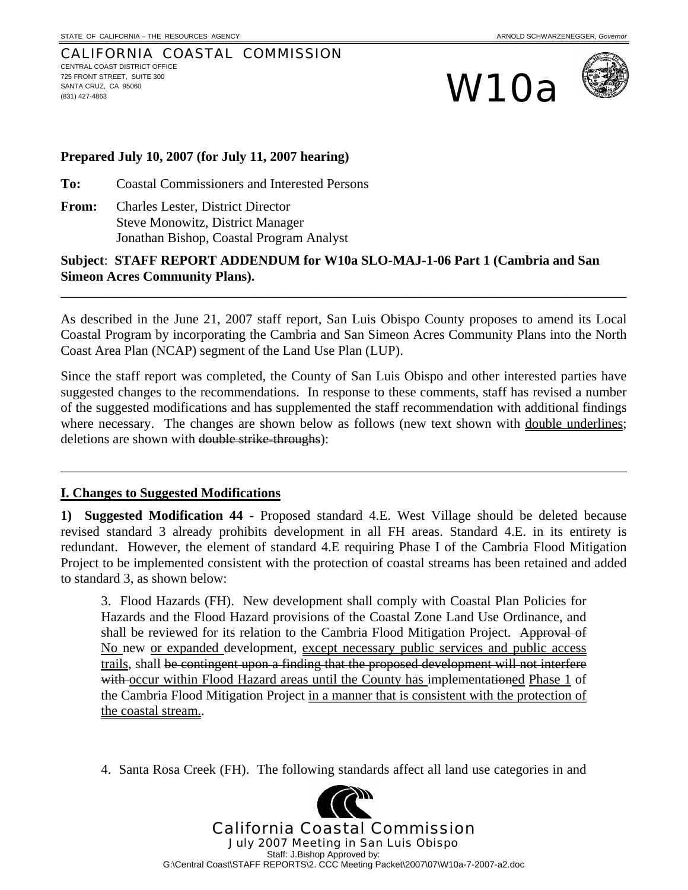#### CALIFORNIA COASTAL COMMISSION CENTRAL COAST DISTRICT OFFICE 725 FRONT STREET, SUITE 300 SANTA CRUZ, CA 95060 T25 FRONT STREET, SUITE 300<br>SANTA CRUZ, CA 95060<br>(831) 427-4863





#### **Prepared July 10, 2007 (for July 11, 2007 hearing)**

**To:** Coastal Commissioners and Interested Persons

**From:** Charles Lester, District Director Steve Monowitz, District Manager Jonathan Bishop, Coastal Program Analyst

#### **Subject**: **STAFF REPORT ADDENDUM for W10a SLO-MAJ-1-06 Part 1 (Cambria and San Simeon Acres Community Plans).**

As described in the June 21, 2007 staff report, San Luis Obispo County proposes to amend its Local Coastal Program by incorporating the Cambria and San Simeon Acres Community Plans into the North Coast Area Plan (NCAP) segment of the Land Use Plan (LUP).

\_\_\_\_\_\_\_\_\_\_\_\_\_\_\_\_\_\_\_\_\_\_\_\_\_\_\_\_\_\_\_\_\_\_\_\_\_\_\_\_\_\_\_\_\_\_\_\_\_\_\_\_\_\_\_\_\_\_\_\_\_\_\_\_\_\_\_\_\_\_\_\_\_\_\_\_\_\_\_\_\_\_\_\_

Since the staff report was completed, the County of San Luis Obispo and other interested parties have suggested changes to the recommendations. In response to these comments, staff has revised a number of the suggested modifications and has supplemented the staff recommendation with additional findings where necessary. The changes are shown below as follows (new text shown with <u>double underlines</u>; deletions are shown with double strike-throughs):

\_\_\_\_\_\_\_\_\_\_\_\_\_\_\_\_\_\_\_\_\_\_\_\_\_\_\_\_\_\_\_\_\_\_\_\_\_\_\_\_\_\_\_\_\_\_\_\_\_\_\_\_\_\_\_\_\_\_\_\_\_\_\_\_\_\_\_\_\_\_\_\_\_\_\_\_\_\_\_\_\_\_\_\_

#### **I. Changes to Suggested Modifications**

**1) Suggested Modification 44 -** Proposed standard 4.E. West Village should be deleted because revised standard 3 already prohibits development in all FH areas. Standard 4.E. in its entirety is redundant. However, the element of standard 4.E requiring Phase I of the Cambria Flood Mitigation Project to be implemented consistent with the protection of coastal streams has been retained and added to standard 3, as shown below:

3. Flood Hazards (FH). New development shall comply with Coastal Plan Policies for Hazards and the Flood Hazard provisions of the Coastal Zone Land Use Ordinance, and shall be reviewed for its relation to the Cambria Flood Mitigation Project. Approval of No new or expanded development, except necessary public services and public access trails, shall be contingent upon a finding that the proposed development will not interfere with occur within Flood Hazard areas until the County has implementationed Phase 1 of the Cambria Flood Mitigation Project in a manner that is consistent with the protection of the coastal stream..

4. Santa Rosa Creek (FH). The following standards affect all land use categories in and

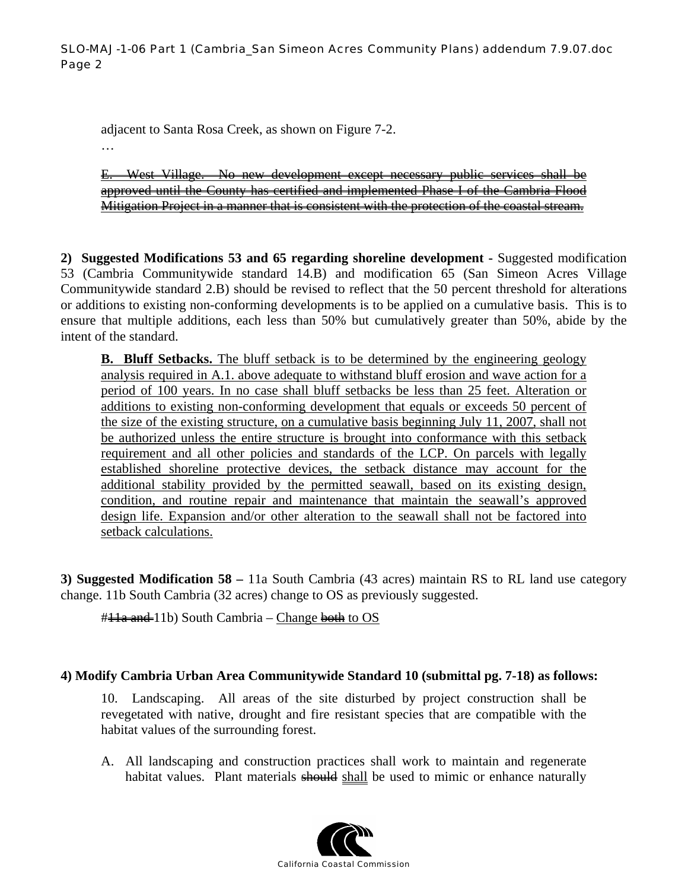adjacent to Santa Rosa Creek, as shown on Figure 7-2. …

E. West Village. No new development except necessary public services shall be approved until the County has certified and implemented Phase I of the Cambria Flood Mitigation Project in a manner that is consistent with the protection of the coastal stream.

**2) Suggested Modifications 53 and 65 regarding shoreline development -** Suggested modification 53 (Cambria Communitywide standard 14.B) and modification 65 (San Simeon Acres Village Communitywide standard 2.B) should be revised to reflect that the 50 percent threshold for alterations or additions to existing non-conforming developments is to be applied on a cumulative basis. This is to ensure that multiple additions, each less than 50% but cumulatively greater than 50%, abide by the intent of the standard.

**B.** Bluff Setbacks. The bluff setback is to be determined by the engineering geology analysis required in A.1. above adequate to withstand bluff erosion and wave action for a period of 100 years. In no case shall bluff setbacks be less than 25 feet. Alteration or additions to existing non-conforming development that equals or exceeds 50 percent of the size of the existing structure, on a cumulative basis beginning July 11, 2007, shall not be authorized unless the entire structure is brought into conformance with this setback requirement and all other policies and standards of the LCP. On parcels with legally established shoreline protective devices, the setback distance may account for the additional stability provided by the permitted seawall, based on its existing design, condition, and routine repair and maintenance that maintain the seawall's approved design life. Expansion and/or other alteration to the seawall shall not be factored into setback calculations.

**3) Suggested Modification 58 –** 11a South Cambria (43 acres) maintain RS to RL land use category change. 11b South Cambria (32 acres) change to OS as previously suggested.

#<del>11a and</del> 11b) South Cambria – Change both to OS

#### **4) Modify Cambria Urban Area Communitywide Standard 10 (submittal pg. 7-18) as follows:**

10. Landscaping. All areas of the site disturbed by project construction shall be revegetated with native, drought and fire resistant species that are compatible with the habitat values of the surrounding forest.

A. All landscaping and construction practices shall work to maintain and regenerate habitat values. Plant materials should shall be used to mimic or enhance naturally

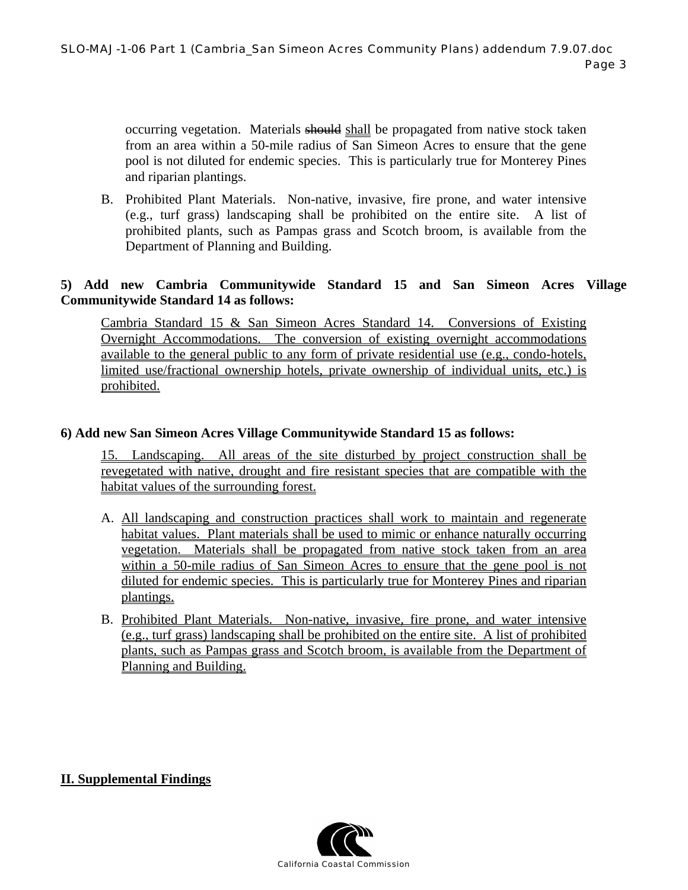occurring vegetation. Materials should shall be propagated from native stock taken from an area within a 50-mile radius of San Simeon Acres to ensure that the gene pool is not diluted for endemic species. This is particularly true for Monterey Pines and riparian plantings.

B. Prohibited Plant Materials. Non-native, invasive, fire prone, and water intensive (e.g., turf grass) landscaping shall be prohibited on the entire site. A list of prohibited plants, such as Pampas grass and Scotch broom, is available from the Department of Planning and Building.

#### **5) Add new Cambria Communitywide Standard 15 and San Simeon Acres Village Communitywide Standard 14 as follows:**

Cambria Standard 15 & San Simeon Acres Standard 14. Conversions of Existing Overnight Accommodations. The conversion of existing overnight accommodations available to the general public to any form of private residential use (e.g., condo-hotels, limited use/fractional ownership hotels, private ownership of individual units, etc.) is prohibited.

#### **6) Add new San Simeon Acres Village Communitywide Standard 15 as follows:**

15. Landscaping. All areas of the site disturbed by project construction shall be revegetated with native, drought and fire resistant species that are compatible with the habitat values of the surrounding forest.

- A. All landscaping and construction practices shall work to maintain and regenerate habitat values. Plant materials shall be used to mimic or enhance naturally occurring vegetation. Materials shall be propagated from native stock taken from an area within a 50-mile radius of San Simeon Acres to ensure that the gene pool is not diluted for endemic species. This is particularly true for Monterey Pines and riparian plantings.
- B. Prohibited Plant Materials. Non-native, invasive, fire prone, and water intensive (e.g., turf grass) landscaping shall be prohibited on the entire site. A list of prohibited plants, such as Pampas grass and Scotch broom, is available from the Department of Planning and Building.

#### **II. Supplemental Findings**

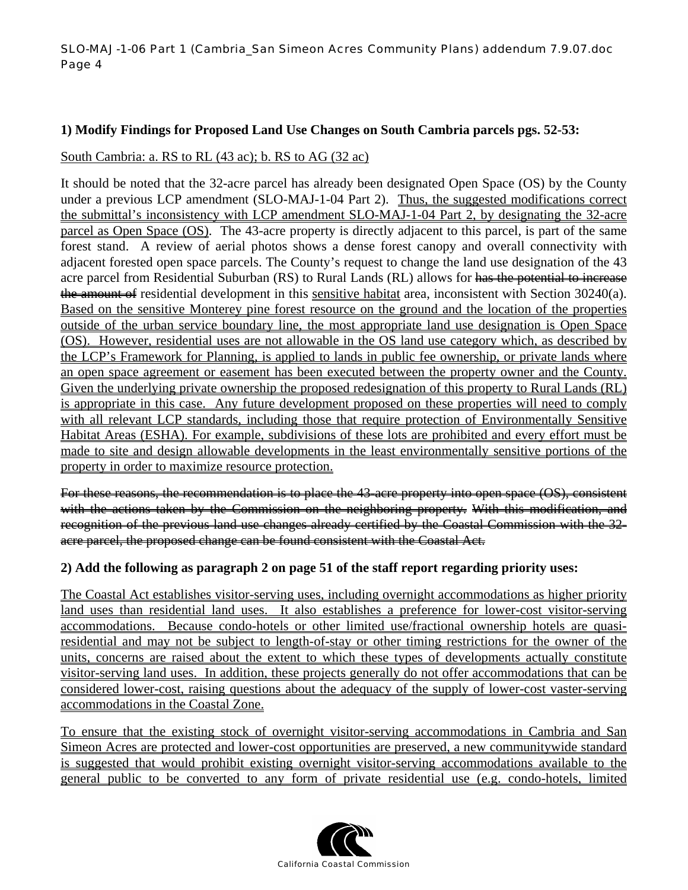#### SLO-MAJ-1-06 Part 1 (Cambria\_San Simeon Acres Community Plans) addendum 7.9.07.doc Page 4

#### **1) Modify Findings for Proposed Land Use Changes on South Cambria parcels pgs. 52-53:**

#### South Cambria: a. RS to RL (43 ac); b. RS to AG (32 ac)

It should be noted that the 32-acre parcel has already been designated Open Space (OS) by the County under a previous LCP amendment (SLO-MAJ-1-04 Part 2). Thus, the suggested modifications correct the submittal's inconsistency with LCP amendment SLO-MAJ-1-04 Part 2, by designating the 32-acre parcel as Open Space (OS). The 43-acre property is directly adjacent to this parcel, is part of the same forest stand. A review of aerial photos shows a dense forest canopy and overall connectivity with adjacent forested open space parcels. The County's request to change the land use designation of the 43 acre parcel from Residential Suburban (RS) to Rural Lands (RL) allows for has the potential to increase the amount of residential development in this sensitive habitat area, inconsistent with Section 30240(a). Based on the sensitive Monterey pine forest resource on the ground and the location of the properties outside of the urban service boundary line, the most appropriate land use designation is Open Space (OS). However, residential uses are not allowable in the OS land use category which, as described by the LCP's Framework for Planning, is applied to lands in public fee ownership, or private lands where an open space agreement or easement has been executed between the property owner and the County. Given the underlying private ownership the proposed redesignation of this property to Rural Lands (RL) is appropriate in this case. Any future development proposed on these properties will need to comply with all relevant LCP standards, including those that require protection of Environmentally Sensitive Habitat Areas (ESHA). For example, subdivisions of these lots are prohibited and every effort must be made to site and design allowable developments in the least environmentally sensitive portions of the property in order to maximize resource protection.

For these reasons, the recommendation is to place the 43-acre property into open space (OS), consistent with the actions taken by the Commission on the neighboring property. With this modification, and recognition of the previous land use changes already certified by the Coastal Commission with the 32acre parcel, the proposed change can be found consistent with the Coastal Act.

#### **2) Add the following as paragraph 2 on page 51 of the staff report regarding priority uses:**

The Coastal Act establishes visitor-serving uses, including overnight accommodations as higher priority land uses than residential land uses. It also establishes a preference for lower-cost visitor-serving accommodations. Because condo-hotels or other limited use/fractional ownership hotels are quasiresidential and may not be subject to length-of-stay or other timing restrictions for the owner of the units, concerns are raised about the extent to which these types of developments actually constitute visitor-serving land uses. In addition, these projects generally do not offer accommodations that can be considered lower-cost, raising questions about the adequacy of the supply of lower-cost vaster-serving accommodations in the Coastal Zone.

To ensure that the existing stock of overnight visitor-serving accommodations in Cambria and San Simeon Acres are protected and lower-cost opportunities are preserved, a new communitywide standard is suggested that would prohibit existing overnight visitor-serving accommodations available to the general public to be converted to any form of private residential use (e.g. condo-hotels, limited

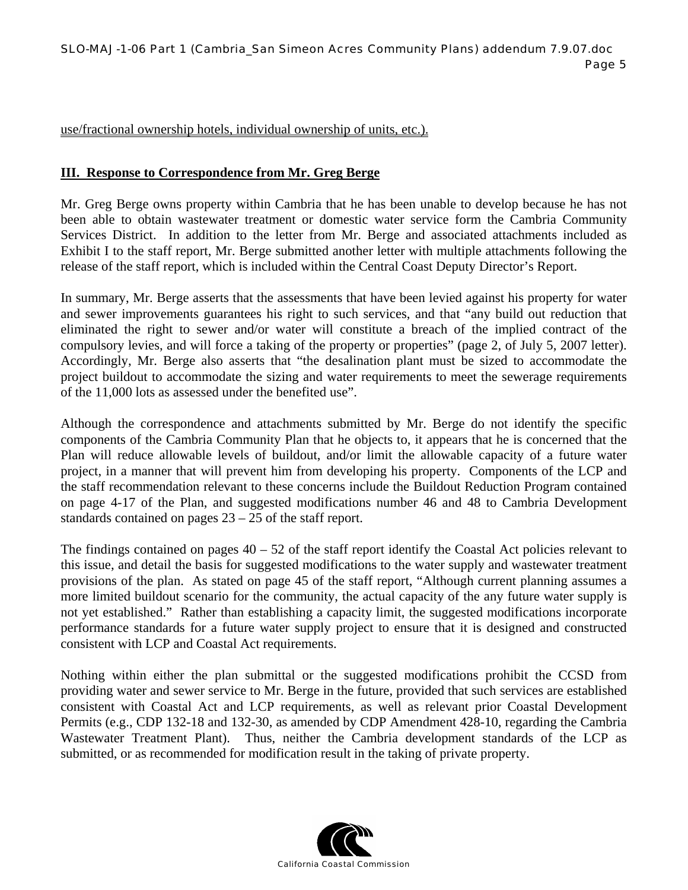use/fractional ownership hotels, individual ownership of units, etc.).

#### **III. Response to Correspondence from Mr. Greg Berge**

Mr. Greg Berge owns property within Cambria that he has been unable to develop because he has not been able to obtain wastewater treatment or domestic water service form the Cambria Community Services District. In addition to the letter from Mr. Berge and associated attachments included as Exhibit I to the staff report, Mr. Berge submitted another letter with multiple attachments following the release of the staff report, which is included within the Central Coast Deputy Director's Report.

In summary, Mr. Berge asserts that the assessments that have been levied against his property for water and sewer improvements guarantees his right to such services, and that "any build out reduction that eliminated the right to sewer and/or water will constitute a breach of the implied contract of the compulsory levies, and will force a taking of the property or properties" (page 2, of July 5, 2007 letter). Accordingly, Mr. Berge also asserts that "the desalination plant must be sized to accommodate the project buildout to accommodate the sizing and water requirements to meet the sewerage requirements of the 11,000 lots as assessed under the benefited use".

Although the correspondence and attachments submitted by Mr. Berge do not identify the specific components of the Cambria Community Plan that he objects to, it appears that he is concerned that the Plan will reduce allowable levels of buildout, and/or limit the allowable capacity of a future water project, in a manner that will prevent him from developing his property. Components of the LCP and the staff recommendation relevant to these concerns include the Buildout Reduction Program contained on page 4-17 of the Plan, and suggested modifications number 46 and 48 to Cambria Development standards contained on pages 23 – 25 of the staff report.

The findings contained on pages  $40 - 52$  of the staff report identify the Coastal Act policies relevant to this issue, and detail the basis for suggested modifications to the water supply and wastewater treatment provisions of the plan. As stated on page 45 of the staff report, "Although current planning assumes a more limited buildout scenario for the community, the actual capacity of the any future water supply is not yet established." Rather than establishing a capacity limit, the suggested modifications incorporate performance standards for a future water supply project to ensure that it is designed and constructed consistent with LCP and Coastal Act requirements.

Nothing within either the plan submittal or the suggested modifications prohibit the CCSD from providing water and sewer service to Mr. Berge in the future, provided that such services are established consistent with Coastal Act and LCP requirements, as well as relevant prior Coastal Development Permits (e.g., CDP 132-18 and 132-30, as amended by CDP Amendment 428-10, regarding the Cambria Wastewater Treatment Plant). Thus, neither the Cambria development standards of the LCP as submitted, or as recommended for modification result in the taking of private property.

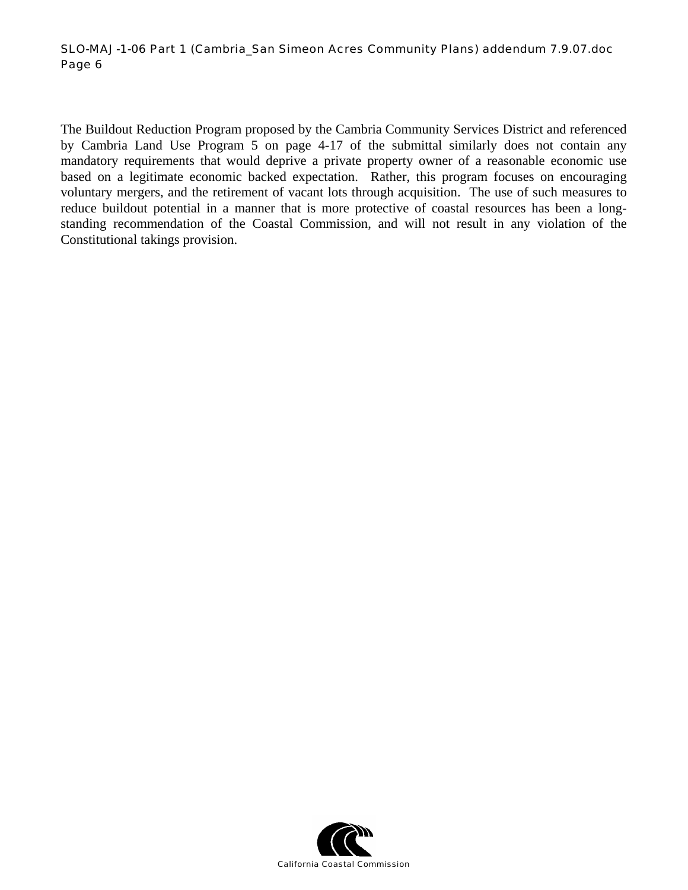#### SLO-MAJ-1-06 Part 1 (Cambria\_San Simeon Acres Community Plans) addendum 7.9.07.doc Page 6

The Buildout Reduction Program proposed by the Cambria Community Services District and referenced by Cambria Land Use Program 5 on page 4-17 of the submittal similarly does not contain any mandatory requirements that would deprive a private property owner of a reasonable economic use based on a legitimate economic backed expectation. Rather, this program focuses on encouraging voluntary mergers, and the retirement of vacant lots through acquisition. The use of such measures to reduce buildout potential in a manner that is more protective of coastal resources has been a longstanding recommendation of the Coastal Commission, and will not result in any violation of the Constitutional takings provision.

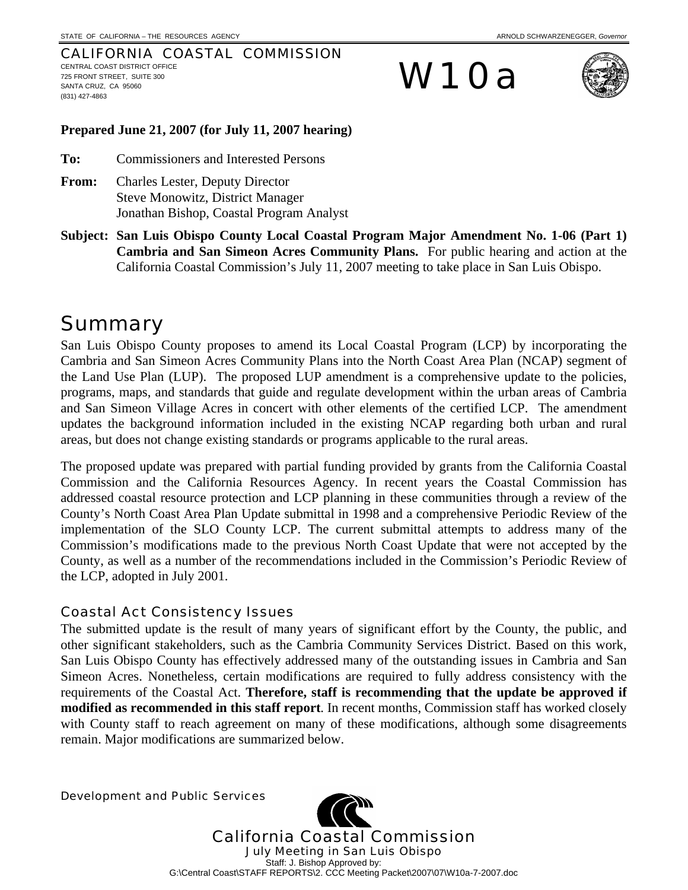#### CALIFORNIA COASTAL COMMISSION CENTRAL COAST DISTRICT OFFICE 725 FRONT STREET, SUITE 300 SANTA CRUZ, CA 95060 (831) 427-4863

# W10a



#### **Prepared June 21, 2007 (for July 11, 2007 hearing)**

**To:** Commissioners and Interested Persons

- **From:** Charles Lester, Deputy Director Steve Monowitz, District Manager Jonathan Bishop, Coastal Program Analyst
- **Subject: San Luis Obispo County Local Coastal Program Major Amendment No. 1-06 (Part 1) Cambria and San Simeon Acres Community Plans.** For public hearing and action at the California Coastal Commission's July 11, 2007 meeting to take place in San Luis Obispo.

# Summary

San Luis Obispo County proposes to amend its Local Coastal Program (LCP) by incorporating the Cambria and San Simeon Acres Community Plans into the North Coast Area Plan (NCAP) segment of the Land Use Plan (LUP). The proposed LUP amendment is a comprehensive update to the policies, programs, maps, and standards that guide and regulate development within the urban areas of Cambria and San Simeon Village Acres in concert with other elements of the certified LCP. The amendment updates the background information included in the existing NCAP regarding both urban and rural areas, but does not change existing standards or programs applicable to the rural areas.

The proposed update was prepared with partial funding provided by grants from the California Coastal Commission and the California Resources Agency. In recent years the Coastal Commission has addressed coastal resource protection and LCP planning in these communities through a review of the County's North Coast Area Plan Update submittal in 1998 and a comprehensive Periodic Review of the implementation of the SLO County LCP. The current submittal attempts to address many of the Commission's modifications made to the previous North Coast Update that were not accepted by the County, as well as a number of the recommendations included in the Commission's Periodic Review of the LCP, adopted in July 2001.

#### Coastal Act Consistency Issues

The submitted update is the result of many years of significant effort by the County, the public, and other significant stakeholders, such as the Cambria Community Services District. Based on this work, San Luis Obispo County has effectively addressed many of the outstanding issues in Cambria and San Simeon Acres. Nonetheless, certain modifications are required to fully address consistency with the requirements of the Coastal Act. **Therefore, staff is recommending that the update be approved if modified as recommended in this staff report**. In recent months, Commission staff has worked closely with County staff to reach agreement on many of these modifications, although some disagreements remain. Major modifications are summarized below.

Development and Public Services

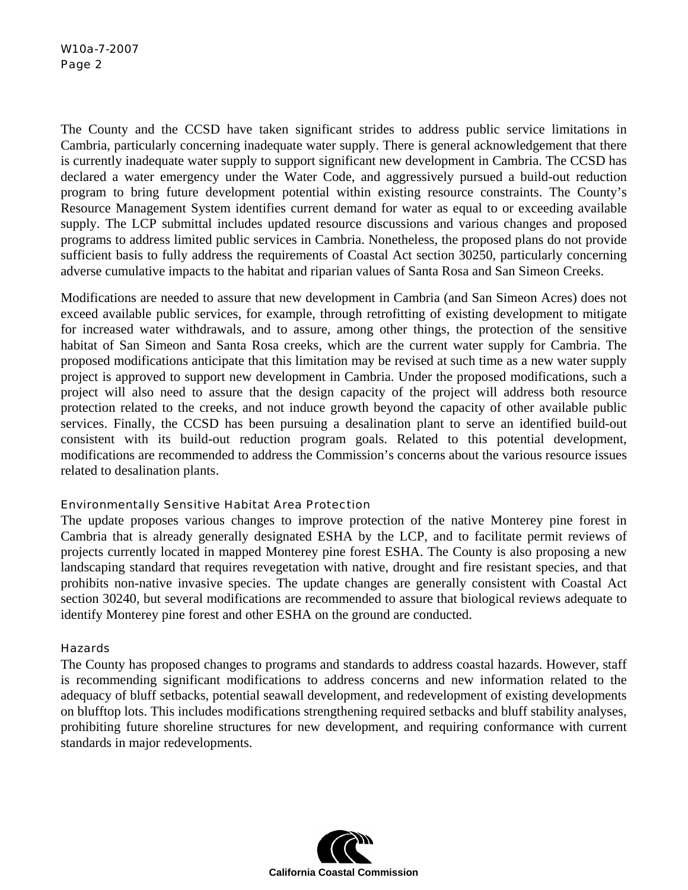The County and the CCSD have taken significant strides to address public service limitations in Cambria, particularly concerning inadequate water supply. There is general acknowledgement that there is currently inadequate water supply to support significant new development in Cambria. The CCSD has declared a water emergency under the Water Code, and aggressively pursued a build-out reduction program to bring future development potential within existing resource constraints. The County's Resource Management System identifies current demand for water as equal to or exceeding available supply. The LCP submittal includes updated resource discussions and various changes and proposed programs to address limited public services in Cambria. Nonetheless, the proposed plans do not provide sufficient basis to fully address the requirements of Coastal Act section 30250, particularly concerning adverse cumulative impacts to the habitat and riparian values of Santa Rosa and San Simeon Creeks.

Modifications are needed to assure that new development in Cambria (and San Simeon Acres) does not exceed available public services, for example, through retrofitting of existing development to mitigate for increased water withdrawals, and to assure, among other things, the protection of the sensitive habitat of San Simeon and Santa Rosa creeks, which are the current water supply for Cambria. The proposed modifications anticipate that this limitation may be revised at such time as a new water supply project is approved to support new development in Cambria. Under the proposed modifications, such a project will also need to assure that the design capacity of the project will address both resource protection related to the creeks, and not induce growth beyond the capacity of other available public services. Finally, the CCSD has been pursuing a desalination plant to serve an identified build-out consistent with its build-out reduction program goals. Related to this potential development, modifications are recommended to address the Commission's concerns about the various resource issues related to desalination plants.

#### Environmentally Sensitive Habitat Area Protection

The update proposes various changes to improve protection of the native Monterey pine forest in Cambria that is already generally designated ESHA by the LCP, and to facilitate permit reviews of projects currently located in mapped Monterey pine forest ESHA. The County is also proposing a new landscaping standard that requires revegetation with native, drought and fire resistant species, and that prohibits non-native invasive species. The update changes are generally consistent with Coastal Act section 30240, but several modifications are recommended to assure that biological reviews adequate to identify Monterey pine forest and other ESHA on the ground are conducted.

#### Hazards

The County has proposed changes to programs and standards to address coastal hazards. However, staff is recommending significant modifications to address concerns and new information related to the adequacy of bluff setbacks, potential seawall development, and redevelopment of existing developments on blufftop lots. This includes modifications strengthening required setbacks and bluff stability analyses, prohibiting future shoreline structures for new development, and requiring conformance with current standards in major redevelopments.

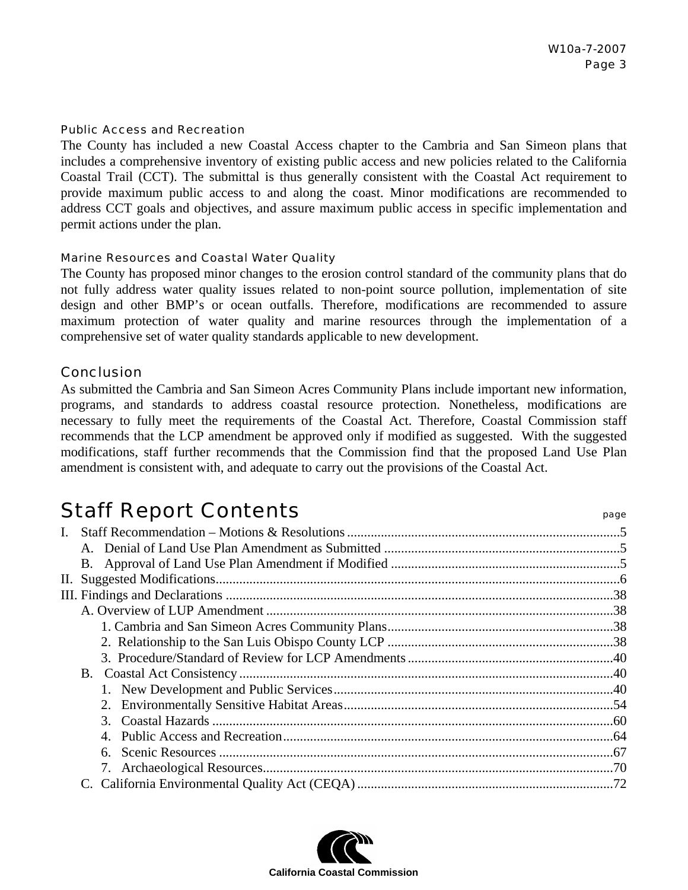#### Public Access and Recreation

The County has included a new Coastal Access chapter to the Cambria and San Simeon plans that includes a comprehensive inventory of existing public access and new policies related to the California Coastal Trail (CCT). The submittal is thus generally consistent with the Coastal Act requirement to provide maximum public access to and along the coast. Minor modifications are recommended to address CCT goals and objectives, and assure maximum public access in specific implementation and permit actions under the plan.

#### Marine Resources and Coastal Water Quality

The County has proposed minor changes to the erosion control standard of the community plans that do not fully address water quality issues related to non-point source pollution, implementation of site design and other BMP's or ocean outfalls. Therefore, modifications are recommended to assure maximum protection of water quality and marine resources through the implementation of a comprehensive set of water quality standards applicable to new development.

#### Conclusion

As submitted the Cambria and San Simeon Acres Community Plans include important new information, programs, and standards to address coastal resource protection. Nonetheless, modifications are necessary to fully meet the requirements of the Coastal Act. Therefore, Coastal Commission staff recommends that the LCP amendment be approved only if modified as suggested. With the suggested modifications, staff further recommends that the Commission find that the proposed Land Use Plan amendment is consistent with, and adequate to carry out the provisions of the Coastal Act.

# Staff Report Contents **Staff Report Contents**

| L. |                        |  |
|----|------------------------|--|
|    |                        |  |
|    |                        |  |
|    |                        |  |
|    |                        |  |
|    |                        |  |
|    |                        |  |
|    |                        |  |
|    |                        |  |
|    |                        |  |
|    |                        |  |
|    |                        |  |
|    | $\mathcal{R}_{\alpha}$ |  |
|    |                        |  |
|    | 6.                     |  |
|    |                        |  |
|    |                        |  |

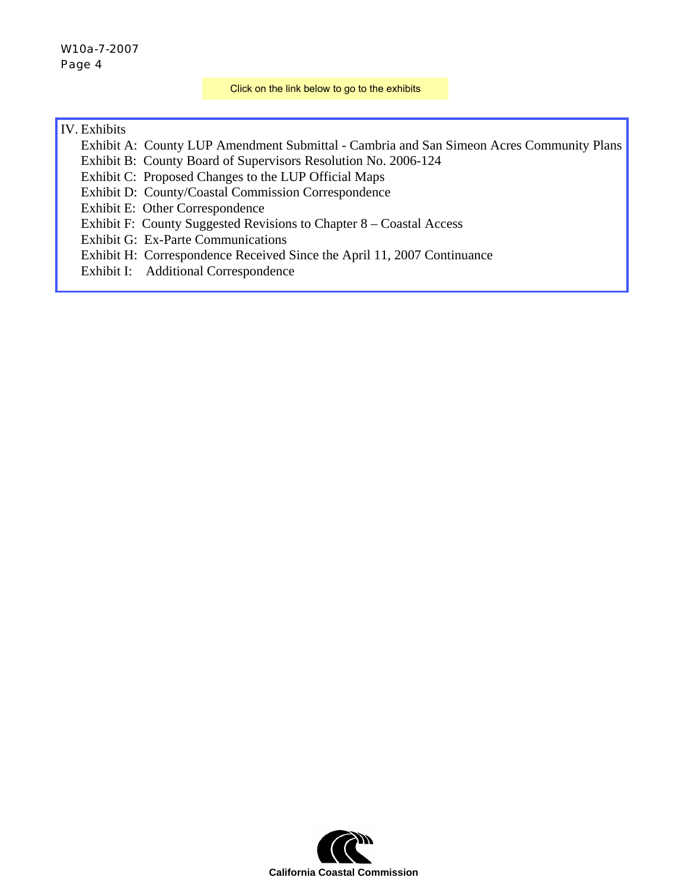#### W10a-7-2007 Page 4

Click on the link below to go to the exhibits

#### IV. Exhibits

- [Exhibit A: County LUP Amendment Submittal Cambria and San Simeon Acres Community Plans](http://documents.coastal.ca.gov/reports/2007/7/W10a-7-2007-a1.pdf)
- Exhibit B: County Board of Supervisors Resolution No. 2006-124
- Exhibit C: Proposed Changes to the LUP Official Maps
- Exhibit D: County/Coastal Commission Correspondence
- Exhibit E: Other Correspondence
- Exhibit F: County Suggested Revisions to Chapter 8 Coastal Access
- Exhibit G: Ex-Parte Communications
- Exhibit H: Correspondence Received Since the April 11, 2007 Continuance
- Exhibit I: Additional Correspondence

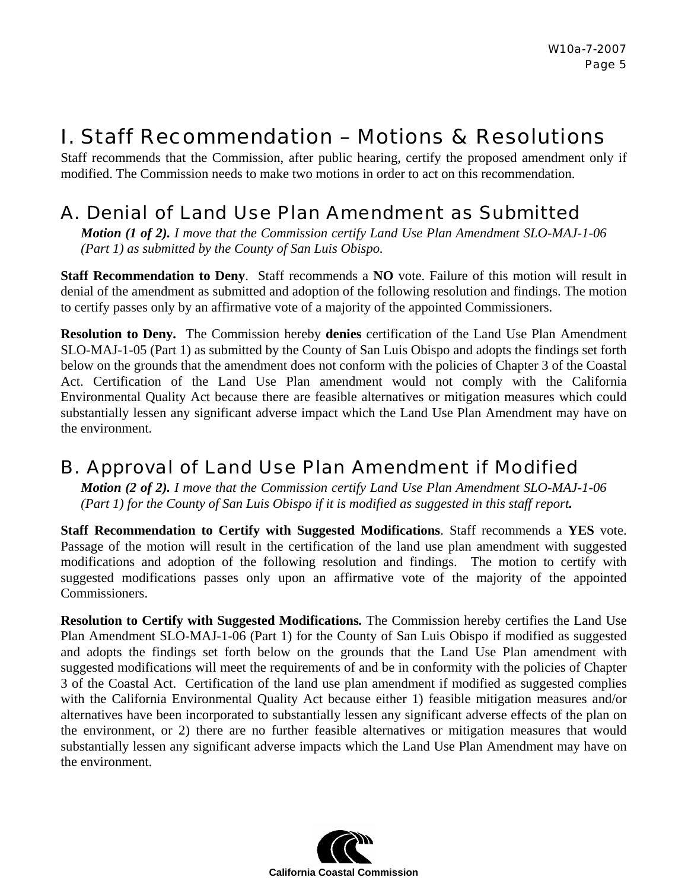# I. Staff Recommendation – Motions & Resolutions

Staff recommends that the Commission, after public hearing, certify the proposed amendment only if modified. The Commission needs to make two motions in order to act on this recommendation.

# A.Denial of Land Use Plan Amendment as Submitted

*Motion (1 of 2). I move that the Commission certify Land Use Plan Amendment SLO-MAJ-1-06 (Part 1) as submitted by the County of San Luis Obispo.* 

**Staff Recommendation to Deny**. Staff recommends a **NO** vote. Failure of this motion will result in denial of the amendment as submitted and adoption of the following resolution and findings. The motion to certify passes only by an affirmative vote of a majority of the appointed Commissioners.

**Resolution to Deny.** The Commission hereby **denies** certification of the Land Use Plan Amendment SLO-MAJ-1-05 (Part 1) as submitted by the County of San Luis Obispo and adopts the findings set forth below on the grounds that the amendment does not conform with the policies of Chapter 3 of the Coastal Act. Certification of the Land Use Plan amendment would not comply with the California Environmental Quality Act because there are feasible alternatives or mitigation measures which could substantially lessen any significant adverse impact which the Land Use Plan Amendment may have on the environment.

# B.Approval of Land Use Plan Amendment if Modified

*Motion (2 of 2). I move that the Commission certify Land Use Plan Amendment SLO-MAJ-1-06 (Part 1) for the County of San Luis Obispo if it is modified as suggested in this staff report.*

**Staff Recommendation to Certify with Suggested Modifications**. Staff recommends a **YES** vote. Passage of the motion will result in the certification of the land use plan amendment with suggested modifications and adoption of the following resolution and findings. The motion to certify with suggested modifications passes only upon an affirmative vote of the majority of the appointed Commissioners.

**Resolution to Certify with Suggested Modifications***.* The Commission hereby certifies the Land Use Plan Amendment SLO-MAJ-1-06 (Part 1) for the County of San Luis Obispo if modified as suggested and adopts the findings set forth below on the grounds that the Land Use Plan amendment with suggested modifications will meet the requirements of and be in conformity with the policies of Chapter 3 of the Coastal Act. Certification of the land use plan amendment if modified as suggested complies with the California Environmental Quality Act because either 1) feasible mitigation measures and/or alternatives have been incorporated to substantially lessen any significant adverse effects of the plan on the environment, or 2) there are no further feasible alternatives or mitigation measures that would substantially lessen any significant adverse impacts which the Land Use Plan Amendment may have on the environment.

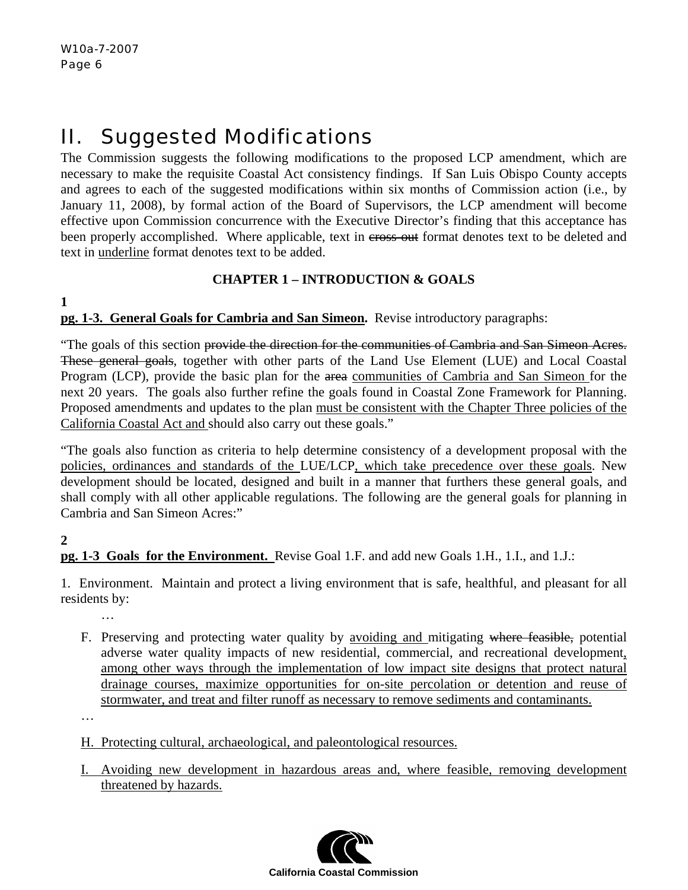# II. Suggested Modifications

The Commission suggests the following modifications to the proposed LCP amendment, which are necessary to make the requisite Coastal Act consistency findings. If San Luis Obispo County accepts and agrees to each of the suggested modifications within six months of Commission action (i.e., by January 11, 2008), by formal action of the Board of Supervisors, the LCP amendment will become effective upon Commission concurrence with the Executive Director's finding that this acceptance has been properly accomplished. Where applicable, text in cross-out format denotes text to be deleted and text in underline format denotes text to be added.

# **CHAPTER 1 – INTRODUCTION & GOALS**

**1** 

**pg. 1-3. General Goals for Cambria and San Simeon.** Revise introductory paragraphs:

"The goals of this section provide the direction for the communities of Cambria and San Simeon Acres. These general goals, together with other parts of the Land Use Element (LUE) and Local Coastal Program (LCP), provide the basic plan for the area communities of Cambria and San Simeon for the next 20 years. The goals also further refine the goals found in Coastal Zone Framework for Planning. Proposed amendments and updates to the plan must be consistent with the Chapter Three policies of the California Coastal Act and should also carry out these goals."

"The goals also function as criteria to help determine consistency of a development proposal with the policies, ordinances and standards of the LUE/LCP, which take precedence over these goals. New development should be located, designed and built in a manner that furthers these general goals, and shall comply with all other applicable regulations. The following are the general goals for planning in Cambria and San Simeon Acres:"

# **2**

**pg. 1-3 Goals for the Environment.** Revise Goal 1.F. and add new Goals 1.H., 1.I., and 1.J.:

1. Environment. Maintain and protect a living environment that is safe, healthful, and pleasant for all residents by:

…

F. Preserving and protecting water quality by avoiding and mitigating where feasible, potential adverse water quality impacts of new residential, commercial, and recreational development, among other ways through the implementation of low impact site designs that protect natural drainage courses, maximize opportunities for on-site percolation or detention and reuse of stormwater, and treat and filter runoff as necessary to remove sediments and contaminants.

…

- H. Protecting cultural, archaeological, and paleontological resources.
- I. Avoiding new development in hazardous areas and, where feasible, removing development threatened by hazards.

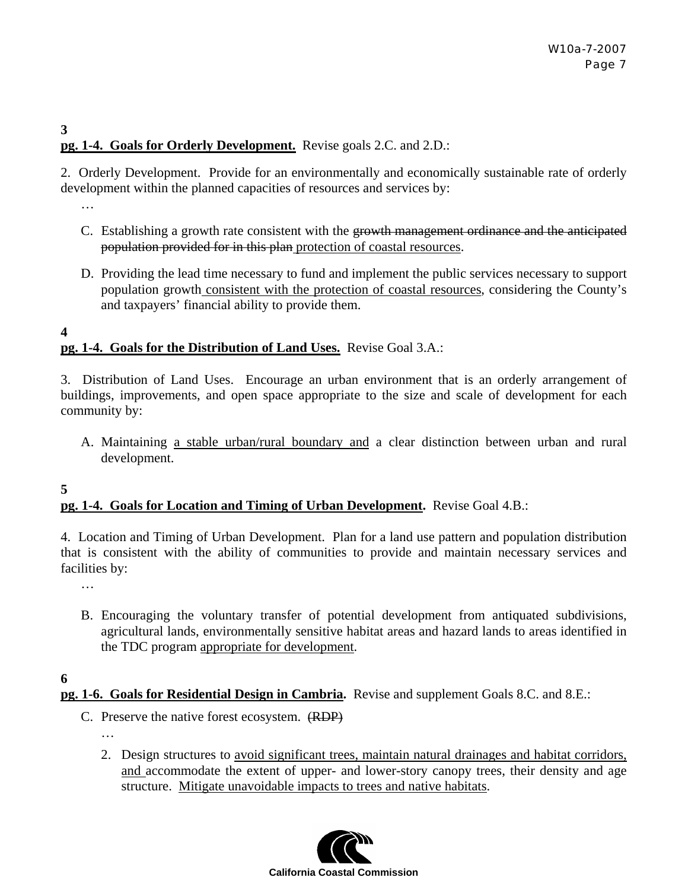# **pg. 1-4. Goals for Orderly Development.** Revise goals 2.C. and 2.D.:

2. Orderly Development. Provide for an environmentally and economically sustainable rate of orderly development within the planned capacities of resources and services by:

…

**3** 

- C. Establishing a growth rate consistent with the growth management ordinance and the anticipated population provided for in this plan protection of coastal resources.
- D. Providing the lead time necessary to fund and implement the public services necessary to support population growth consistent with the protection of coastal resources, considering the County's and taxpayers' financial ability to provide them.

**4 pg. 1-4. Goals for the Distribution of Land Uses.** Revise Goal 3.A.:

3. Distribution of Land Uses. Encourage an urban environment that is an orderly arrangement of buildings, improvements, and open space appropriate to the size and scale of development for each community by:

A. Maintaining a stable urban/rural boundary and a clear distinction between urban and rural development.

# **pg. 1-4. Goals for Location and Timing of Urban Development.** Revise Goal 4.B.:

4. Location and Timing of Urban Development. Plan for a land use pattern and population distribution that is consistent with the ability of communities to provide and maintain necessary services and facilities by:

…

B. Encouraging the voluntary transfer of potential development from antiquated subdivisions, agricultural lands, environmentally sensitive habitat areas and hazard lands to areas identified in the TDC program appropriate for development.

**6** 

**5** 

- **pg. 1-6. Goals for Residential Design in Cambria.** Revise and supplement Goals 8.C. and 8.E.:
	- C. Preserve the native forest ecosystem. (RDP) …
		- 2. Design structures to avoid significant trees, maintain natural drainages and habitat corridors, and accommodate the extent of upper- and lower-story canopy trees, their density and age structure. Mitigate unavoidable impacts to trees and native habitats.

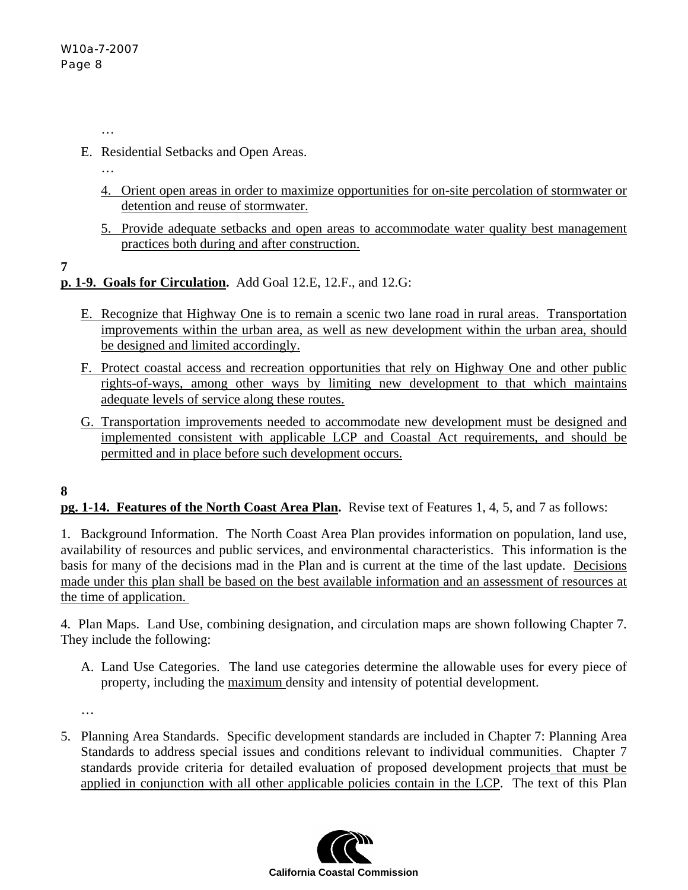…

- E. Residential Setbacks and Open Areas.
	- …
	- 4. Orient open areas in order to maximize opportunities for on-site percolation of stormwater or detention and reuse of stormwater.
	- 5. Provide adequate setbacks and open areas to accommodate water quality best management practices both during and after construction.

**7** 

# **p. 1-9. Goals for Circulation.** Add Goal 12.E, 12.F., and 12.G:

- E. Recognize that Highway One is to remain a scenic two lane road in rural areas. Transportation improvements within the urban area, as well as new development within the urban area, should be designed and limited accordingly.
- F. Protect coastal access and recreation opportunities that rely on Highway One and other public rights-of-ways, among other ways by limiting new development to that which maintains adequate levels of service along these routes.
- G. Transportation improvements needed to accommodate new development must be designed and implemented consistent with applicable LCP and Coastal Act requirements, and should be permitted and in place before such development occurs.

#### **8**

# **pg. 1-14. Features of the North Coast Area Plan.** Revise text of Features 1, 4, 5, and 7 as follows:

1. Background Information. The North Coast Area Plan provides information on population, land use, availability of resources and public services, and environmental characteristics. This information is the basis for many of the decisions mad in the Plan and is current at the time of the last update. Decisions made under this plan shall be based on the best available information and an assessment of resources at the time of application.

4. Plan Maps. Land Use, combining designation, and circulation maps are shown following Chapter 7. They include the following:

A. Land Use Categories. The land use categories determine the allowable uses for every piece of property, including the maximum density and intensity of potential development.

…

5. Planning Area Standards. Specific development standards are included in Chapter 7: Planning Area Standards to address special issues and conditions relevant to individual communities. Chapter 7 standards provide criteria for detailed evaluation of proposed development projects that must be applied in conjunction with all other applicable policies contain in the LCP. The text of this Plan

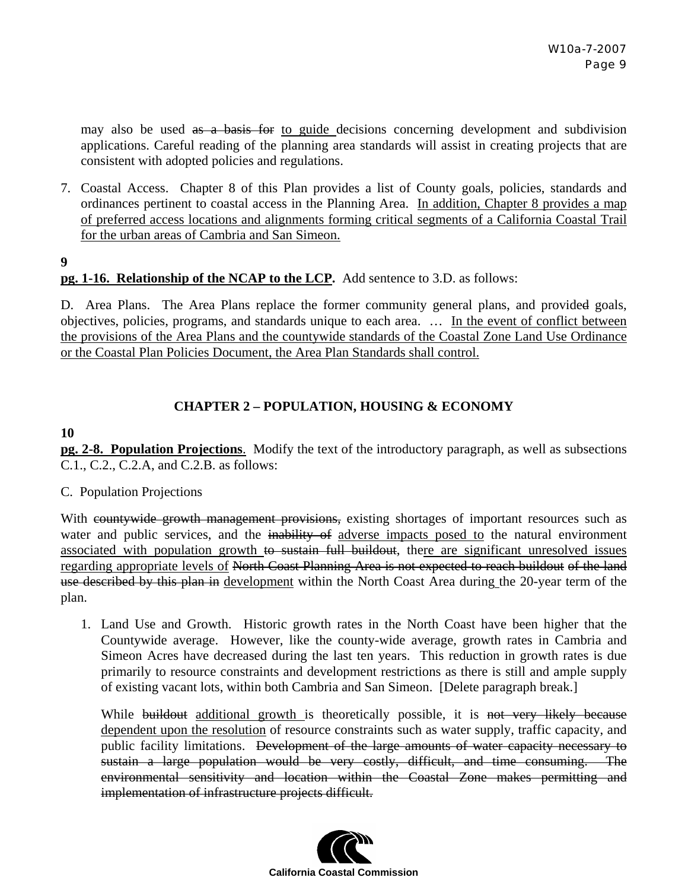may also be used as a basis for to guide decisions concerning development and subdivision applications. Careful reading of the planning area standards will assist in creating projects that are consistent with adopted policies and regulations.

- 7. Coastal Access. Chapter 8 of this Plan provides a list of County goals, policies, standards and ordinances pertinent to coastal access in the Planning Area. In addition, Chapter 8 provides a map of preferred access locations and alignments forming critical segments of a California Coastal Trail for the urban areas of Cambria and San Simeon.
- **9**

#### **pg. 1-16. Relationship of the NCAP to the LCP.** Add sentence to 3.D. as follows:

D. Area Plans. The Area Plans replace the former community general plans, and provided goals, objectives, policies, programs, and standards unique to each area. … In the event of conflict between the provisions of the Area Plans and the countywide standards of the Coastal Zone Land Use Ordinance or the Coastal Plan Policies Document, the Area Plan Standards shall control.

#### **CHAPTER 2 – POPULATION, HOUSING & ECONOMY**

#### **10**

**pg. 2-8. Population Projections**. Modify the text of the introductory paragraph, as well as subsections C.1., C.2., C.2.A, and C.2.B. as follows:

#### C. Population Projections

With countywide growth management provisions, existing shortages of important resources such as water and public services, and the inability of adverse impacts posed to the natural environment associated with population growth to sustain full buildout, there are significant unresolved issues regarding appropriate levels of North Coast Planning Area is not expected to reach buildout of the land use described by this plan in development within the North Coast Area during the 20-year term of the plan.

1. Land Use and Growth. Historic growth rates in the North Coast have been higher that the Countywide average. However, like the county-wide average, growth rates in Cambria and Simeon Acres have decreased during the last ten years. This reduction in growth rates is due primarily to resource constraints and development restrictions as there is still and ample supply of existing vacant lots, within both Cambria and San Simeon. [Delete paragraph break.]

While buildout additional growth is theoretically possible, it is not very likely because dependent upon the resolution of resource constraints such as water supply, traffic capacity, and public facility limitations. Development of the large amounts of water capacity necessary to sustain a large population would be very costly, difficult, and time consuming. The environmental sensitivity and location within the Coastal Zone makes permitting and implementation of infrastructure projects difficult.

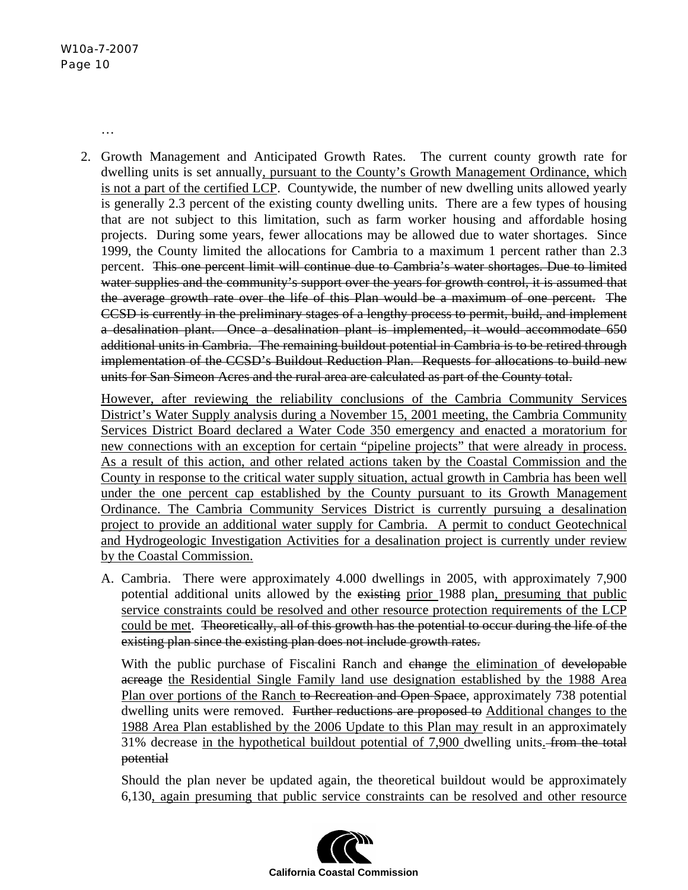…

2. Growth Management and Anticipated Growth Rates. The current county growth rate for dwelling units is set annually, pursuant to the County's Growth Management Ordinance, which is not a part of the certified LCP. Countywide, the number of new dwelling units allowed yearly is generally 2.3 percent of the existing county dwelling units. There are a few types of housing that are not subject to this limitation, such as farm worker housing and affordable hosing projects. During some years, fewer allocations may be allowed due to water shortages. Since 1999, the County limited the allocations for Cambria to a maximum 1 percent rather than 2.3 percent. This one percent limit will continue due to Cambria's water shortages. Due to limited water supplies and the community's support over the years for growth control, it is assumed that the average growth rate over the life of this Plan would be a maximum of one percent. The CCSD is currently in the preliminary stages of a lengthy process to permit, build, and implement a desalination plant. Once a desalination plant is implemented, it would accommodate 650 additional units in Cambria. The remaining buildout potential in Cambria is to be retired through implementation of the CCSD's Buildout Reduction Plan. Requests for allocations to build new units for San Simeon Acres and the rural area are calculated as part of the County total.

However, after reviewing the reliability conclusions of the Cambria Community Services District's Water Supply analysis during a November 15, 2001 meeting, the Cambria Community Services District Board declared a Water Code 350 emergency and enacted a moratorium for new connections with an exception for certain "pipeline projects" that were already in process. As a result of this action, and other related actions taken by the Coastal Commission and the County in response to the critical water supply situation, actual growth in Cambria has been well under the one percent cap established by the County pursuant to its Growth Management Ordinance. The Cambria Community Services District is currently pursuing a desalination project to provide an additional water supply for Cambria. A permit to conduct Geotechnical and Hydrogeologic Investigation Activities for a desalination project is currently under review by the Coastal Commission.

A. Cambria. There were approximately 4.000 dwellings in 2005, with approximately 7,900 potential additional units allowed by the existing prior 1988 plan, presuming that public service constraints could be resolved and other resource protection requirements of the LCP could be met. Theoretically, all of this growth has the potential to occur during the life of the existing plan since the existing plan does not include growth rates.

With the public purchase of Fiscalini Ranch and change the elimination of developable acreage the Residential Single Family land use designation established by the 1988 Area Plan over portions of the Ranch to Recreation and Open Space, approximately 738 potential dwelling units were removed. Further reductions are proposed to Additional changes to the 1988 Area Plan established by the 2006 Update to this Plan may result in an approximately 31% decrease in the hypothetical buildout potential of 7,900 dwelling units. from the total potential

Should the plan never be updated again, the theoretical buildout would be approximately 6,130, again presuming that public service constraints can be resolved and other resource

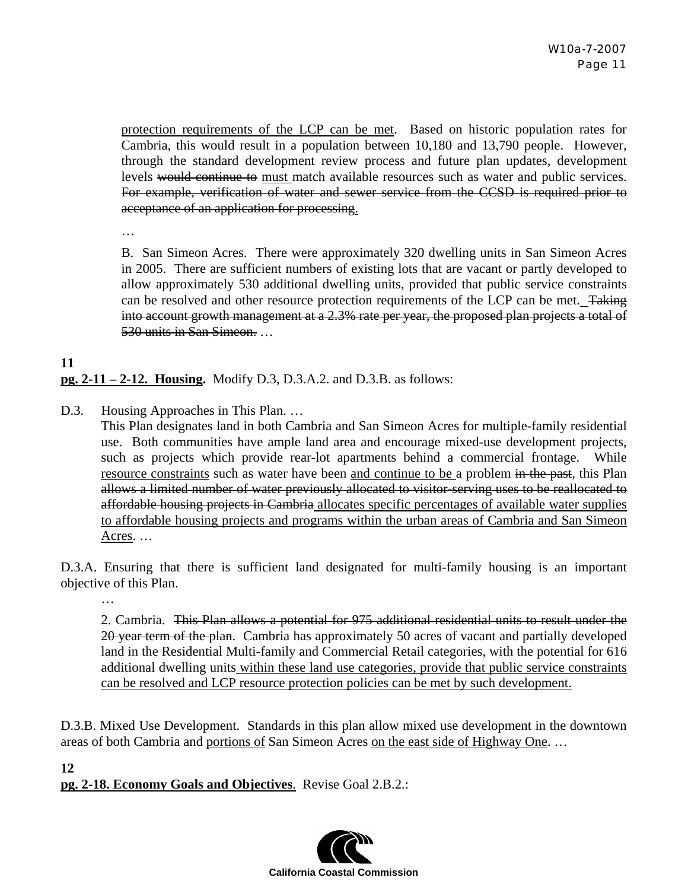protection requirements of the LCP can be met. Based on historic population rates for Cambria, this would result in a population between 10,180 and 13,790 people. However, through the standard development review process and future plan updates, development levels would continue to must match available resources such as water and public services. For example, verification of water and sewer service from the CCSD is required prior to acceptance of an application for processing.

…

B. San Simeon Acres. There were approximately 320 dwelling units in San Simeon Acres in 2005. There are sufficient numbers of existing lots that are vacant or partly developed to allow approximately 530 additional dwelling units, provided that public service constraints can be resolved and other resource protection requirements of the LCP can be met. Taking into account growth management at a 2.3% rate per year, the proposed plan projects a total of 530 units in San Simeon. …

# **11 pg. 2-11 – 2-12. Housing.** Modify D.3, D.3.A.2. and D.3.B. as follows:

D.3. Housing Approaches in This Plan. …

This Plan designates land in both Cambria and San Simeon Acres for multiple-family residential use. Both communities have ample land area and encourage mixed-use development projects, such as projects which provide rear-lot apartments behind a commercial frontage. While resource constraints such as water have been and continue to be a problem in the past, this Plan allows a limited number of water previously allocated to visitor-serving uses to be reallocated to affordable housing projects in Cambria allocates specific percentages of available water supplies to affordable housing projects and programs within the urban areas of Cambria and San Simeon Acres. …

D.3.A. Ensuring that there is sufficient land designated for multi-family housing is an important objective of this Plan.

…

2. Cambria. This Plan allows a potential for 975 additional residential units to result under the 20 year term of the plan. Cambria has approximately 50 acres of vacant and partially developed land in the Residential Multi-family and Commercial Retail categories, with the potential for 616 additional dwelling units within these land use categories, provide that public service constraints can be resolved and LCP resource protection policies can be met by such development.

D.3.B. Mixed Use Development. Standards in this plan allow mixed use development in the downtown areas of both Cambria and portions of San Simeon Acres on the east side of Highway One. …

**12** 

**pg. 2-18. Economy Goals and Objectives**. Revise Goal 2.B.2.:

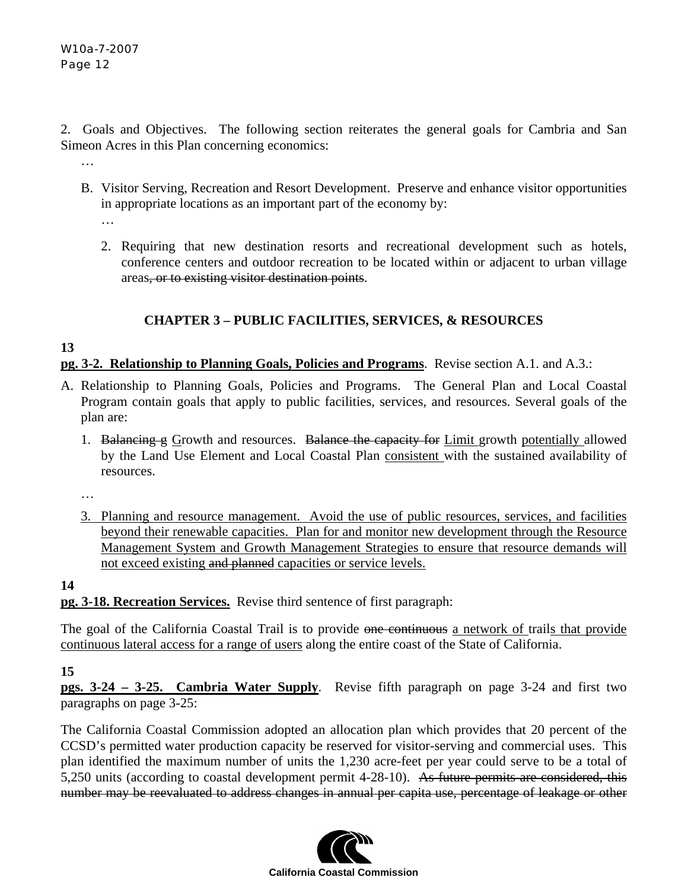2. Goals and Objectives. The following section reiterates the general goals for Cambria and San Simeon Acres in this Plan concerning economics:

B. Visitor Serving, Recreation and Resort Development. Preserve and enhance visitor opportunities in appropriate locations as an important part of the economy by:

…

…

2. Requiring that new destination resorts and recreational development such as hotels, conference centers and outdoor recreation to be located within or adjacent to urban village areas, or to existing visitor destination points.

# **CHAPTER 3 – PUBLIC FACILITIES, SERVICES, & RESOURCES**

# **13**

**pg. 3-2. Relationship to Planning Goals, Policies and Programs**. Revise section A.1. and A.3.:

- A. Relationship to Planning Goals, Policies and Programs. The General Plan and Local Coastal Program contain goals that apply to public facilities, services, and resources. Several goals of the plan are:
	- 1. Balancing g Growth and resources. Balance the capacity for Limit growth potentially allowed by the Land Use Element and Local Coastal Plan consistent with the sustained availability of resources.

…

3. Planning and resource management. Avoid the use of public resources, services, and facilities beyond their renewable capacities. Plan for and monitor new development through the Resource Management System and Growth Management Strategies to ensure that resource demands will not exceed existing and planned capacities or service levels.

**14 pg. 3-18. Recreation Services.** Revise third sentence of first paragraph:

The goal of the California Coastal Trail is to provide one continuous a network of trails that provide continuous lateral access for a range of users along the entire coast of the State of California.

#### **15**

**pgs. 3-24 – 3-25. Cambria Water Supply**. Revise fifth paragraph on page 3-24 and first two paragraphs on page 3-25:

The California Coastal Commission adopted an allocation plan which provides that 20 percent of the CCSD's permitted water production capacity be reserved for visitor-serving and commercial uses. This plan identified the maximum number of units the 1,230 acre-feet per year could serve to be a total of 5,250 units (according to coastal development permit 4-28-10). As future permits are considered, this number may be reevaluated to address changes in annual per capita use, percentage of leakage or other

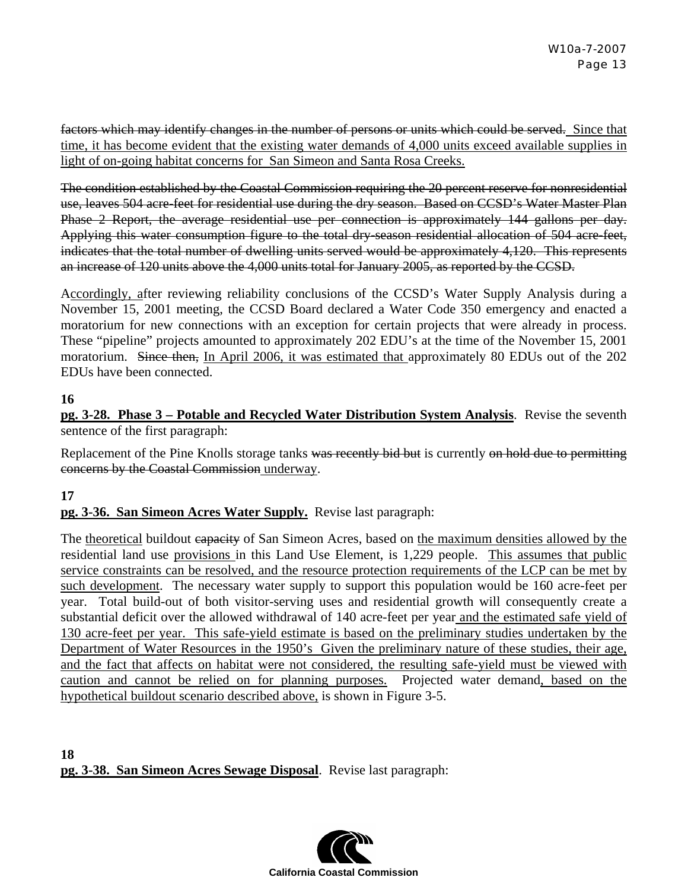factors which may identify changes in the number of persons or units which could be served. Since that time, it has become evident that the existing water demands of 4,000 units exceed available supplies in light of on-going habitat concerns for San Simeon and Santa Rosa Creeks.

The condition established by the Coastal Commission requiring the 20 percent reserve for nonresidential use, leaves 504 acre-feet for residential use during the dry season. Based on CCSD's Water Master Plan Phase 2 Report, the average residential use per connection is approximately 144 gallons per day. Applying this water consumption figure to the total dry-season residential allocation of 504 acre-feet, indicates that the total number of dwelling units served would be approximately 4,120. This represents an increase of 120 units above the 4,000 units total for January 2005, as reported by the CCSD.

Accordingly, after reviewing reliability conclusions of the CCSD's Water Supply Analysis during a November 15, 2001 meeting, the CCSD Board declared a Water Code 350 emergency and enacted a moratorium for new connections with an exception for certain projects that were already in process. These "pipeline" projects amounted to approximately 202 EDU's at the time of the November 15, 2001 moratorium. Since then, In April 2006, it was estimated that approximately 80 EDUs out of the 202 EDUs have been connected.

#### **16**

**pg. 3-28. Phase 3 – Potable and Recycled Water Distribution System Analysis**. Revise the seventh sentence of the first paragraph:

Replacement of the Pine Knolls storage tanks was recently bid but is currently on hold due to permitting concerns by the Coastal Commission underway.

#### **17**

#### **pg. 3-36. San Simeon Acres Water Supply.** Revise last paragraph:

The theoretical buildout eapacity of San Simeon Acres, based on the maximum densities allowed by the residential land use provisions in this Land Use Element, is 1,229 people. This assumes that public service constraints can be resolved, and the resource protection requirements of the LCP can be met by such development. The necessary water supply to support this population would be 160 acre-feet per year. Total build-out of both visitor-serving uses and residential growth will consequently create a substantial deficit over the allowed withdrawal of 140 acre-feet per year and the estimated safe yield of 130 acre-feet per year. This safe-yield estimate is based on the preliminary studies undertaken by the Department of Water Resources in the 1950's Given the preliminary nature of these studies, their age, and the fact that affects on habitat were not considered, the resulting safe-yield must be viewed with caution and cannot be relied on for planning purposes. Projected water demand, based on the hypothetical buildout scenario described above, is shown in Figure 3-5.

**18 pg. 3-38. San Simeon Acres Sewage Disposal**. Revise last paragraph:

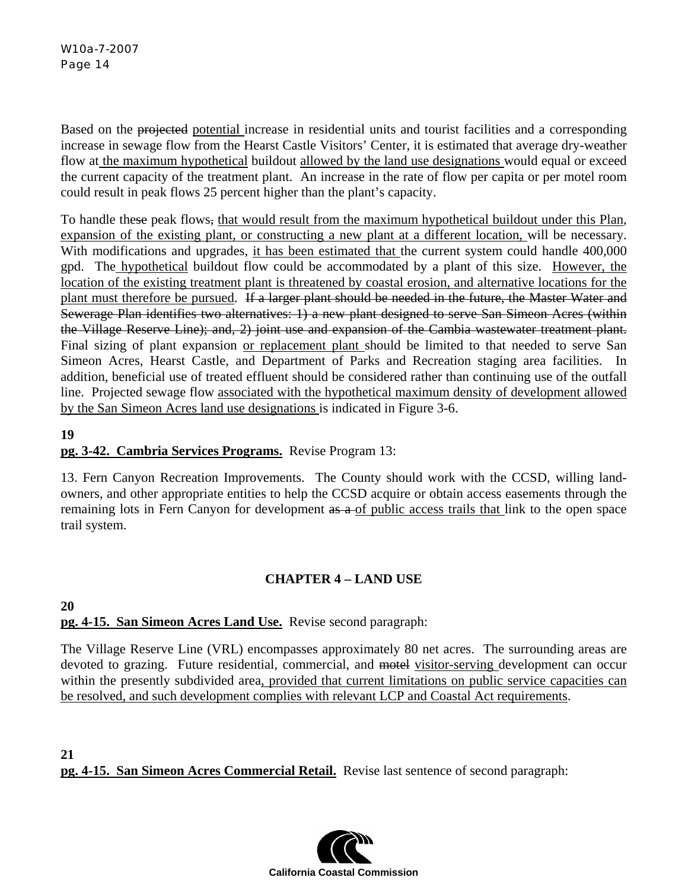Based on the projected potential increase in residential units and tourist facilities and a corresponding increase in sewage flow from the Hearst Castle Visitors' Center, it is estimated that average dry-weather flow at the maximum hypothetical buildout allowed by the land use designations would equal or exceed the current capacity of the treatment plant. An increase in the rate of flow per capita or per motel room could result in peak flows 25 percent higher than the plant's capacity.

To handle these peak flows, that would result from the maximum hypothetical buildout under this Plan, expansion of the existing plant, or constructing a new plant at a different location, will be necessary. With modifications and upgrades, it has been estimated that the current system could handle 400,000 gpd. The hypothetical buildout flow could be accommodated by a plant of this size. However, the location of the existing treatment plant is threatened by coastal erosion, and alternative locations for the plant must therefore be pursued. If a larger plant should be needed in the future, the Master Water and Sewerage Plan identifies two alternatives: 1) a new plant designed to serve San Simeon Acres (within the Village Reserve Line); and, 2) joint use and expansion of the Cambia wastewater treatment plant. Final sizing of plant expansion or replacement plant should be limited to that needed to serve San Simeon Acres, Hearst Castle, and Department of Parks and Recreation staging area facilities. In addition, beneficial use of treated effluent should be considered rather than continuing use of the outfall line. Projected sewage flow associated with the hypothetical maximum density of development allowed by the San Simeon Acres land use designations is indicated in Figure 3-6.

# **19**

# **pg. 3-42. Cambria Services Programs.** Revise Program 13:

13. Fern Canyon Recreation Improvements. The County should work with the CCSD, willing landowners, and other appropriate entities to help the CCSD acquire or obtain access easements through the remaining lots in Fern Canyon for development as a of public access trails that link to the open space trail system.

# **CHAPTER 4 – LAND USE**

#### **20 pg. 4-15. San Simeon Acres Land Use.** Revise second paragraph:

The Village Reserve Line (VRL) encompasses approximately 80 net acres. The surrounding areas are devoted to grazing. Future residential, commercial, and motel visitor-serving development can occur within the presently subdivided area, provided that current limitations on public service capacities can be resolved, and such development complies with relevant LCP and Coastal Act requirements.

**21 pg. 4-15. San Simeon Acres Commercial Retail.** Revise last sentence of second paragraph:

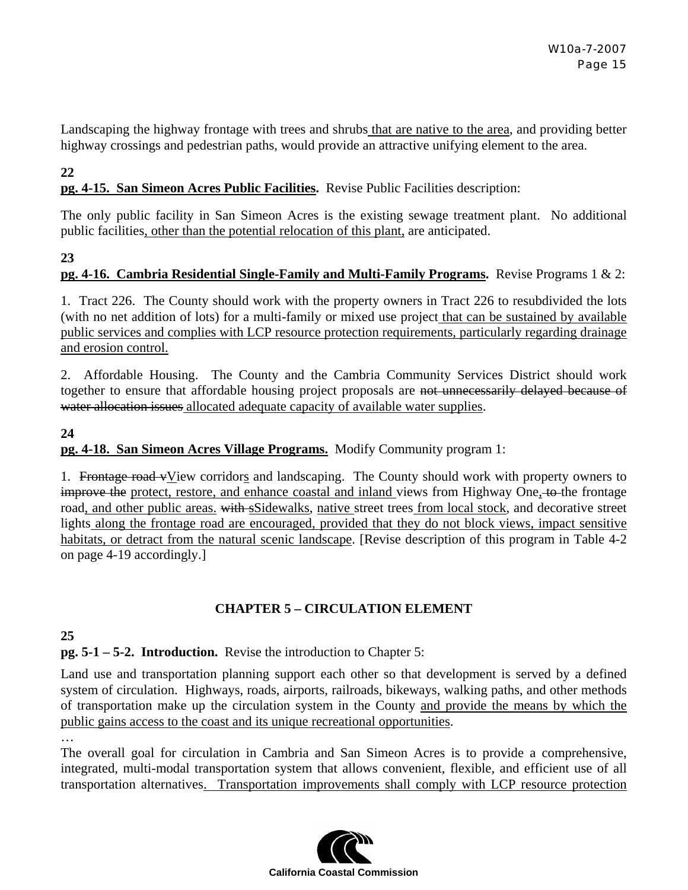Landscaping the highway frontage with trees and shrubs that are native to the area, and providing better highway crossings and pedestrian paths, would provide an attractive unifying element to the area.

#### **22**

#### **pg. 4-15. San Simeon Acres Public Facilities.** Revise Public Facilities description:

The only public facility in San Simeon Acres is the existing sewage treatment plant. No additional public facilities, other than the potential relocation of this plant, are anticipated.

#### **23**

#### **pg. 4-16. Cambria Residential Single-Family and Multi-Family Programs.** Revise Programs 1 & 2:

1. Tract 226. The County should work with the property owners in Tract 226 to resubdivided the lots (with no net addition of lots) for a multi-family or mixed use project that can be sustained by available public services and complies with LCP resource protection requirements, particularly regarding drainage and erosion control.

2. Affordable Housing. The County and the Cambria Community Services District should work together to ensure that affordable housing project proposals are not unnecessarily delayed because of water allocation issues allocated adequate capacity of available water supplies.

# **24 pg. 4-18. San Simeon Acres Village Programs.** Modify Community program 1:

1. Frontage road vView corridors and landscaping. The County should work with property owners to improve the protect, restore, and enhance coastal and inland views from Highway One, to the frontage road, and other public areas. with sSidewalks, native street trees from local stock, and decorative street lights along the frontage road are encouraged, provided that they do not block views, impact sensitive habitats, or detract from the natural scenic landscape. [Revise description of this program in Table 4-2 on page 4-19 accordingly.]

#### **CHAPTER 5 – CIRCULATION ELEMENT**

#### **25**

…

**pg. 5-1 – 5-2. Introduction.** Revise the introduction to Chapter 5:

Land use and transportation planning support each other so that development is served by a defined system of circulation. Highways, roads, airports, railroads, bikeways, walking paths, and other methods of transportation make up the circulation system in the County and provide the means by which the public gains access to the coast and its unique recreational opportunities.

The overall goal for circulation in Cambria and San Simeon Acres is to provide a comprehensive, integrated, multi-modal transportation system that allows convenient, flexible, and efficient use of all transportation alternatives. Transportation improvements shall comply with LCP resource protection

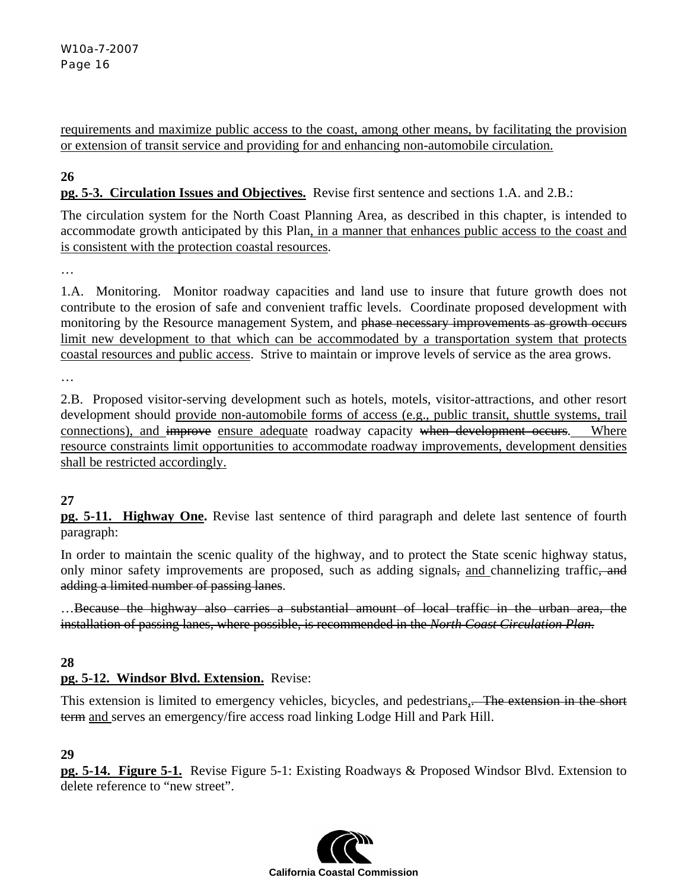requirements and maximize public access to the coast, among other means, by facilitating the provision or extension of transit service and providing for and enhancing non-automobile circulation.

# **26**

**pg. 5-3. Circulation Issues and Objectives.** Revise first sentence and sections 1.A. and 2.B.:

The circulation system for the North Coast Planning Area, as described in this chapter, is intended to accommodate growth anticipated by this Plan, in a manner that enhances public access to the coast and is consistent with the protection coastal resources.

…

1.A. Monitoring. Monitor roadway capacities and land use to insure that future growth does not contribute to the erosion of safe and convenient traffic levels. Coordinate proposed development with monitoring by the Resource management System, and phase necessary improvements as growth occurs limit new development to that which can be accommodated by a transportation system that protects coastal resources and public access. Strive to maintain or improve levels of service as the area grows.

…

2.B. Proposed visitor-serving development such as hotels, motels, visitor-attractions, and other resort development should provide non-automobile forms of access (e.g., public transit, shuttle systems, trail connections), and improve ensure adequate roadway capacity when development occurs. Where resource constraints limit opportunities to accommodate roadway improvements, development densities shall be restricted accordingly.

#### **27**

**pg. 5-11. Highway One.** Revise last sentence of third paragraph and delete last sentence of fourth paragraph:

In order to maintain the scenic quality of the highway, and to protect the State scenic highway status, only minor safety improvements are proposed, such as adding signals, and channelizing traffic, and adding a limited number of passing lanes.

…Because the highway also carries a substantial amount of local traffic in the urban area, the installation of passing lanes, where possible, is recommended in the *North Coast Circulation Plan*.

# **28**

# **pg. 5-12. Windsor Blvd. Extension.** Revise:

This extension is limited to emergency vehicles, bicycles, and pedestrians, The extension in the short term and serves an emergency/fire access road linking Lodge Hill and Park Hill.

#### **29**

**pg. 5-14. Figure 5-1.** Revise Figure 5-1: Existing Roadways & Proposed Windsor Blvd. Extension to delete reference to "new street".

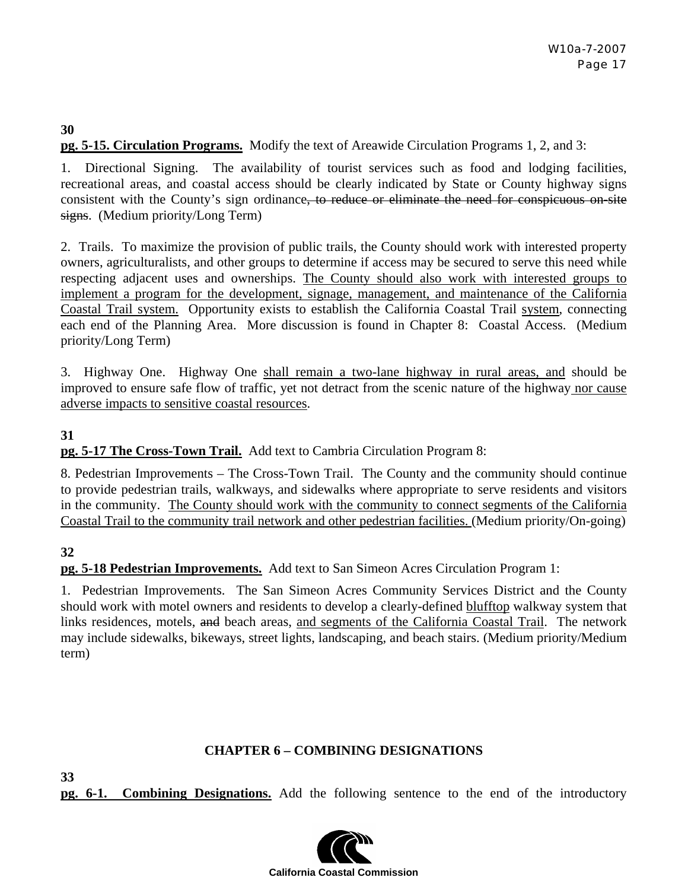#### **30 pg. 5-15. Circulation Programs.** Modify the text of Areawide Circulation Programs 1, 2, and 3:

1. Directional Signing. The availability of tourist services such as food and lodging facilities, recreational areas, and coastal access should be clearly indicated by State or County highway signs consistent with the County's sign ordinance, to reduce or eliminate the need for conspicuous on-site signs. (Medium priority/Long Term)

2. Trails. To maximize the provision of public trails, the County should work with interested property owners, agriculturalists, and other groups to determine if access may be secured to serve this need while respecting adjacent uses and ownerships. The County should also work with interested groups to implement a program for the development, signage, management, and maintenance of the California Coastal Trail system. Opportunity exists to establish the California Coastal Trail system, connecting each end of the Planning Area. More discussion is found in Chapter 8: Coastal Access. (Medium priority/Long Term)

3. Highway One. Highway One shall remain a two-lane highway in rural areas, and should be improved to ensure safe flow of traffic, yet not detract from the scenic nature of the highway nor cause adverse impacts to sensitive coastal resources.

# **31**

#### **pg. 5-17 The Cross-Town Trail.** Add text to Cambria Circulation Program 8:

8. Pedestrian Improvements – The Cross-Town Trail. The County and the community should continue to provide pedestrian trails, walkways, and sidewalks where appropriate to serve residents and visitors in the community. The County should work with the community to connect segments of the California Coastal Trail to the community trail network and other pedestrian facilities. (Medium priority/On-going)

# **32**

**33** 

**pg. 5-18 Pedestrian Improvements.** Add text to San Simeon Acres Circulation Program 1:

1. Pedestrian Improvements. The San Simeon Acres Community Services District and the County should work with motel owners and residents to develop a clearly-defined blufftop walkway system that links residences, motels, and beach areas, and segments of the California Coastal Trail. The network may include sidewalks, bikeways, street lights, landscaping, and beach stairs. (Medium priority/Medium term)

#### **CHAPTER 6 – COMBINING DESIGNATIONS**

**pg. 6-1. Combining Designations.** Add the following sentence to the end of the introductory

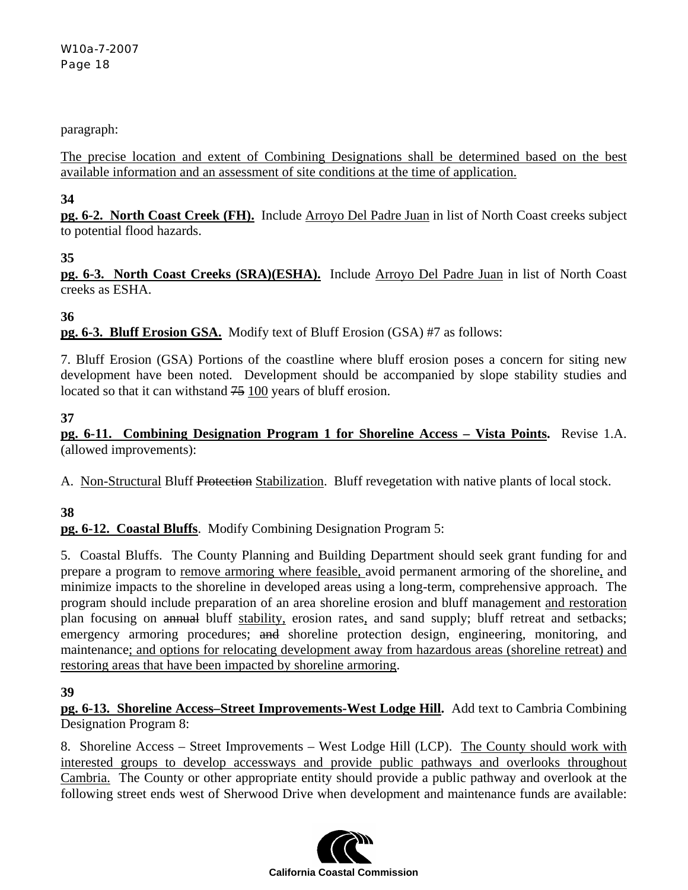#### paragraph:

The precise location and extent of Combining Designations shall be determined based on the best available information and an assessment of site conditions at the time of application.

#### **34**

**pg. 6-2. North Coast Creek (FH).** Include Arroyo Del Padre Juan in list of North Coast creeks subject to potential flood hazards.

#### **35**

**pg. 6-3. North Coast Creeks (SRA)(ESHA).** Include Arroyo Del Padre Juan in list of North Coast creeks as ESHA.

# **36**

**pg. 6-3. Bluff Erosion GSA.** Modify text of Bluff Erosion (GSA) #7 as follows:

7. Bluff Erosion (GSA) Portions of the coastline where bluff erosion poses a concern for siting new development have been noted. Development should be accompanied by slope stability studies and located so that it can withstand  $75$  100 years of bluff erosion.

#### **37**

**pg. 6-11. Combining Designation Program 1 for Shoreline Access – Vista Points.** Revise 1.A. (allowed improvements):

A. Non-Structural Bluff Protection Stabilization. Bluff revegetation with native plants of local stock.

# **38**

**pg. 6-12. Coastal Bluffs**. Modify Combining Designation Program 5:

5. Coastal Bluffs. The County Planning and Building Department should seek grant funding for and prepare a program to remove armoring where feasible, avoid permanent armoring of the shoreline, and minimize impacts to the shoreline in developed areas using a long-term, comprehensive approach. The program should include preparation of an area shoreline erosion and bluff management and restoration plan focusing on annual bluff stability, erosion rates, and sand supply; bluff retreat and setbacks; emergency armoring procedures; and shoreline protection design, engineering, monitoring, and maintenance; and options for relocating development away from hazardous areas (shoreline retreat) and restoring areas that have been impacted by shoreline armoring.

#### **39**

**pg. 6-13. Shoreline Access–Street Improvements-West Lodge Hill.** Add text to Cambria Combining Designation Program 8:

8. Shoreline Access – Street Improvements – West Lodge Hill (LCP). The County should work with interested groups to develop accessways and provide public pathways and overlooks throughout Cambria. The County or other appropriate entity should provide a public pathway and overlook at the following street ends west of Sherwood Drive when development and maintenance funds are available:

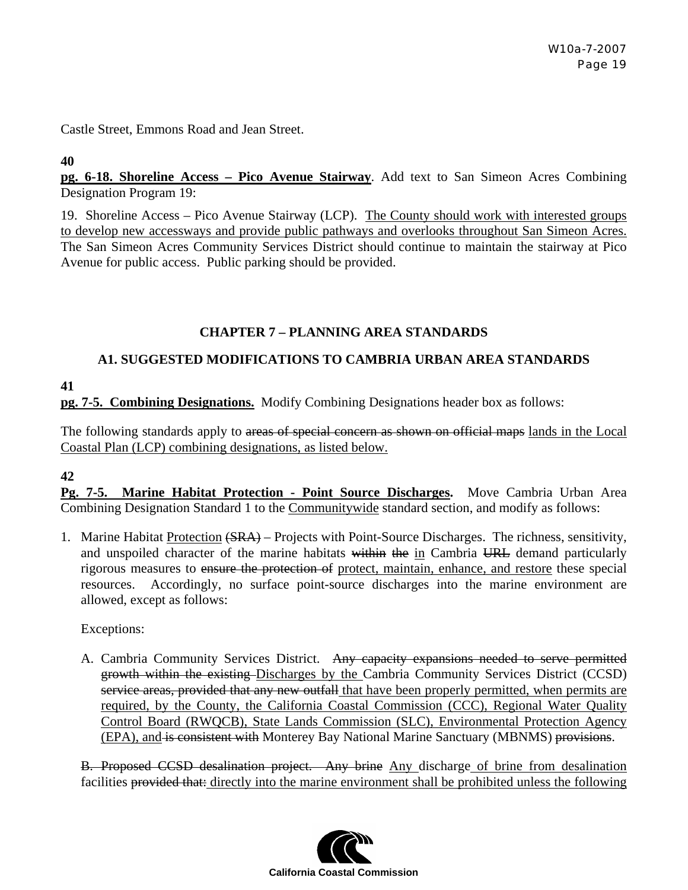Castle Street, Emmons Road and Jean Street.

#### **40**

**pg. 6-18. Shoreline Access – Pico Avenue Stairway**. Add text to San Simeon Acres Combining Designation Program 19:

19. Shoreline Access – Pico Avenue Stairway (LCP). The County should work with interested groups to develop new accessways and provide public pathways and overlooks throughout San Simeon Acres. The San Simeon Acres Community Services District should continue to maintain the stairway at Pico Avenue for public access. Public parking should be provided.

# **CHAPTER 7 – PLANNING AREA STANDARDS**

# **A1. SUGGESTED MODIFICATIONS TO CAMBRIA URBAN AREA STANDARDS**

**41** 

**pg. 7-5. Combining Designations.** Modify Combining Designations header box as follows:

The following standards apply to areas of special concern as shown on official maps lands in the Local Coastal Plan (LCP) combining designations, as listed below.

#### **42**

**Pg. 7-5. Marine Habitat Protection - Point Source Discharges.** Move Cambria Urban Area Combining Designation Standard 1 to the Communitywide standard section, and modify as follows:

1. Marine Habitat Protection (SRA) – Projects with Point-Source Discharges. The richness, sensitivity, and unspoiled character of the marine habitats within the in Cambria URL demand particularly rigorous measures to ensure the protection of protect, maintain, enhance, and restore these special resources. Accordingly, no surface point-source discharges into the marine environment are allowed, except as follows:

Exceptions:

A. Cambria Community Services District. Any capacity expansions needed to serve permitted growth within the existing Discharges by the Cambria Community Services District (CCSD) service areas, provided that any new outfall that have been properly permitted, when permits are required, by the County, the California Coastal Commission (CCC), Regional Water Quality Control Board (RWQCB), State Lands Commission (SLC), Environmental Protection Agency (EPA), and is consistent with Monterey Bay National Marine Sanctuary (MBNMS) provisions.

B. Proposed CCSD desalination project. Any brine Any discharge of brine from desalination facilities provided that: directly into the marine environment shall be prohibited unless the following

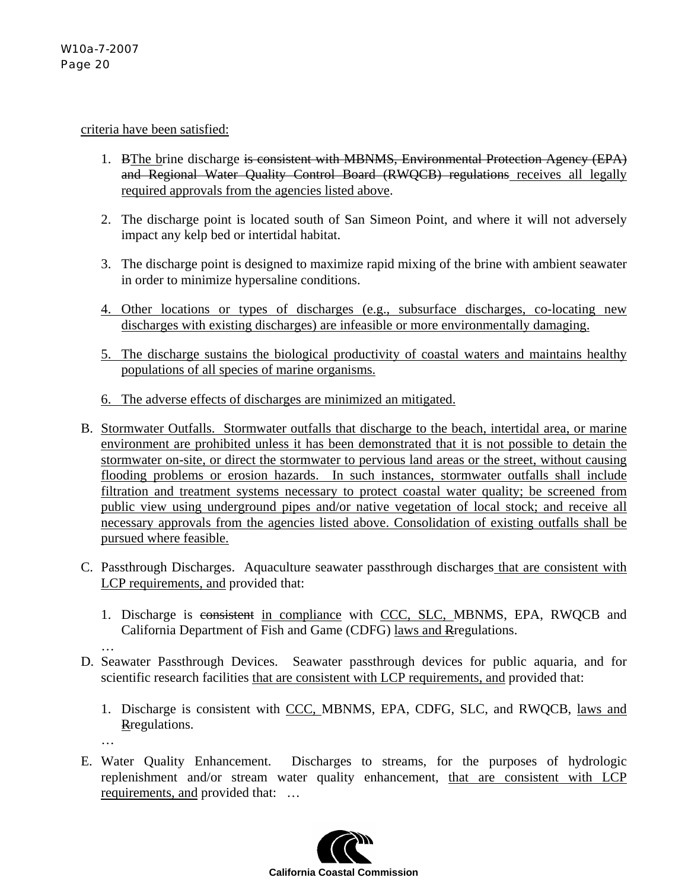#### criteria have been satisfied:

- 1. BThe brine discharge is consistent with MBNMS, Environmental Protection Agency (EPA) and Regional Water Quality Control Board (RWQCB) regulations receives all legally required approvals from the agencies listed above.
- 2. The discharge point is located south of San Simeon Point, and where it will not adversely impact any kelp bed or intertidal habitat.
- 3. The discharge point is designed to maximize rapid mixing of the brine with ambient seawater in order to minimize hypersaline conditions.
- 4. Other locations or types of discharges (e.g., subsurface discharges, co-locating new discharges with existing discharges) are infeasible or more environmentally damaging.
- 5. The discharge sustains the biological productivity of coastal waters and maintains healthy populations of all species of marine organisms.
- 6. The adverse effects of discharges are minimized an mitigated.
- B. Stormwater Outfalls. Stormwater outfalls that discharge to the beach, intertidal area, or marine environment are prohibited unless it has been demonstrated that it is not possible to detain the stormwater on-site, or direct the stormwater to pervious land areas or the street, without causing flooding problems or erosion hazards. In such instances, stormwater outfalls shall include filtration and treatment systems necessary to protect coastal water quality; be screened from public view using underground pipes and/or native vegetation of local stock; and receive all necessary approvals from the agencies listed above. Consolidation of existing outfalls shall be pursued where feasible.
- C. Passthrough Discharges. Aquaculture seawater passthrough discharges that are consistent with LCP requirements, and provided that:
	- 1. Discharge is consistent in compliance with CCC, SLC, MBNMS, EPA, RWQCB and California Department of Fish and Game (CDFG) laws and Rregulations.
- D. Seawater Passthrough Devices. Seawater passthrough devices for public aquaria, and for scientific research facilities that are consistent with LCP requirements, and provided that:
	- 1. Discharge is consistent with CCC, MBNMS, EPA, CDFG, SLC, and RWQCB, laws and Rregulations.
	- …

…

E. Water Quality Enhancement. Discharges to streams, for the purposes of hydrologic replenishment and/or stream water quality enhancement, that are consistent with LCP requirements, and provided that: …

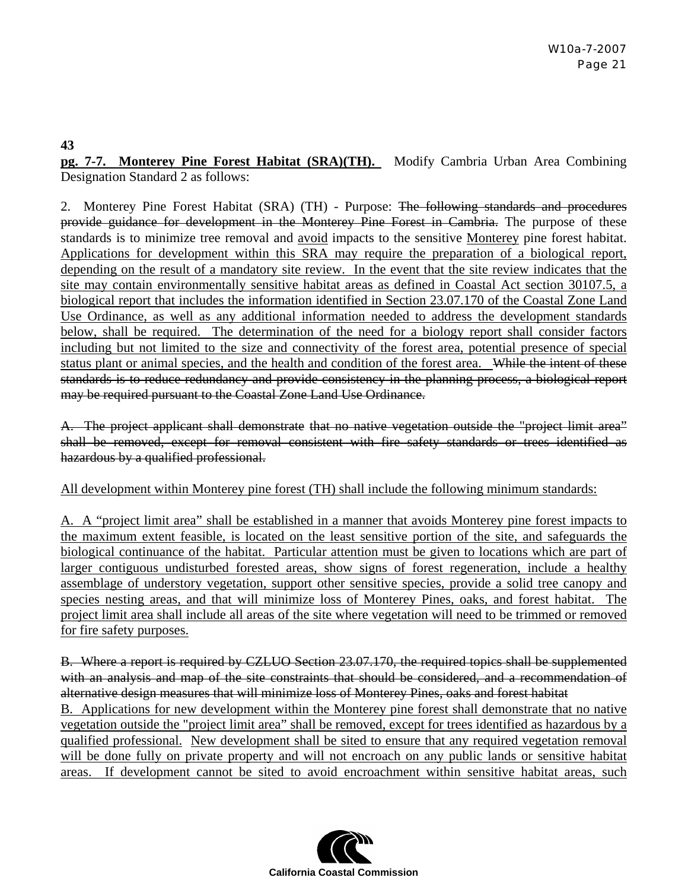#### **43**

**pg. 7-7. Monterey Pine Forest Habitat (SRA)(TH).** Modify Cambria Urban Area Combining Designation Standard 2 as follows:

2. Monterey Pine Forest Habitat (SRA) (TH) - Purpose: The following standards and procedures provide guidance for development in the Monterey Pine Forest in Cambria. The purpose of these standards is to minimize tree removal and avoid impacts to the sensitive Monterey pine forest habitat. Applications for development within this SRA may require the preparation of a biological report, depending on the result of a mandatory site review. In the event that the site review indicates that the site may contain environmentally sensitive habitat areas as defined in Coastal Act section 30107.5, a biological report that includes the information identified in Section 23.07.170 of the Coastal Zone Land Use Ordinance, as well as any additional information needed to address the development standards below, shall be required. The determination of the need for a biology report shall consider factors including but not limited to the size and connectivity of the forest area, potential presence of special status plant or animal species, and the health and condition of the forest area. While the intent of these standards is to reduce redundancy and provide consistency in the planning process, a biological report may be required pursuant to the Coastal Zone Land Use Ordinance.

A. The project applicant shall demonstrate that no native vegetation outside the "project limit area" shall be removed, except for removal consistent with fire safety standards or trees identified as hazardous by a qualified professional.

All development within Monterey pine forest (TH) shall include the following minimum standards:

A. A "project limit area" shall be established in a manner that avoids Monterey pine forest impacts to the maximum extent feasible, is located on the least sensitive portion of the site, and safeguards the biological continuance of the habitat. Particular attention must be given to locations which are part of larger contiguous undisturbed forested areas, show signs of forest regeneration, include a healthy assemblage of understory vegetation, support other sensitive species, provide a solid tree canopy and species nesting areas, and that will minimize loss of Monterey Pines, oaks, and forest habitat. The project limit area shall include all areas of the site where vegetation will need to be trimmed or removed for fire safety purposes.

B. Where a report is required by CZLUO Section 23.07.170, the required topics shall be supplemented with an analysis and map of the site constraints that should be considered, and a recommendation of alternative design measures that will minimize loss of Monterey Pines, oaks and forest habitat B. Applications for new development within the Monterey pine forest shall demonstrate that no native vegetation outside the "project limit area" shall be removed, except for trees identified as hazardous by a qualified professional. New development shall be sited to ensure that any required vegetation removal will be done fully on private property and will not encroach on any public lands or sensitive habitat areas. If development cannot be sited to avoid encroachment within sensitive habitat areas, such

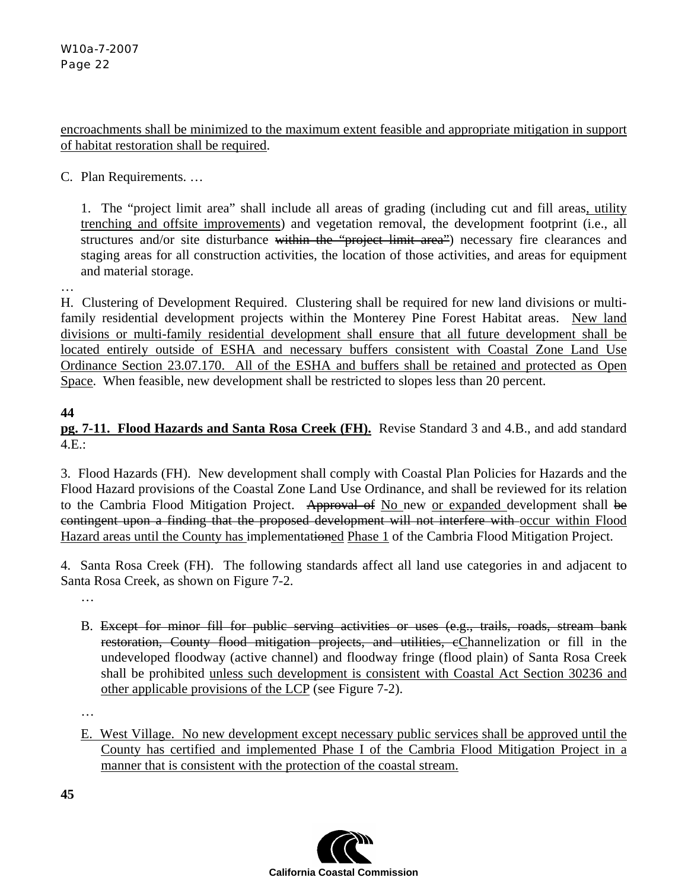encroachments shall be minimized to the maximum extent feasible and appropriate mitigation in support of habitat restoration shall be required.

C. Plan Requirements. …

1. The "project limit area" shall include all areas of grading (including cut and fill areas, utility trenching and offsite improvements) and vegetation removal, the development footprint (i.e., all structures and/or site disturbance within the "project limit area") necessary fire clearances and staging areas for all construction activities, the location of those activities, and areas for equipment and material storage.

H. Clustering of Development Required. Clustering shall be required for new land divisions or multifamily residential development projects within the Monterey Pine Forest Habitat areas. New land divisions or multi-family residential development shall ensure that all future development shall be located entirely outside of ESHA and necessary buffers consistent with Coastal Zone Land Use Ordinance Section 23.07.170. All of the ESHA and buffers shall be retained and protected as Open Space. When feasible, new development shall be restricted to slopes less than 20 percent.

#### **44**

…

# **pg. 7-11. Flood Hazards and Santa Rosa Creek (FH).** Revise Standard 3 and 4.B., and add standard 4.E.:

3. Flood Hazards (FH). New development shall comply with Coastal Plan Policies for Hazards and the Flood Hazard provisions of the Coastal Zone Land Use Ordinance, and shall be reviewed for its relation to the Cambria Flood Mitigation Project. Approval of No new or expanded development shall be contingent upon a finding that the proposed development will not interfere with occur within Flood Hazard areas until the County has implementationed Phase 1 of the Cambria Flood Mitigation Project.

4. Santa Rosa Creek (FH). The following standards affect all land use categories in and adjacent to Santa Rosa Creek, as shown on Figure 7-2.

…

B. Except for minor fill for public serving activities or uses (e.g., trails, roads, stream bank restoration, County flood mitigation projects, and utilities, eChannelization or fill in the undeveloped floodway (active channel) and floodway fringe (flood plain) of Santa Rosa Creek shall be prohibited unless such development is consistent with Coastal Act Section 30236 and other applicable provisions of the LCP (see Figure 7-2).

…

E. West Village. No new development except necessary public services shall be approved until the County has certified and implemented Phase I of the Cambria Flood Mitigation Project in a manner that is consistent with the protection of the coastal stream.

**45** 

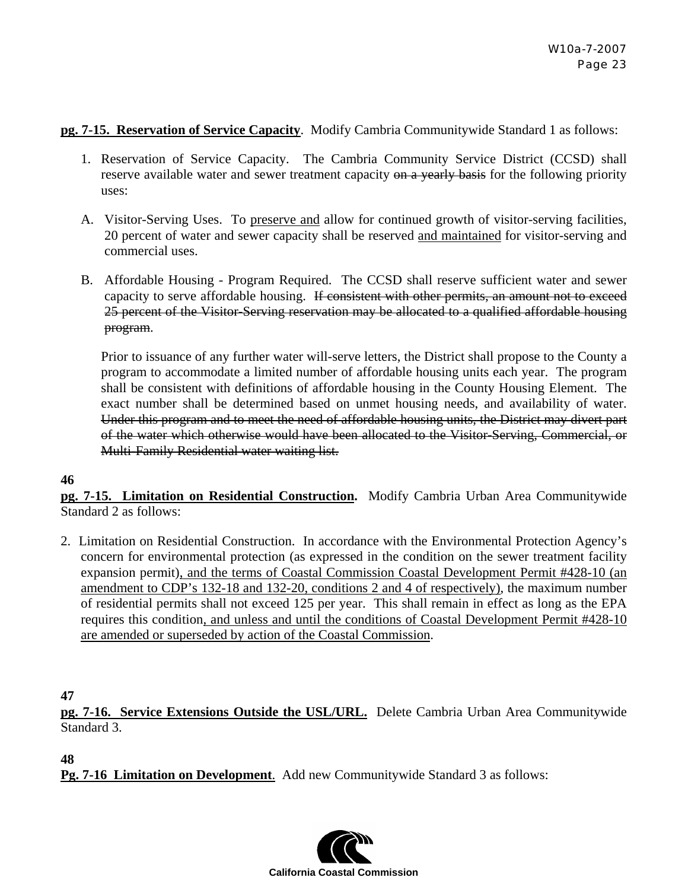#### **pg. 7-15. Reservation of Service Capacity**. Modify Cambria Communitywide Standard 1 as follows:

- 1. Reservation of Service Capacity. The Cambria Community Service District (CCSD) shall reserve available water and sewer treatment capacity on a yearly basis for the following priority uses:
- A. Visitor-Serving Uses. To preserve and allow for continued growth of visitor-serving facilities, 20 percent of water and sewer capacity shall be reserved and maintained for visitor-serving and commercial uses.
- B. Affordable Housing Program Required. The CCSD shall reserve sufficient water and sewer capacity to serve affordable housing. If consistent with other permits, an amount not to exceed 25 percent of the Visitor-Serving reservation may be allocated to a qualified affordable housing program.

Prior to issuance of any further water will-serve letters, the District shall propose to the County a program to accommodate a limited number of affordable housing units each year. The program shall be consistent with definitions of affordable housing in the County Housing Element. The exact number shall be determined based on unmet housing needs, and availability of water. Under this program and to meet the need of affordable housing units, the District may divert part of the water which otherwise would have been allocated to the Visitor-Serving, Commercial, or Multi-Family Residential water waiting list.

#### **46**

**pg. 7-15. Limitation on Residential Construction.** Modify Cambria Urban Area Communitywide Standard 2 as follows:

2. Limitation on Residential Construction. In accordance with the Environmental Protection Agency's concern for environmental protection (as expressed in the condition on the sewer treatment facility expansion permit), and the terms of Coastal Commission Coastal Development Permit #428-10 (an amendment to CDP's 132-18 and 132-20, conditions 2 and 4 of respectively), the maximum number of residential permits shall not exceed 125 per year. This shall remain in effect as long as the EPA requires this condition, and unless and until the conditions of Coastal Development Permit #428-10 are amended or superseded by action of the Coastal Commission.

**47** 

**pg. 7-16. Service Extensions Outside the USL/URL.** Delete Cambria Urban Area Communitywide Standard 3.

**48** 

**Pg. 7-16 Limitation on Development**. Add new Communitywide Standard 3 as follows:

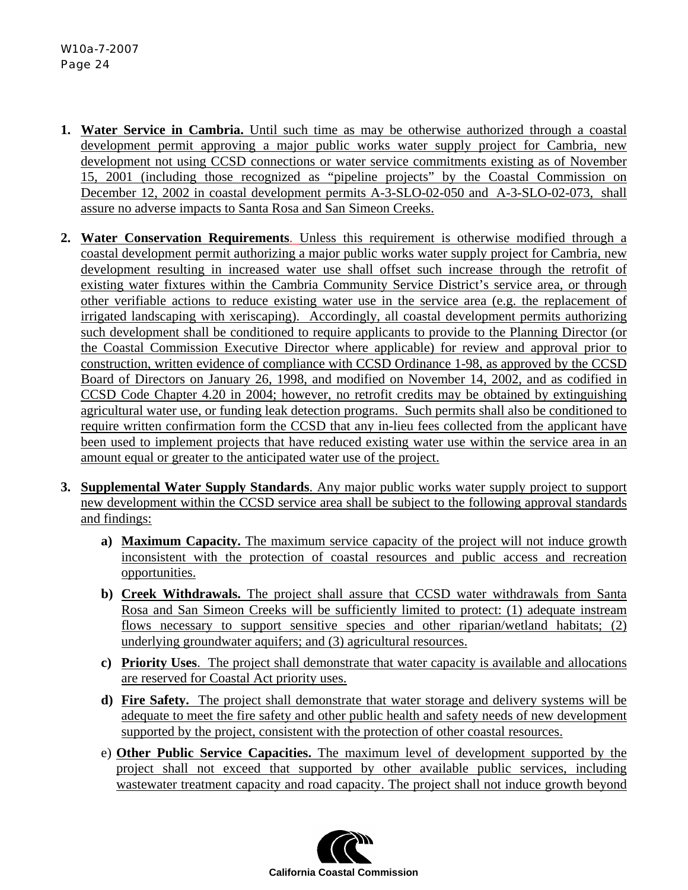- **1. Water Service in Cambria.** Until such time as may be otherwise authorized through a coastal development permit approving a major public works water supply project for Cambria, new development not using CCSD connections or water service commitments existing as of November 15, 2001 (including those recognized as "pipeline projects" by the Coastal Commission on December 12, 2002 in coastal development permits A-3-SLO-02-050 and A-3-SLO-02-073, shall assure no adverse impacts to Santa Rosa and San Simeon Creeks.
- **2. Water Conservation Requirements**. Unless this requirement is otherwise modified through a coastal development permit authorizing a major public works water supply project for Cambria, new development resulting in increased water use shall offset such increase through the retrofit of existing water fixtures within the Cambria Community Service District's service area, or through other verifiable actions to reduce existing water use in the service area (e.g. the replacement of irrigated landscaping with xeriscaping). Accordingly, all coastal development permits authorizing such development shall be conditioned to require applicants to provide to the Planning Director (or the Coastal Commission Executive Director where applicable) for review and approval prior to construction, written evidence of compliance with CCSD Ordinance 1-98, as approved by the CCSD Board of Directors on January 26, 1998, and modified on November 14, 2002, and as codified in CCSD Code Chapter 4.20 in 2004; however, no retrofit credits may be obtained by extinguishing agricultural water use, or funding leak detection programs. Such permits shall also be conditioned to require written confirmation form the CCSD that any in-lieu fees collected from the applicant have been used to implement projects that have reduced existing water use within the service area in an amount equal or greater to the anticipated water use of the project.
- **3. Supplemental Water Supply Standards**. Any major public works water supply project to support new development within the CCSD service area shall be subject to the following approval standards and findings:
	- **a) Maximum Capacity.** The maximum service capacity of the project will not induce growth inconsistent with the protection of coastal resources and public access and recreation opportunities.
	- **b) Creek Withdrawals.** The project shall assure that CCSD water withdrawals from Santa Rosa and San Simeon Creeks will be sufficiently limited to protect: (1) adequate instream flows necessary to support sensitive species and other riparian/wetland habitats; (2) underlying groundwater aquifers; and (3) agricultural resources.
	- **c) Priority Uses**. The project shall demonstrate that water capacity is available and allocations are reserved for Coastal Act priority uses.
	- **d) Fire Safety.** The project shall demonstrate that water storage and delivery systems will be adequate to meet the fire safety and other public health and safety needs of new development supported by the project, consistent with the protection of other coastal resources.
	- e) **Other Public Service Capacities.** The maximum level of development supported by the project shall not exceed that supported by other available public services, including wastewater treatment capacity and road capacity. The project shall not induce growth beyond

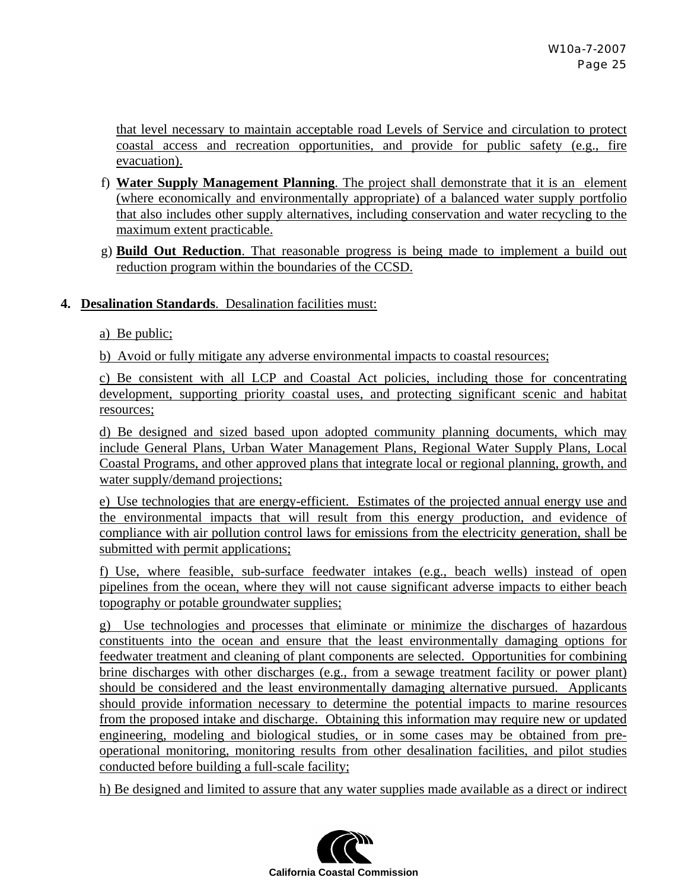that level necessary to maintain acceptable road Levels of Service and circulation to protect coastal access and recreation opportunities, and provide for public safety (e.g., fire evacuation).

- f) **Water Supply Management Planning**. The project shall demonstrate that it is an element (where economically and environmentally appropriate) of a balanced water supply portfolio that also includes other supply alternatives, including conservation and water recycling to the maximum extent practicable.
- g) **Build Out Reduction**. That reasonable progress is being made to implement a build out reduction program within the boundaries of the CCSD.

#### **4. Desalination Standards**. Desalination facilities must:

a) Be public;

b) Avoid or fully mitigate any adverse environmental impacts to coastal resources;

c) Be consistent with all LCP and Coastal Act policies, including those for concentrating development, supporting priority coastal uses, and protecting significant scenic and habitat resources;

d) Be designed and sized based upon adopted community planning documents, which may include General Plans, Urban Water Management Plans, Regional Water Supply Plans, Local Coastal Programs, and other approved plans that integrate local or regional planning, growth, and water supply/demand projections;

e) Use technologies that are energy-efficient. Estimates of the projected annual energy use and the environmental impacts that will result from this energy production, and evidence of compliance with air pollution control laws for emissions from the electricity generation, shall be submitted with permit applications;

f) Use, where feasible, sub-surface feedwater intakes (e.g., beach wells) instead of open pipelines from the ocean, where they will not cause significant adverse impacts to either beach topography or potable groundwater supplies;

g) Use technologies and processes that eliminate or minimize the discharges of hazardous constituents into the ocean and ensure that the least environmentally damaging options for feedwater treatment and cleaning of plant components are selected. Opportunities for combining brine discharges with other discharges (e.g., from a sewage treatment facility or power plant) should be considered and the least environmentally damaging alternative pursued. Applicants should provide information necessary to determine the potential impacts to marine resources from the proposed intake and discharge. Obtaining this information may require new or updated engineering, modeling and biological studies, or in some cases may be obtained from preoperational monitoring, monitoring results from other desalination facilities, and pilot studies conducted before building a full-scale facility;

h) Be designed and limited to assure that any water supplies made available as a direct or indirect

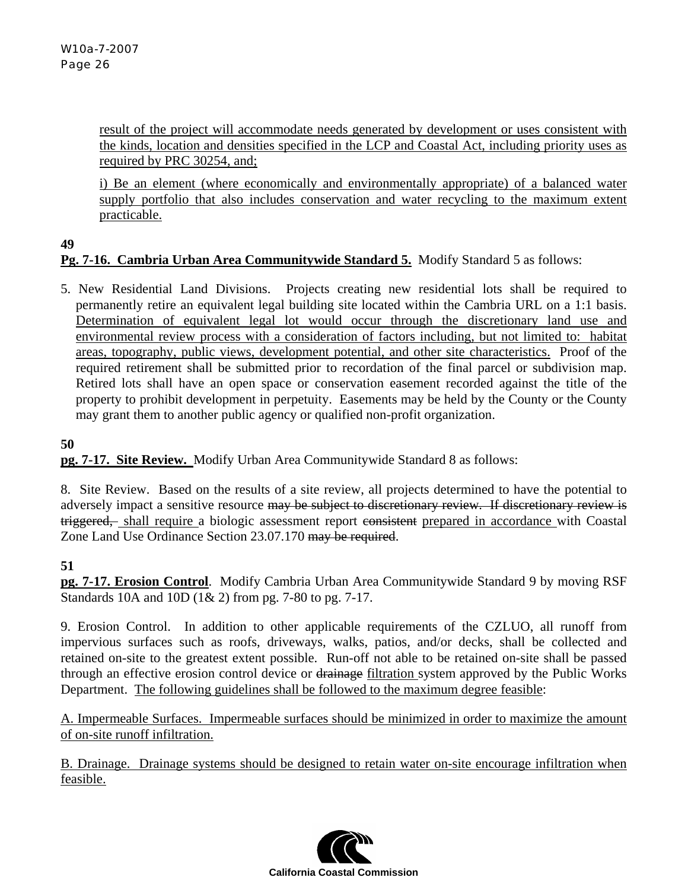result of the project will accommodate needs generated by development or uses consistent with the kinds, location and densities specified in the LCP and Coastal Act, including priority uses as required by PRC 30254, and;

i) Be an element (where economically and environmentally appropriate) of a balanced water supply portfolio that also includes conservation and water recycling to the maximum extent practicable.

#### **49**

#### **Pg. 7-16. Cambria Urban Area Communitywide Standard 5.** Modify Standard 5 as follows:

5. New Residential Land Divisions. Projects creating new residential lots shall be required to permanently retire an equivalent legal building site located within the Cambria URL on a 1:1 basis. Determination of equivalent legal lot would occur through the discretionary land use and environmental review process with a consideration of factors including, but not limited to: habitat areas, topography, public views, development potential, and other site characteristics. Proof of the required retirement shall be submitted prior to recordation of the final parcel or subdivision map. Retired lots shall have an open space or conservation easement recorded against the title of the property to prohibit development in perpetuity. Easements may be held by the County or the County may grant them to another public agency or qualified non-profit organization.

#### **50**

**pg. 7-17. Site Review.** Modify Urban Area Communitywide Standard 8 as follows:

8. Site Review. Based on the results of a site review, all projects determined to have the potential to adversely impact a sensitive resource may be subject to discretionary review. If discretionary review is triggered, shall require a biologic assessment report consistent prepared in accordance with Coastal Zone Land Use Ordinance Section 23.07.170 may be required.

#### **51**

**pg. 7-17. Erosion Control**. Modify Cambria Urban Area Communitywide Standard 9 by moving RSF Standards 10A and 10D (1& 2) from pg. 7-80 to pg. 7-17.

9. Erosion Control. In addition to other applicable requirements of the CZLUO, all runoff from impervious surfaces such as roofs, driveways, walks, patios, and/or decks, shall be collected and retained on-site to the greatest extent possible. Run-off not able to be retained on-site shall be passed through an effective erosion control device or drainage filtration system approved by the Public Works Department. The following guidelines shall be followed to the maximum degree feasible:

A. Impermeable Surfaces. Impermeable surfaces should be minimized in order to maximize the amount of on-site runoff infiltration.

B. Drainage. Drainage systems should be designed to retain water on-site encourage infiltration when feasible.

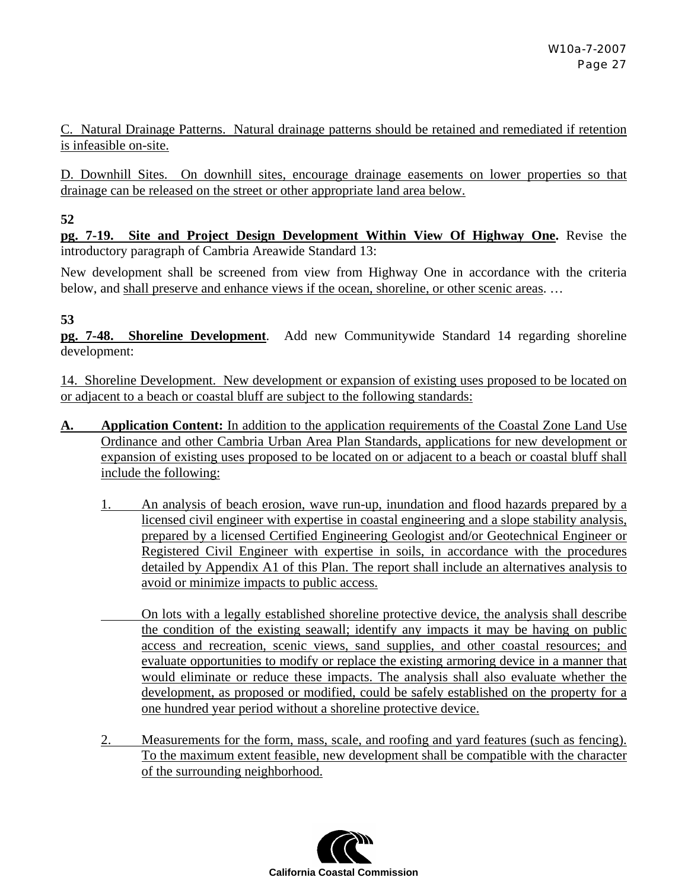C. Natural Drainage Patterns. Natural drainage patterns should be retained and remediated if retention is infeasible on-site.

D. Downhill Sites. On downhill sites, encourage drainage easements on lower properties so that drainage can be released on the street or other appropriate land area below.

**52** 

**pg. 7-19. Site and Project Design Development Within View Of Highway One.** Revise the introductory paragraph of Cambria Areawide Standard 13:

New development shall be screened from view from Highway One in accordance with the criteria below, and shall preserve and enhance views if the ocean, shoreline, or other scenic areas. …

# **53**

**pg. 7-48. Shoreline Development**. Add new Communitywide Standard 14 regarding shoreline development:

14. Shoreline Development. New development or expansion of existing uses proposed to be located on or adjacent to a beach or coastal bluff are subject to the following standards:

- **A. Application Content:** In addition to the application requirements of the Coastal Zone Land Use Ordinance and other Cambria Urban Area Plan Standards, applications for new development or expansion of existing uses proposed to be located on or adjacent to a beach or coastal bluff shall include the following:
	- 1. An analysis of beach erosion, wave run-up, inundation and flood hazards prepared by a licensed civil engineer with expertise in coastal engineering and a slope stability analysis, prepared by a licensed Certified Engineering Geologist and/or Geotechnical Engineer or Registered Civil Engineer with expertise in soils, in accordance with the procedures detailed by Appendix A1 of this Plan. The report shall include an alternatives analysis to avoid or minimize impacts to public access.
	- On lots with a legally established shoreline protective device, the analysis shall describe the condition of the existing seawall; identify any impacts it may be having on public access and recreation, scenic views, sand supplies, and other coastal resources; and evaluate opportunities to modify or replace the existing armoring device in a manner that would eliminate or reduce these impacts. The analysis shall also evaluate whether the development, as proposed or modified, could be safely established on the property for a one hundred year period without a shoreline protective device.
	- 2. Measurements for the form, mass, scale, and roofing and yard features (such as fencing). To the maximum extent feasible, new development shall be compatible with the character of the surrounding neighborhood.

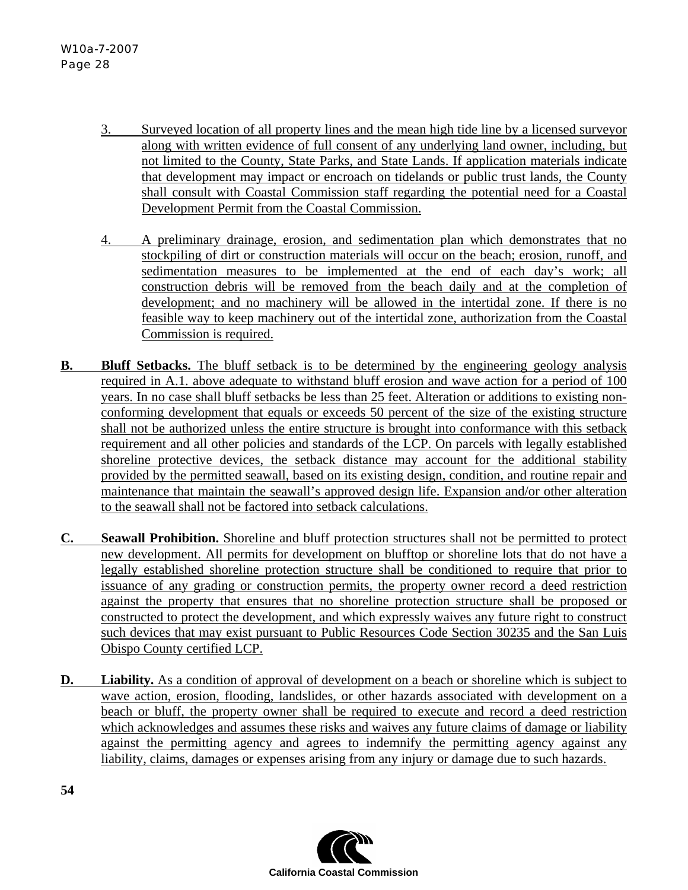- 3. Surveyed location of all property lines and the mean high tide line by a licensed surveyor along with written evidence of full consent of any underlying land owner, including, but not limited to the County, State Parks, and State Lands. If application materials indicate that development may impact or encroach on tidelands or public trust lands, the County shall consult with Coastal Commission staff regarding the potential need for a Coastal Development Permit from the Coastal Commission.
- 4. A preliminary drainage, erosion, and sedimentation plan which demonstrates that no stockpiling of dirt or construction materials will occur on the beach; erosion, runoff, and sedimentation measures to be implemented at the end of each day's work; all construction debris will be removed from the beach daily and at the completion of development; and no machinery will be allowed in the intertidal zone. If there is no feasible way to keep machinery out of the intertidal zone, authorization from the Coastal Commission is required.
- **B.** Bluff Setbacks. The bluff setback is to be determined by the engineering geology analysis required in A.1. above adequate to withstand bluff erosion and wave action for a period of 100 years. In no case shall bluff setbacks be less than 25 feet. Alteration or additions to existing nonconforming development that equals or exceeds 50 percent of the size of the existing structure shall not be authorized unless the entire structure is brought into conformance with this setback requirement and all other policies and standards of the LCP. On parcels with legally established shoreline protective devices, the setback distance may account for the additional stability provided by the permitted seawall, based on its existing design, condition, and routine repair and maintenance that maintain the seawall's approved design life. Expansion and/or other alteration to the seawall shall not be factored into setback calculations.
- **C. Seawall Prohibition.** Shoreline and bluff protection structures shall not be permitted to protect new development. All permits for development on blufftop or shoreline lots that do not have a legally established shoreline protection structure shall be conditioned to require that prior to issuance of any grading or construction permits, the property owner record a deed restriction against the property that ensures that no shoreline protection structure shall be proposed or constructed to protect the development, and which expressly waives any future right to construct such devices that may exist pursuant to Public Resources Code Section 30235 and the San Luis Obispo County certified LCP.
- **D.** Liability. As a condition of approval of development on a beach or shoreline which is subject to wave action, erosion, flooding, landslides, or other hazards associated with development on a beach or bluff, the property owner shall be required to execute and record a deed restriction which acknowledges and assumes these risks and waives any future claims of damage or liability against the permitting agency and agrees to indemnify the permitting agency against any liability, claims, damages or expenses arising from any injury or damage due to such hazards.

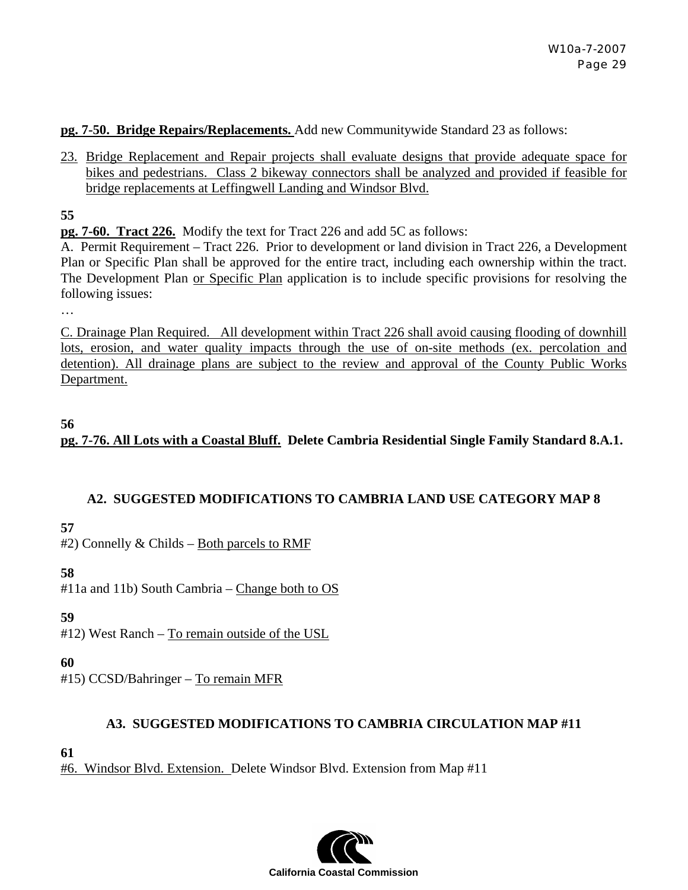**pg. 7-50. Bridge Repairs/Replacements.** Add new Communitywide Standard 23 as follows:

23. Bridge Replacement and Repair projects shall evaluate designs that provide adequate space for bikes and pedestrians. Class 2 bikeway connectors shall be analyzed and provided if feasible for bridge replacements at Leffingwell Landing and Windsor Blvd.

**55** 

…

**pg. 7-60. Tract 226.** Modify the text for Tract 226 and add 5C as follows:

A. Permit Requirement – Tract 226. Prior to development or land division in Tract 226, a Development Plan or Specific Plan shall be approved for the entire tract, including each ownership within the tract. The Development Plan or Specific Plan application is to include specific provisions for resolving the following issues:

C. Drainage Plan Required. All development within Tract 226 shall avoid causing flooding of downhill lots, erosion, and water quality impacts through the use of on-site methods (ex. percolation and detention). All drainage plans are subject to the review and approval of the County Public Works Department.

#### **56**

**pg. 7-76. All Lots with a Coastal Bluff. Delete Cambria Residential Single Family Standard 8.A.1.** 

#### **A2. SUGGESTED MODIFICATIONS TO CAMBRIA LAND USE CATEGORY MAP 8**

**57** 

#2) Connelly & Childs – Both parcels to RMF

#### **58**

#11a and 11b) South Cambria – Change both to OS

#### **59**

#12) West Ranch – To remain outside of the USL

#### **60**

#15) CCSD/Bahringer – To remain MFR

#### **A3. SUGGESTED MODIFICATIONS TO CAMBRIA CIRCULATION MAP #11**

**61** 

#6. Windsor Blvd. Extension.Delete Windsor Blvd. Extension from Map #11

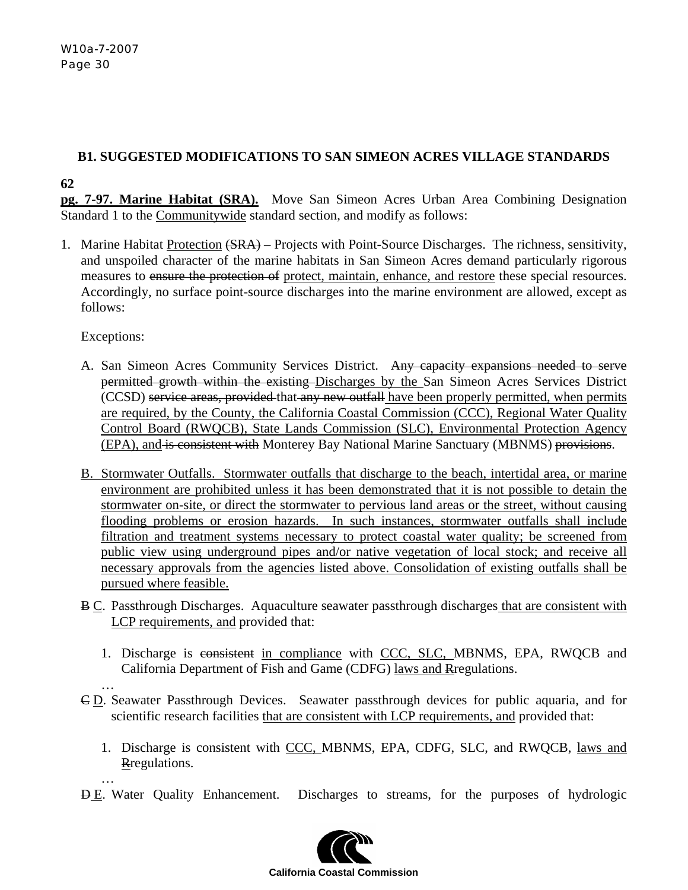# **B1. SUGGESTED MODIFICATIONS TO SAN SIMEON ACRES VILLAGE STANDARDS**

**62** 

**pg. 7-97. Marine Habitat (SRA).** Move San Simeon Acres Urban Area Combining Designation Standard 1 to the Communitywide standard section, and modify as follows:

1. Marine Habitat Protection (SRA) – Projects with Point-Source Discharges. The richness, sensitivity, and unspoiled character of the marine habitats in San Simeon Acres demand particularly rigorous measures to ensure the protection of protect, maintain, enhance, and restore these special resources. Accordingly, no surface point-source discharges into the marine environment are allowed, except as follows:

Exceptions:

- A. San Simeon Acres Community Services District. Any capacity expansions needed to serve permitted growth within the existing Discharges by the San Simeon Acres Services District (CCSD) service areas, provided that any new outfall have been properly permitted, when permits are required, by the County, the California Coastal Commission (CCC), Regional Water Quality Control Board (RWQCB), State Lands Commission (SLC), Environmental Protection Agency (EPA), and is consistent with Monterey Bay National Marine Sanctuary (MBNMS) provisions.
- B. Stormwater Outfalls. Stormwater outfalls that discharge to the beach, intertidal area, or marine environment are prohibited unless it has been demonstrated that it is not possible to detain the stormwater on-site, or direct the stormwater to pervious land areas or the street, without causing flooding problems or erosion hazards. In such instances, stormwater outfalls shall include filtration and treatment systems necessary to protect coastal water quality; be screened from public view using underground pipes and/or native vegetation of local stock; and receive all necessary approvals from the agencies listed above. Consolidation of existing outfalls shall be pursued where feasible.
- B C. Passthrough Discharges. Aquaculture seawater passthrough discharges that are consistent with LCP requirements, and provided that:
	- 1. Discharge is consistent in compliance with CCC, SLC, MBNMS, EPA, RWQCB and California Department of Fish and Game (CDFG) laws and Rregulations.
	- …
- C D. Seawater Passthrough Devices. Seawater passthrough devices for public aquaria, and for scientific research facilities that are consistent with LCP requirements, and provided that:
	- 1. Discharge is consistent with CCC, MBNMS, EPA, CDFG, SLC, and RWQCB, laws and Rregulations.
- … **D.E.** Water Quality Enhancement. Discharges to streams, for the purposes of hydrologic

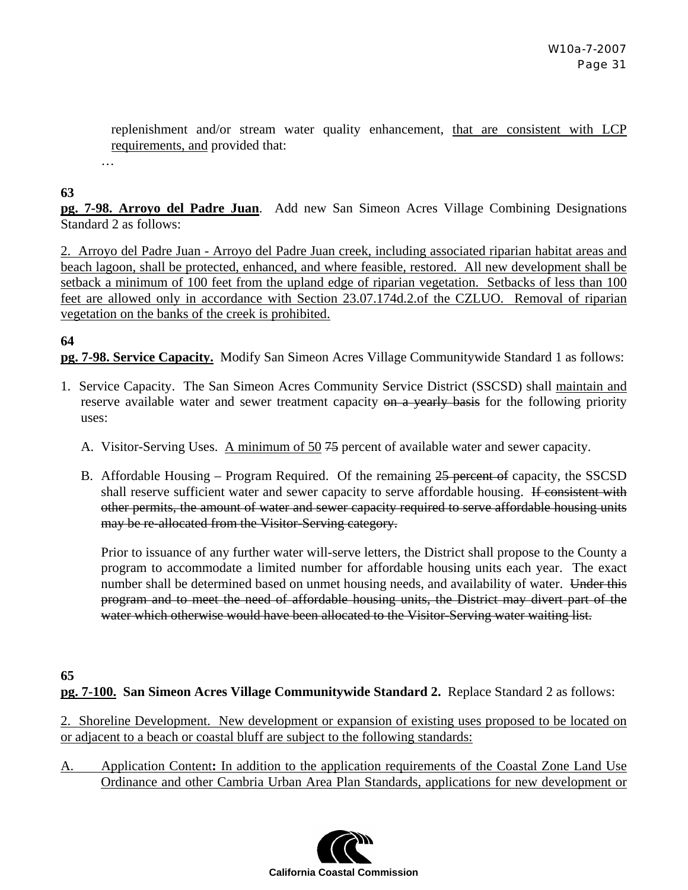replenishment and/or stream water quality enhancement, that are consistent with LCP requirements, and provided that:

#### **63**

…

**pg. 7-98. Arroyo del Padre Juan**. Add new San Simeon Acres Village Combining Designations Standard 2 as follows:

2. Arroyo del Padre Juan - Arroyo del Padre Juan creek, including associated riparian habitat areas and beach lagoon, shall be protected, enhanced, and where feasible, restored. All new development shall be setback a minimum of 100 feet from the upland edge of riparian vegetation. Setbacks of less than 100 feet are allowed only in accordance with Section 23.07.174d.2.of the CZLUO. Removal of riparian vegetation on the banks of the creek is prohibited.

## **64**

**pg. 7-98. Service Capacity.** Modify San Simeon Acres Village Communitywide Standard 1 as follows:

- 1. Service Capacity. The San Simeon Acres Community Service District (SSCSD) shall maintain and reserve available water and sewer treatment capacity on a yearly basis for the following priority uses:
	- A. Visitor-Serving Uses. A minimum of 50 75 percent of available water and sewer capacity.
	- B. Affordable Housing Program Required. Of the remaining 25 percent of capacity, the SSCSD shall reserve sufficient water and sewer capacity to serve affordable housing. If consistent with other permits, the amount of water and sewer capacity required to serve affordable housing units may be re-allocated from the Visitor-Serving category.

Prior to issuance of any further water will-serve letters, the District shall propose to the County a program to accommodate a limited number for affordable housing units each year. The exact number shall be determined based on unmet housing needs, and availability of water. Under this program and to meet the need of affordable housing units, the District may divert part of the water which otherwise would have been allocated to the Visitor-Serving water waiting list.

# **65**

**pg. 7-100. San Simeon Acres Village Communitywide Standard 2.** Replace Standard 2 as follows:

2. Shoreline Development. New development or expansion of existing uses proposed to be located on or adjacent to a beach or coastal bluff are subject to the following standards:

A. Application Content**:** In addition to the application requirements of the Coastal Zone Land Use Ordinance and other Cambria Urban Area Plan Standards, applications for new development or

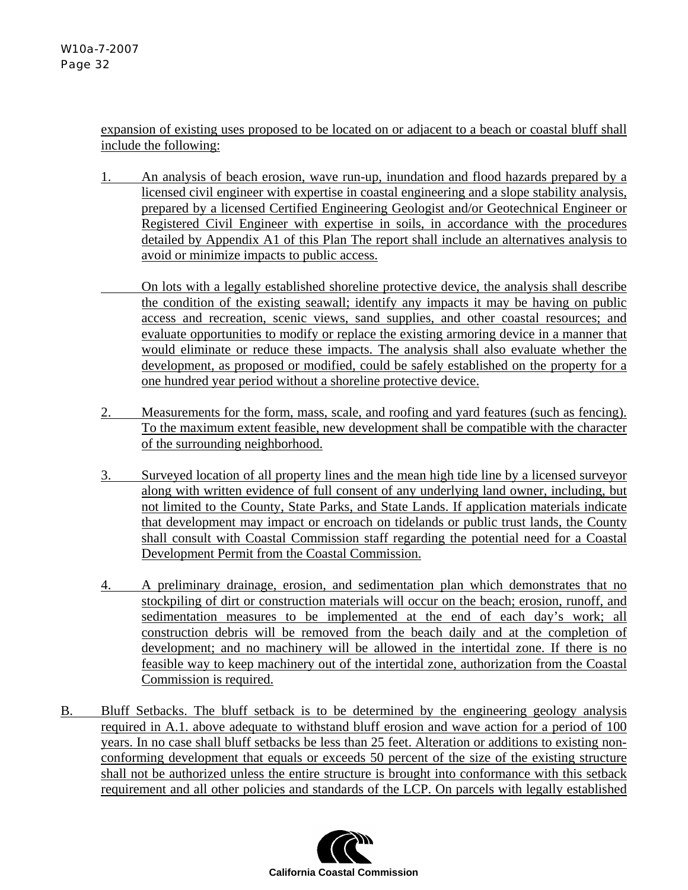expansion of existing uses proposed to be located on or adjacent to a beach or coastal bluff shall include the following:

- 1. An analysis of beach erosion, wave run-up, inundation and flood hazards prepared by a licensed civil engineer with expertise in coastal engineering and a slope stability analysis, prepared by a licensed Certified Engineering Geologist and/or Geotechnical Engineer or Registered Civil Engineer with expertise in soils, in accordance with the procedures detailed by Appendix A1 of this Plan The report shall include an alternatives analysis to avoid or minimize impacts to public access.
- On lots with a legally established shoreline protective device, the analysis shall describe the condition of the existing seawall; identify any impacts it may be having on public access and recreation, scenic views, sand supplies, and other coastal resources; and evaluate opportunities to modify or replace the existing armoring device in a manner that would eliminate or reduce these impacts. The analysis shall also evaluate whether the development, as proposed or modified, could be safely established on the property for a one hundred year period without a shoreline protective device.
- 2. Measurements for the form, mass, scale, and roofing and yard features (such as fencing). To the maximum extent feasible, new development shall be compatible with the character of the surrounding neighborhood.
- 3. Surveyed location of all property lines and the mean high tide line by a licensed surveyor along with written evidence of full consent of any underlying land owner, including, but not limited to the County, State Parks, and State Lands. If application materials indicate that development may impact or encroach on tidelands or public trust lands, the County shall consult with Coastal Commission staff regarding the potential need for a Coastal Development Permit from the Coastal Commission.
- 4. A preliminary drainage, erosion, and sedimentation plan which demonstrates that no stockpiling of dirt or construction materials will occur on the beach; erosion, runoff, and sedimentation measures to be implemented at the end of each day's work; all construction debris will be removed from the beach daily and at the completion of development; and no machinery will be allowed in the intertidal zone. If there is no feasible way to keep machinery out of the intertidal zone, authorization from the Coastal Commission is required.
- B. Bluff Setbacks. The bluff setback is to be determined by the engineering geology analysis required in A.1. above adequate to withstand bluff erosion and wave action for a period of 100 years. In no case shall bluff setbacks be less than 25 feet. Alteration or additions to existing nonconforming development that equals or exceeds 50 percent of the size of the existing structure shall not be authorized unless the entire structure is brought into conformance with this setback requirement and all other policies and standards of the LCP. On parcels with legally established

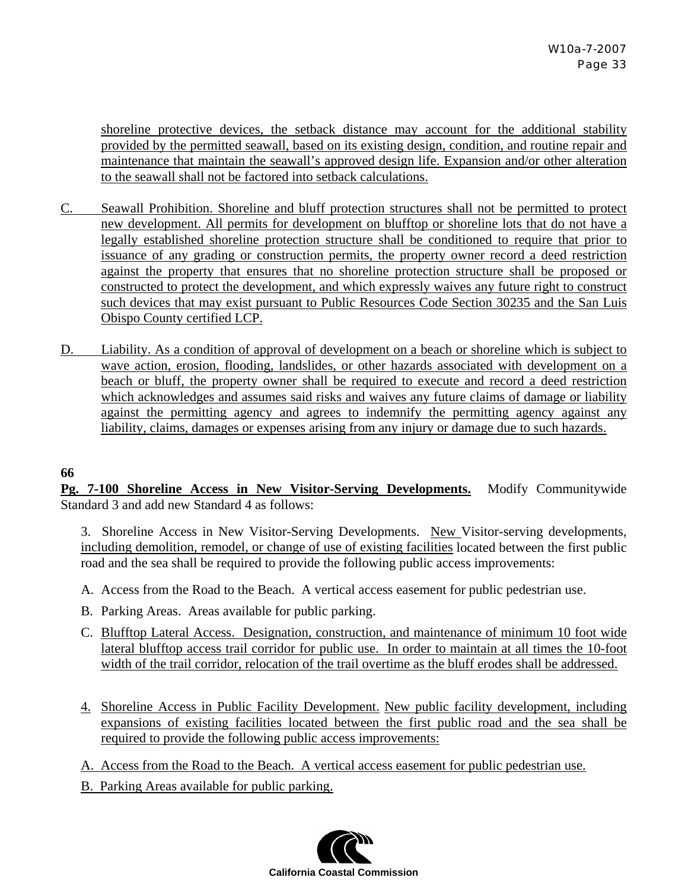shoreline protective devices, the setback distance may account for the additional stability provided by the permitted seawall, based on its existing design, condition, and routine repair and maintenance that maintain the seawall's approved design life. Expansion and/or other alteration to the seawall shall not be factored into setback calculations.

- C. Seawall Prohibition. Shoreline and bluff protection structures shall not be permitted to protect new development. All permits for development on blufftop or shoreline lots that do not have a legally established shoreline protection structure shall be conditioned to require that prior to issuance of any grading or construction permits, the property owner record a deed restriction against the property that ensures that no shoreline protection structure shall be proposed or constructed to protect the development, and which expressly waives any future right to construct such devices that may exist pursuant to Public Resources Code Section 30235 and the San Luis Obispo County certified LCP.
- D. Liability. As a condition of approval of development on a beach or shoreline which is subject to wave action, erosion, flooding, landslides, or other hazards associated with development on a beach or bluff, the property owner shall be required to execute and record a deed restriction which acknowledges and assumes said risks and waives any future claims of damage or liability against the permitting agency and agrees to indemnify the permitting agency against any liability, claims, damages or expenses arising from any injury or damage due to such hazards.

## **66**

**Pg. 7-100 Shoreline Access in New Visitor-Serving Developments.** Modify Communitywide Standard 3 and add new Standard 4 as follows:

3. Shoreline Access in New Visitor-Serving Developments. New Visitor-serving developments, including demolition, remodel, or change of use of existing facilities located between the first public road and the sea shall be required to provide the following public access improvements:

- A. Access from the Road to the Beach. A vertical access easement for public pedestrian use.
- B. Parking Areas. Areas available for public parking.
- C. Blufftop Lateral Access. Designation, construction, and maintenance of minimum 10 foot wide lateral blufftop access trail corridor for public use. In order to maintain at all times the 10-foot width of the trail corridor, relocation of the trail overtime as the bluff erodes shall be addressed.
- 4. Shoreline Access in Public Facility Development. New public facility development, including expansions of existing facilities located between the first public road and the sea shall be required to provide the following public access improvements:
- A. Access from the Road to the Beach. A vertical access easement for public pedestrian use.
- B. Parking Areas available for public parking.

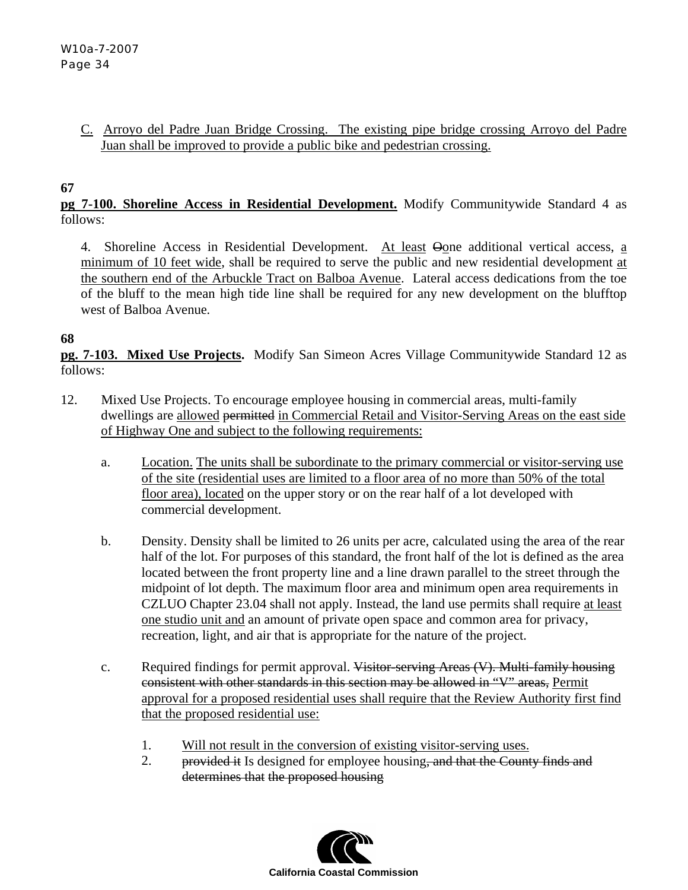## C.Arroyo del Padre Juan Bridge Crossing. The existing pipe bridge crossing Arroyo del Padre Juan shall be improved to provide a public bike and pedestrian crossing.

## **67**

**pg 7-100. Shoreline Access in Residential Development.** Modify Communitywide Standard 4 as follows:

4. Shoreline Access in Residential Development. At least  $\Theta$  one additional vertical access, a minimum of 10 feet wide, shall be required to serve the public and new residential development at the southern end of the Arbuckle Tract on Balboa Avenue. Lateral access dedications from the toe of the bluff to the mean high tide line shall be required for any new development on the blufftop west of Balboa Avenue*.*

## **68**

**pg. 7-103. Mixed Use Projects.** Modify San Simeon Acres Village Communitywide Standard 12 as follows:

- 12. Mixed Use Projects. To encourage employee housing in commercial areas, multi-family dwellings are allowed permitted in Commercial Retail and Visitor-Serving Areas on the east side of Highway One and subject to the following requirements:
	- a. Location. The units shall be subordinate to the primary commercial or visitor-serving use of the site (residential uses are limited to a floor area of no more than 50% of the total floor area), located on the upper story or on the rear half of a lot developed with commercial development.
	- b. Density. Density shall be limited to 26 units per acre, calculated using the area of the rear half of the lot. For purposes of this standard, the front half of the lot is defined as the area located between the front property line and a line drawn parallel to the street through the midpoint of lot depth. The maximum floor area and minimum open area requirements in CZLUO Chapter 23.04 shall not apply. Instead, the land use permits shall require at least one studio unit and an amount of private open space and common area for privacy, recreation, light, and air that is appropriate for the nature of the project.
	- c. Required findings for permit approval. Visitor-serving Areas (V). Multi-family housing consistent with other standards in this section may be allowed in "V" areas, Permit approval for a proposed residential uses shall require that the Review Authority first find that the proposed residential use:
		- 1. Will not result in the conversion of existing visitor-serving uses.
		- 2. provided it Is designed for employee housing, and that the County finds and determines that the proposed housing

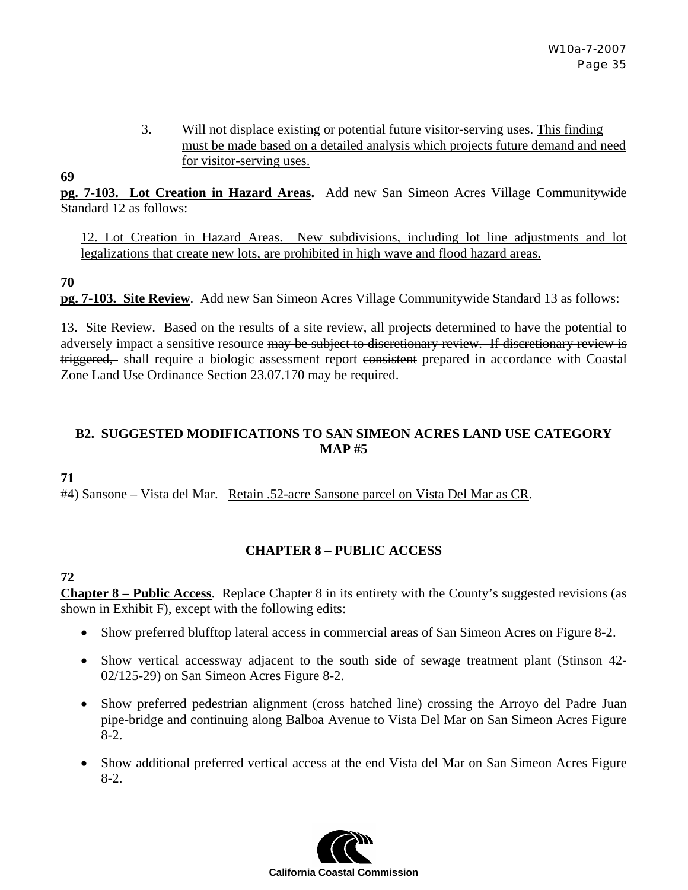3. Will not displace existing or potential future visitor-serving uses. This finding must be made based on a detailed analysis which projects future demand and need for visitor-serving uses.

**pg. 7-103. Lot Creation in Hazard Areas.** Add new San Simeon Acres Village Communitywide Standard 12 as follows:

12. Lot Creation in Hazard Areas. New subdivisions, including lot line adjustments and lot legalizations that create new lots, are prohibited in high wave and flood hazard areas.

**70** 

**69** 

**pg. 7-103. Site Review**. Add new San Simeon Acres Village Communitywide Standard 13 as follows:

13. Site Review. Based on the results of a site review, all projects determined to have the potential to adversely impact a sensitive resource may be subject to discretionary review. If discretionary review is triggered, shall require a biologic assessment report consistent prepared in accordance with Coastal Zone Land Use Ordinance Section 23.07.170 may be required.

## **B2. SUGGESTED MODIFICATIONS TO SAN SIMEON ACRES LAND USE CATEGORY MAP #5**

**71** 

#4) Sansone – Vista del Mar.Retain .52-acre Sansone parcel on Vista Del Mar as CR.

# **CHAPTER 8 – PUBLIC ACCESS**

## **72**

**Chapter 8 – Public Access**. Replace Chapter 8 in its entirety with the County's suggested revisions (as shown in Exhibit F), except with the following edits:

- Show preferred blufftop lateral access in commercial areas of San Simeon Acres on Figure 8-2.
- Show vertical accessway adjacent to the south side of sewage treatment plant (Stinson 42- 02/125-29) on San Simeon Acres Figure 8-2.
- Show preferred pedestrian alignment (cross hatched line) crossing the Arroyo del Padre Juan pipe-bridge and continuing along Balboa Avenue to Vista Del Mar on San Simeon Acres Figure 8-2.
- Show additional preferred vertical access at the end Vista del Mar on San Simeon Acres Figure 8-2.

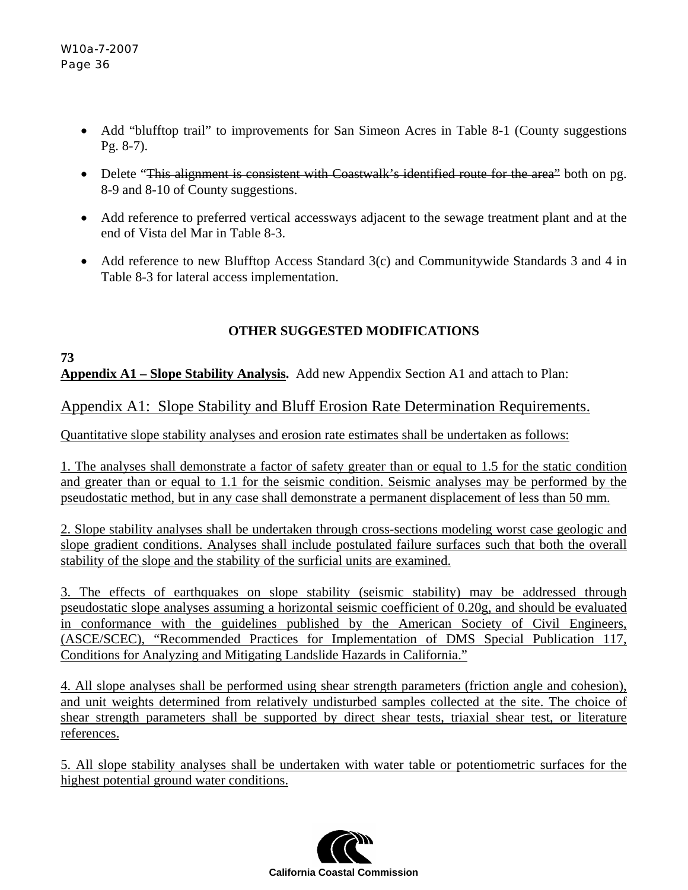- Add "blufftop trail" to improvements for San Simeon Acres in Table 8-1 (County suggestions Pg. 8-7).
- Delete "This alignment is consistent with Coastwalk's identified route for the area" both on pg. 8-9 and 8-10 of County suggestions.
- Add reference to preferred vertical accessways adjacent to the sewage treatment plant and at the end of Vista del Mar in Table 8-3.
- Add reference to new Blufftop Access Standard 3(c) and Communitywide Standards 3 and 4 in Table 8-3 for lateral access implementation.

# **OTHER SUGGESTED MODIFICATIONS**

## **73 Appendix A1 – Slope Stability Analysis.** Add new Appendix Section A1 and attach to Plan:

# Appendix A1: Slope Stability and Bluff Erosion Rate Determination Requirements.

Quantitative slope stability analyses and erosion rate estimates shall be undertaken as follows:

1. The analyses shall demonstrate a factor of safety greater than or equal to 1.5 for the static condition and greater than or equal to 1.1 for the seismic condition. Seismic analyses may be performed by the pseudostatic method, but in any case shall demonstrate a permanent displacement of less than 50 mm.

2. Slope stability analyses shall be undertaken through cross-sections modeling worst case geologic and slope gradient conditions. Analyses shall include postulated failure surfaces such that both the overall stability of the slope and the stability of the surficial units are examined.

3. The effects of earthquakes on slope stability (seismic stability) may be addressed through pseudostatic slope analyses assuming a horizontal seismic coefficient of 0.20g, and should be evaluated in conformance with the guidelines published by the American Society of Civil Engineers, (ASCE/SCEC), "Recommended Practices for Implementation of DMS Special Publication 117, Conditions for Analyzing and Mitigating Landslide Hazards in California."

4. All slope analyses shall be performed using shear strength parameters (friction angle and cohesion), and unit weights determined from relatively undisturbed samples collected at the site. The choice of shear strength parameters shall be supported by direct shear tests, triaxial shear test, or literature references.

5. All slope stability analyses shall be undertaken with water table or potentiometric surfaces for the highest potential ground water conditions.

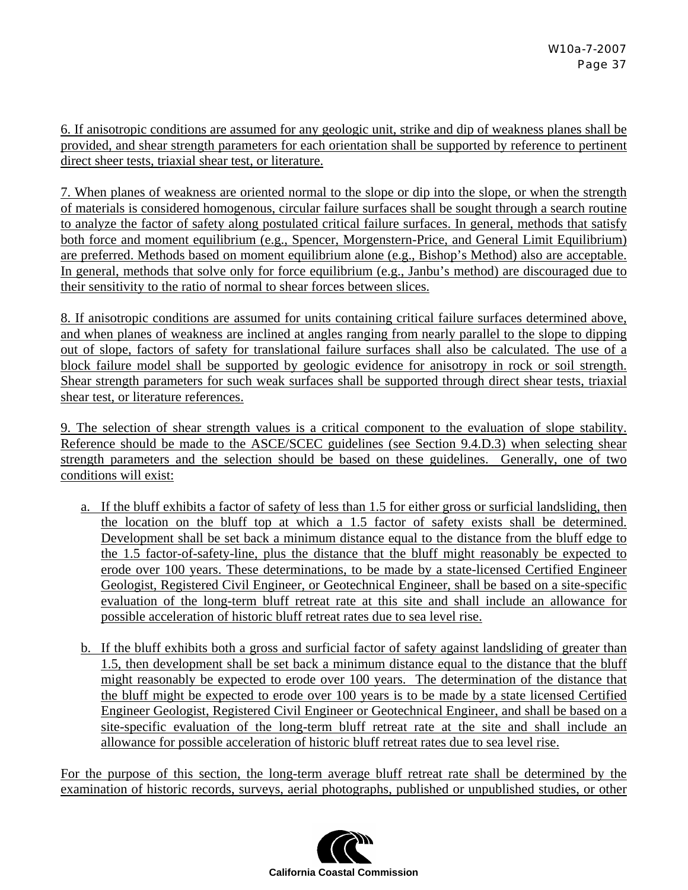6. If anisotropic conditions are assumed for any geologic unit, strike and dip of weakness planes shall be provided, and shear strength parameters for each orientation shall be supported by reference to pertinent direct sheer tests, triaxial shear test, or literature.

7. When planes of weakness are oriented normal to the slope or dip into the slope, or when the strength of materials is considered homogenous, circular failure surfaces shall be sought through a search routine to analyze the factor of safety along postulated critical failure surfaces. In general, methods that satisfy both force and moment equilibrium (e.g., Spencer, Morgenstern-Price, and General Limit Equilibrium) are preferred. Methods based on moment equilibrium alone (e.g., Bishop's Method) also are acceptable. In general, methods that solve only for force equilibrium (e.g., Janbu's method) are discouraged due to their sensitivity to the ratio of normal to shear forces between slices.

8. If anisotropic conditions are assumed for units containing critical failure surfaces determined above, and when planes of weakness are inclined at angles ranging from nearly parallel to the slope to dipping out of slope, factors of safety for translational failure surfaces shall also be calculated. The use of a block failure model shall be supported by geologic evidence for anisotropy in rock or soil strength. Shear strength parameters for such weak surfaces shall be supported through direct shear tests, triaxial shear test, or literature references.

9. The selection of shear strength values is a critical component to the evaluation of slope stability. Reference should be made to the ASCE/SCEC guidelines (see Section 9.4.D.3) when selecting shear strength parameters and the selection should be based on these guidelines. Generally, one of two conditions will exist:

- a. If the bluff exhibits a factor of safety of less than 1.5 for either gross or surficial landsliding, then the location on the bluff top at which a 1.5 factor of safety exists shall be determined. Development shall be set back a minimum distance equal to the distance from the bluff edge to the 1.5 factor-of-safety-line, plus the distance that the bluff might reasonably be expected to erode over 100 years. These determinations, to be made by a state-licensed Certified Engineer Geologist, Registered Civil Engineer, or Geotechnical Engineer, shall be based on a site-specific evaluation of the long-term bluff retreat rate at this site and shall include an allowance for possible acceleration of historic bluff retreat rates due to sea level rise.
- b. If the bluff exhibits both a gross and surficial factor of safety against landsliding of greater than 1.5, then development shall be set back a minimum distance equal to the distance that the bluff might reasonably be expected to erode over 100 years. The determination of the distance that the bluff might be expected to erode over 100 years is to be made by a state licensed Certified Engineer Geologist, Registered Civil Engineer or Geotechnical Engineer, and shall be based on a site-specific evaluation of the long-term bluff retreat rate at the site and shall include an allowance for possible acceleration of historic bluff retreat rates due to sea level rise.

For the purpose of this section, the long-term average bluff retreat rate shall be determined by the examination of historic records, surveys, aerial photographs, published or unpublished studies, or other

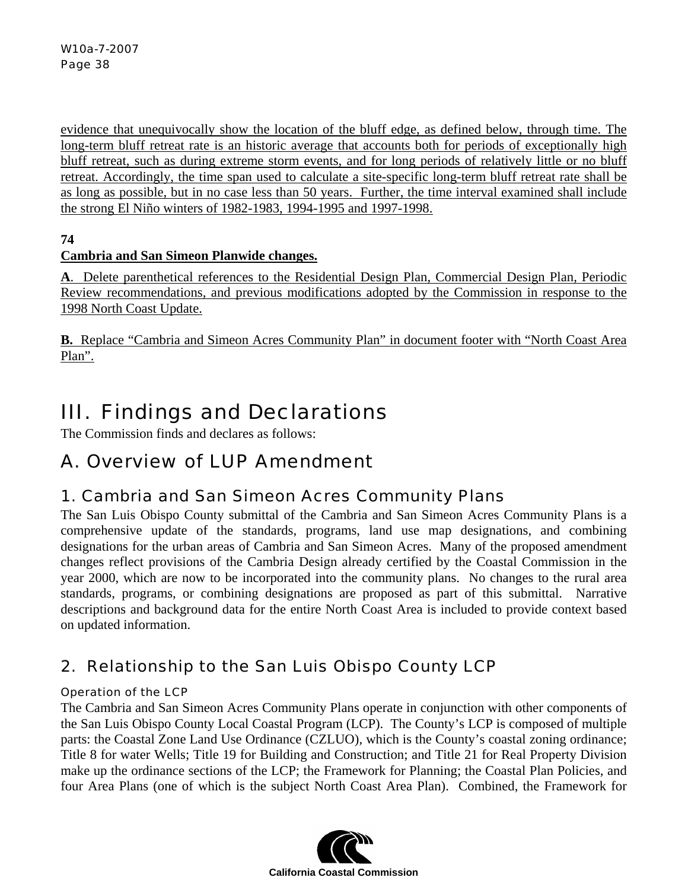evidence that unequivocally show the location of the bluff edge, as defined below, through time. The long-term bluff retreat rate is an historic average that accounts both for periods of exceptionally high bluff retreat, such as during extreme storm events, and for long periods of relatively little or no bluff retreat. Accordingly, the time span used to calculate a site-specific long-term bluff retreat rate shall be as long as possible, but in no case less than 50 years. Further, the time interval examined shall include the strong El Niño winters of 1982-1983, 1994-1995 and 1997-1998.

# **74**

# **Cambria and San Simeon Planwide changes.**

**A**. Delete parenthetical references to the Residential Design Plan, Commercial Design Plan, Periodic Review recommendations, and previous modifications adopted by the Commission in response to the 1998 North Coast Update.

**B.** Replace "Cambria and Simeon Acres Community Plan" in document footer with "North Coast Area Plan".

# III. Findings and Declarations

The Commission finds and declares as follows:

# A. Overview of LUP Amendment

# 1. Cambria and San Simeon Acres Community Plans

The San Luis Obispo County submittal of the Cambria and San Simeon Acres Community Plans is a comprehensive update of the standards, programs, land use map designations, and combining designations for the urban areas of Cambria and San Simeon Acres. Many of the proposed amendment changes reflect provisions of the Cambria Design already certified by the Coastal Commission in the year 2000, which are now to be incorporated into the community plans. No changes to the rural area standards, programs, or combining designations are proposed as part of this submittal. Narrative descriptions and background data for the entire North Coast Area is included to provide context based on updated information.

# 2. Relationship to the San Luis Obispo County LCP

# Operation of the LCP

The Cambria and San Simeon Acres Community Plans operate in conjunction with other components of the San Luis Obispo County Local Coastal Program (LCP). The County's LCP is composed of multiple parts: the Coastal Zone Land Use Ordinance (CZLUO), which is the County's coastal zoning ordinance; Title 8 for water Wells; Title 19 for Building and Construction; and Title 21 for Real Property Division make up the ordinance sections of the LCP; the Framework for Planning; the Coastal Plan Policies, and four Area Plans (one of which is the subject North Coast Area Plan). Combined, the Framework for

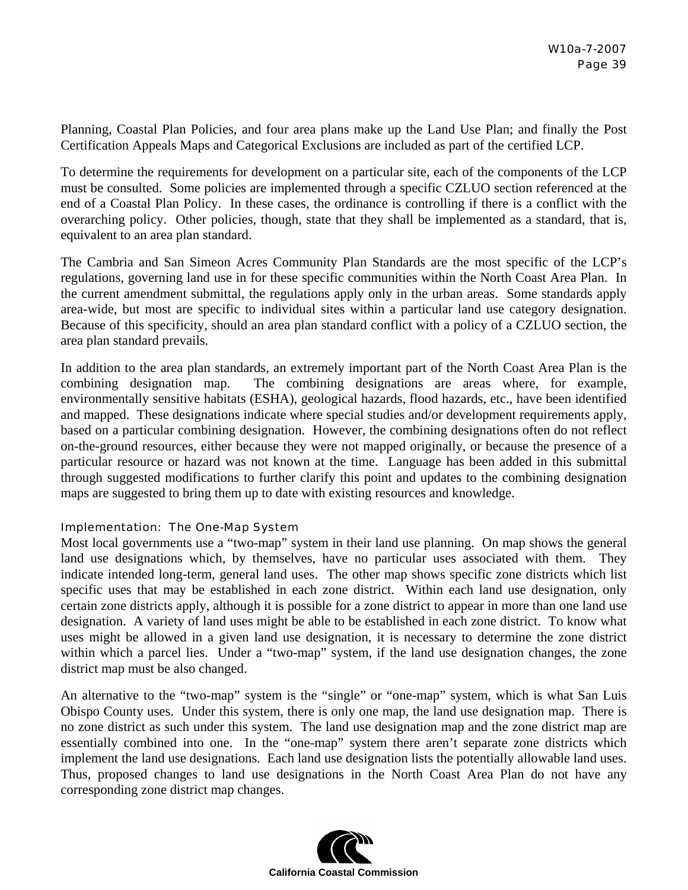Planning, Coastal Plan Policies, and four area plans make up the Land Use Plan; and finally the Post Certification Appeals Maps and Categorical Exclusions are included as part of the certified LCP.

To determine the requirements for development on a particular site, each of the components of the LCP must be consulted. Some policies are implemented through a specific CZLUO section referenced at the end of a Coastal Plan Policy. In these cases, the ordinance is controlling if there is a conflict with the overarching policy. Other policies, though, state that they shall be implemented as a standard, that is, equivalent to an area plan standard.

The Cambria and San Simeon Acres Community Plan Standards are the most specific of the LCP's regulations, governing land use in for these specific communities within the North Coast Area Plan. In the current amendment submittal, the regulations apply only in the urban areas. Some standards apply area-wide, but most are specific to individual sites within a particular land use category designation. Because of this specificity, should an area plan standard conflict with a policy of a CZLUO section, the area plan standard prevails.

In addition to the area plan standards, an extremely important part of the North Coast Area Plan is the combining designation map. The combining designations are areas where, for example, environmentally sensitive habitats (ESHA), geological hazards, flood hazards, etc., have been identified and mapped. These designations indicate where special studies and/or development requirements apply, based on a particular combining designation. However, the combining designations often do not reflect on-the-ground resources, either because they were not mapped originally, or because the presence of a particular resource or hazard was not known at the time. Language has been added in this submittal through suggested modifications to further clarify this point and updates to the combining designation maps are suggested to bring them up to date with existing resources and knowledge.

## Implementation: The One-Map System

Most local governments use a "two-map" system in their land use planning. On map shows the general land use designations which, by themselves, have no particular uses associated with them. They indicate intended long-term, general land uses. The other map shows specific zone districts which list specific uses that may be established in each zone district. Within each land use designation, only certain zone districts apply, although it is possible for a zone district to appear in more than one land use designation. A variety of land uses might be able to be established in each zone district. To know what uses might be allowed in a given land use designation, it is necessary to determine the zone district within which a parcel lies. Under a "two-map" system, if the land use designation changes, the zone district map must be also changed.

An alternative to the "two-map" system is the "single" or "one-map" system, which is what San Luis Obispo County uses. Under this system, there is only one map, the land use designation map. There is no zone district as such under this system. The land use designation map and the zone district map are essentially combined into one. In the "one-map" system there aren't separate zone districts which implement the land use designations. Each land use designation lists the potentially allowable land uses. Thus, proposed changes to land use designations in the North Coast Area Plan do not have any corresponding zone district map changes.

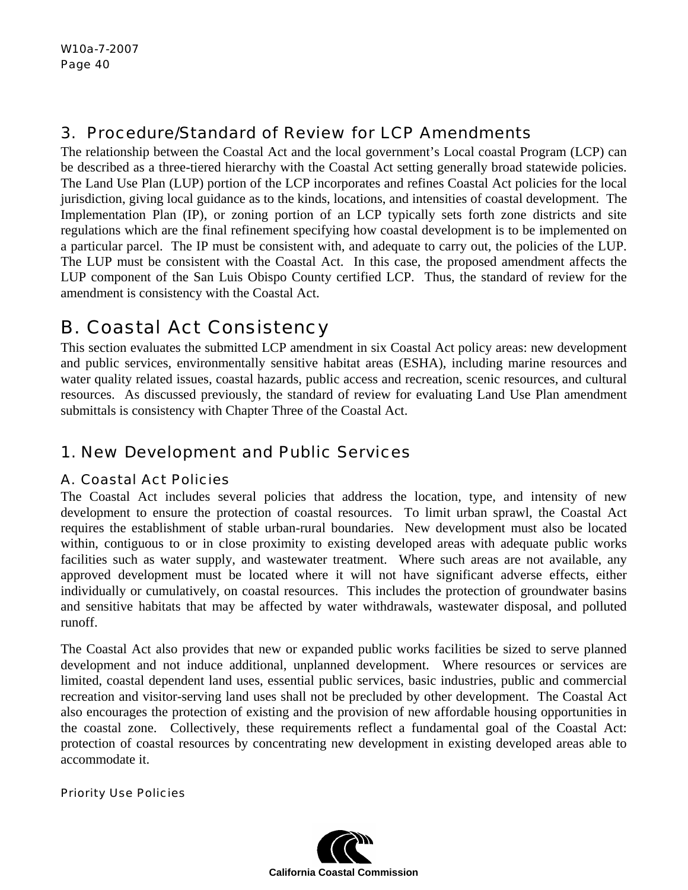# 3. Procedure/Standard of Review for LCP Amendments

The relationship between the Coastal Act and the local government's Local coastal Program (LCP) can be described as a three-tiered hierarchy with the Coastal Act setting generally broad statewide policies. The Land Use Plan (LUP) portion of the LCP incorporates and refines Coastal Act policies for the local jurisdiction, giving local guidance as to the kinds, locations, and intensities of coastal development. The Implementation Plan (IP), or zoning portion of an LCP typically sets forth zone districts and site regulations which are the final refinement specifying how coastal development is to be implemented on a particular parcel. The IP must be consistent with, and adequate to carry out, the policies of the LUP. The LUP must be consistent with the Coastal Act. In this case, the proposed amendment affects the LUP component of the San Luis Obispo County certified LCP. Thus, the standard of review for the amendment is consistency with the Coastal Act.

# B.Coastal Act Consistency

This section evaluates the submitted LCP amendment in six Coastal Act policy areas: new development and public services, environmentally sensitive habitat areas (ESHA), including marine resources and water quality related issues, coastal hazards, public access and recreation, scenic resources, and cultural resources. As discussed previously, the standard of review for evaluating Land Use Plan amendment submittals is consistency with Chapter Three of the Coastal Act.

# 1. New Development and Public Services

# A. Coastal Act Policies

The Coastal Act includes several policies that address the location, type, and intensity of new development to ensure the protection of coastal resources. To limit urban sprawl, the Coastal Act requires the establishment of stable urban-rural boundaries. New development must also be located within, contiguous to or in close proximity to existing developed areas with adequate public works facilities such as water supply, and wastewater treatment. Where such areas are not available, any approved development must be located where it will not have significant adverse effects, either individually or cumulatively, on coastal resources. This includes the protection of groundwater basins and sensitive habitats that may be affected by water withdrawals, wastewater disposal, and polluted runoff.

The Coastal Act also provides that new or expanded public works facilities be sized to serve planned development and not induce additional, unplanned development. Where resources or services are limited, coastal dependent land uses, essential public services, basic industries, public and commercial recreation and visitor-serving land uses shall not be precluded by other development. The Coastal Act also encourages the protection of existing and the provision of new affordable housing opportunities in the coastal zone. Collectively, these requirements reflect a fundamental goal of the Coastal Act: protection of coastal resources by concentrating new development in existing developed areas able to accommodate it.

## Priority Use Policies

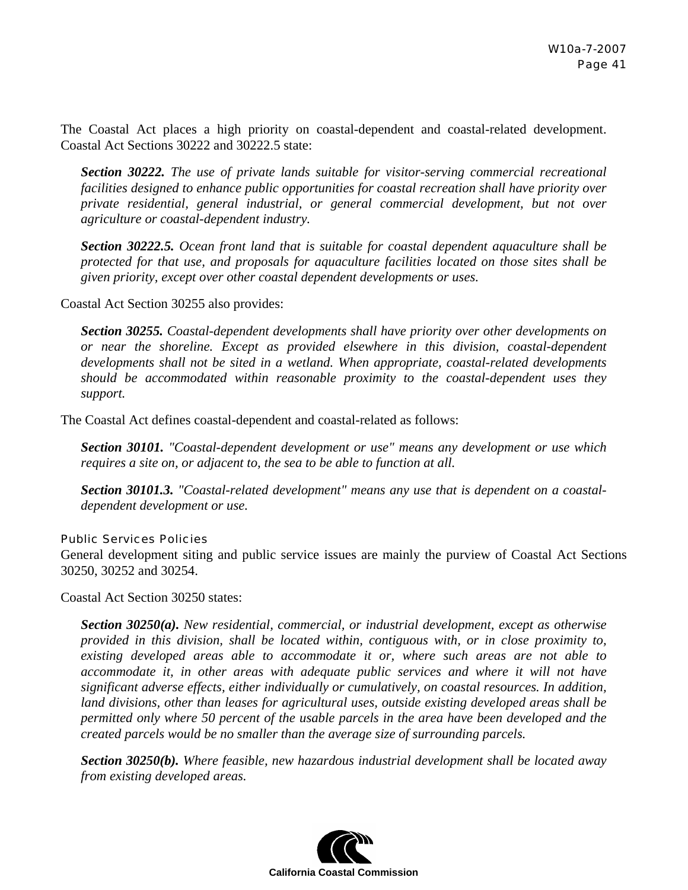The Coastal Act places a high priority on coastal-dependent and coastal-related development. Coastal Act Sections 30222 and 30222.5 state:

*Section 30222. The use of private lands suitable for visitor-serving commercial recreational facilities designed to enhance public opportunities for coastal recreation shall have priority over private residential, general industrial, or general commercial development, but not over agriculture or coastal-dependent industry.* 

*Section 30222.5. Ocean front land that is suitable for coastal dependent aquaculture shall be protected for that use, and proposals for aquaculture facilities located on those sites shall be given priority, except over other coastal dependent developments or uses.* 

Coastal Act Section 30255 also provides:

*Section 30255. Coastal-dependent developments shall have priority over other developments on or near the shoreline. Except as provided elsewhere in this division, coastal-dependent developments shall not be sited in a wetland. When appropriate, coastal-related developments should be accommodated within reasonable proximity to the coastal-dependent uses they support.* 

The Coastal Act defines coastal-dependent and coastal-related as follows:

*Section 30101. "Coastal-dependent development or use" means any development or use which requires a site on, or adjacent to, the sea to be able to function at all.* 

*Section 30101.3. "Coastal-related development" means any use that is dependent on a coastaldependent development or use.* 

#### Public Services Policies

General development siting and public service issues are mainly the purview of Coastal Act Sections 30250, 30252 and 30254.

Coastal Act Section 30250 states:

*Section 30250(a). New residential, commercial, or industrial development, except as otherwise provided in this division, shall be located within, contiguous with, or in close proximity to, existing developed areas able to accommodate it or, where such areas are not able to accommodate it, in other areas with adequate public services and where it will not have significant adverse effects, either individually or cumulatively, on coastal resources. In addition, land divisions, other than leases for agricultural uses, outside existing developed areas shall be permitted only where 50 percent of the usable parcels in the area have been developed and the created parcels would be no smaller than the average size of surrounding parcels.* 

*Section 30250(b). Where feasible, new hazardous industrial development shall be located away from existing developed areas.* 

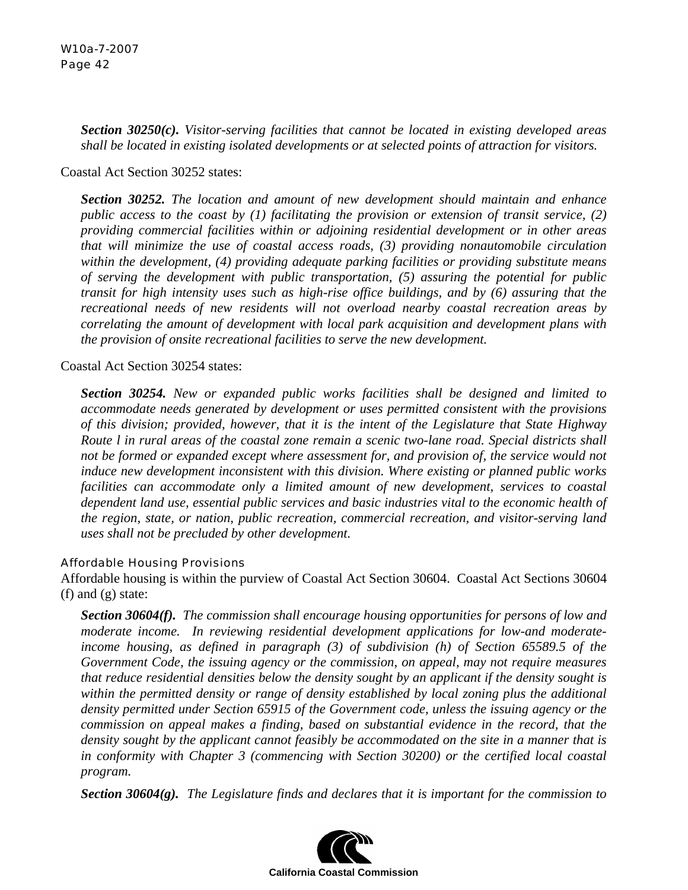*Section 30250(c). Visitor-serving facilities that cannot be located in existing developed areas shall be located in existing isolated developments or at selected points of attraction for visitors.* 

Coastal Act Section 30252 states:

*Section 30252. The location and amount of new development should maintain and enhance public access to the coast by (1) facilitating the provision or extension of transit service, (2) providing commercial facilities within or adjoining residential development or in other areas that will minimize the use of coastal access roads, (3) providing nonautomobile circulation within the development, (4) providing adequate parking facilities or providing substitute means of serving the development with public transportation, (5) assuring the potential for public transit for high intensity uses such as high-rise office buildings, and by (6) assuring that the recreational needs of new residents will not overload nearby coastal recreation areas by correlating the amount of development with local park acquisition and development plans with the provision of onsite recreational facilities to serve the new development.* 

Coastal Act Section 30254 states:

*Section 30254. New or expanded public works facilities shall be designed and limited to accommodate needs generated by development or uses permitted consistent with the provisions of this division; provided, however, that it is the intent of the Legislature that State Highway Route l in rural areas of the coastal zone remain a scenic two-lane road. Special districts shall not be formed or expanded except where assessment for, and provision of, the service would not induce new development inconsistent with this division. Where existing or planned public works facilities can accommodate only a limited amount of new development, services to coastal dependent land use, essential public services and basic industries vital to the economic health of the region, state, or nation, public recreation, commercial recreation, and visitor-serving land uses shall not be precluded by other development.* 

## Affordable Housing Provisions

Affordable housing is within the purview of Coastal Act Section 30604. Coastal Act Sections 30604 (f) and (g) state:

*Section 30604(f). The commission shall encourage housing opportunities for persons of low and moderate income. In reviewing residential development applications for low-and moderateincome housing, as defined in paragraph (3) of subdivision (h) of Section 65589.5 of the Government Code, the issuing agency or the commission, on appeal, may not require measures that reduce residential densities below the density sought by an applicant if the density sought is within the permitted density or range of density established by local zoning plus the additional density permitted under Section 65915 of the Government code, unless the issuing agency or the commission on appeal makes a finding, based on substantial evidence in the record, that the density sought by the applicant cannot feasibly be accommodated on the site in a manner that is in conformity with Chapter 3 (commencing with Section 30200) or the certified local coastal program.* 

*Section 30604(g). The Legislature finds and declares that it is important for the commission to* 

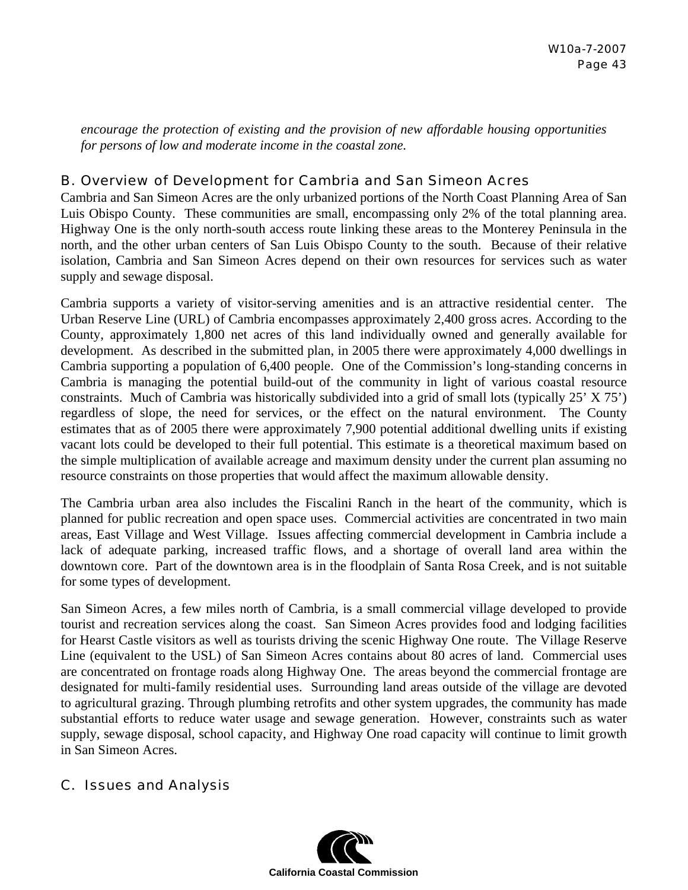*encourage the protection of existing and the provision of new affordable housing opportunities for persons of low and moderate income in the coastal zone.* 

## B. Overview of Development for Cambria and San Simeon Acres

Cambria and San Simeon Acres are the only urbanized portions of the North Coast Planning Area of San Luis Obispo County. These communities are small, encompassing only 2% of the total planning area. Highway One is the only north-south access route linking these areas to the Monterey Peninsula in the north, and the other urban centers of San Luis Obispo County to the south. Because of their relative isolation, Cambria and San Simeon Acres depend on their own resources for services such as water supply and sewage disposal.

Cambria supports a variety of visitor-serving amenities and is an attractive residential center. The Urban Reserve Line (URL) of Cambria encompasses approximately 2,400 gross acres. According to the County, approximately 1,800 net acres of this land individually owned and generally available for development. As described in the submitted plan, in 2005 there were approximately 4,000 dwellings in Cambria supporting a population of 6,400 people. One of the Commission's long-standing concerns in Cambria is managing the potential build-out of the community in light of various coastal resource constraints. Much of Cambria was historically subdivided into a grid of small lots (typically 25' X 75') regardless of slope, the need for services, or the effect on the natural environment. The County estimates that as of 2005 there were approximately 7,900 potential additional dwelling units if existing vacant lots could be developed to their full potential. This estimate is a theoretical maximum based on the simple multiplication of available acreage and maximum density under the current plan assuming no resource constraints on those properties that would affect the maximum allowable density.

The Cambria urban area also includes the Fiscalini Ranch in the heart of the community, which is planned for public recreation and open space uses. Commercial activities are concentrated in two main areas, East Village and West Village. Issues affecting commercial development in Cambria include a lack of adequate parking, increased traffic flows, and a shortage of overall land area within the downtown core. Part of the downtown area is in the floodplain of Santa Rosa Creek, and is not suitable for some types of development.

San Simeon Acres, a few miles north of Cambria, is a small commercial village developed to provide tourist and recreation services along the coast. San Simeon Acres provides food and lodging facilities for Hearst Castle visitors as well as tourists driving the scenic Highway One route. The Village Reserve Line (equivalent to the USL) of San Simeon Acres contains about 80 acres of land. Commercial uses are concentrated on frontage roads along Highway One. The areas beyond the commercial frontage are designated for multi-family residential uses. Surrounding land areas outside of the village are devoted to agricultural grazing. Through plumbing retrofits and other system upgrades, the community has made substantial efforts to reduce water usage and sewage generation. However, constraints such as water supply, sewage disposal, school capacity, and Highway One road capacity will continue to limit growth in San Simeon Acres.

## C. Issues and Analysis

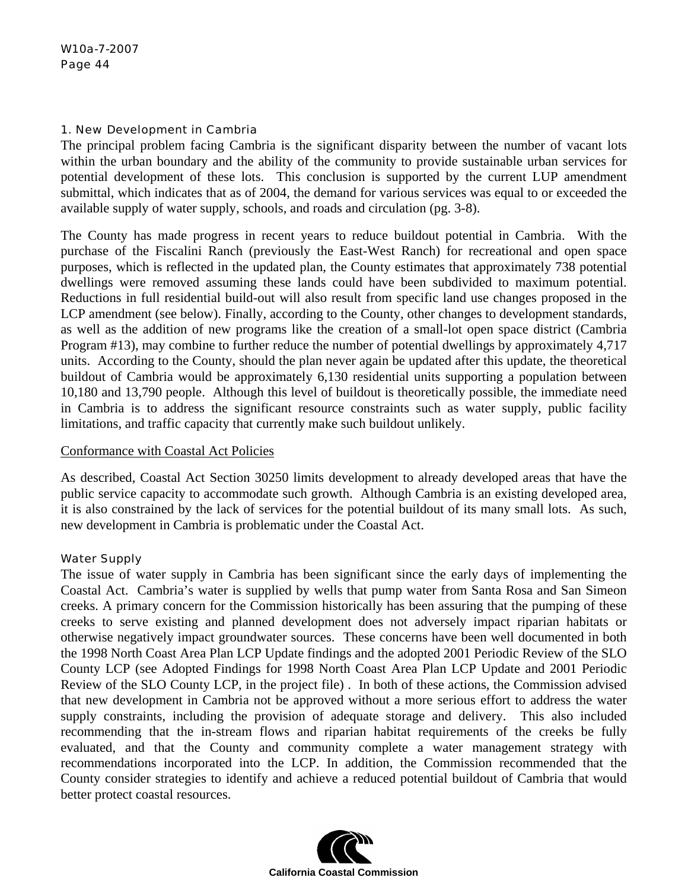#### 1. New Development in Cambria

The principal problem facing Cambria is the significant disparity between the number of vacant lots within the urban boundary and the ability of the community to provide sustainable urban services for potential development of these lots. This conclusion is supported by the current LUP amendment submittal, which indicates that as of 2004, the demand for various services was equal to or exceeded the available supply of water supply, schools, and roads and circulation (pg. 3-8).

The County has made progress in recent years to reduce buildout potential in Cambria. With the purchase of the Fiscalini Ranch (previously the East-West Ranch) for recreational and open space purposes, which is reflected in the updated plan, the County estimates that approximately 738 potential dwellings were removed assuming these lands could have been subdivided to maximum potential. Reductions in full residential build-out will also result from specific land use changes proposed in the LCP amendment (see below). Finally, according to the County, other changes to development standards, as well as the addition of new programs like the creation of a small-lot open space district (Cambria Program #13), may combine to further reduce the number of potential dwellings by approximately 4,717 units. According to the County, should the plan never again be updated after this update, the theoretical buildout of Cambria would be approximately 6,130 residential units supporting a population between 10,180 and 13,790 people. Although this level of buildout is theoretically possible, the immediate need in Cambria is to address the significant resource constraints such as water supply, public facility limitations, and traffic capacity that currently make such buildout unlikely.

### Conformance with Coastal Act Policies

As described, Coastal Act Section 30250 limits development to already developed areas that have the public service capacity to accommodate such growth. Although Cambria is an existing developed area, it is also constrained by the lack of services for the potential buildout of its many small lots. As such, new development in Cambria is problematic under the Coastal Act.

## Water Supply

The issue of water supply in Cambria has been significant since the early days of implementing the Coastal Act. Cambria's water is supplied by wells that pump water from Santa Rosa and San Simeon creeks. A primary concern for the Commission historically has been assuring that the pumping of these creeks to serve existing and planned development does not adversely impact riparian habitats or otherwise negatively impact groundwater sources. These concerns have been well documented in both the 1998 North Coast Area Plan LCP Update findings and the adopted 2001 Periodic Review of the SLO County LCP (see Adopted Findings for 1998 North Coast Area Plan LCP Update and 2001 Periodic Review of the SLO County LCP, in the project file) . In both of these actions, the Commission advised that new development in Cambria not be approved without a more serious effort to address the water supply constraints, including the provision of adequate storage and delivery. This also included recommending that the in-stream flows and riparian habitat requirements of the creeks be fully evaluated, and that the County and community complete a water management strategy with recommendations incorporated into the LCP. In addition, the Commission recommended that the County consider strategies to identify and achieve a reduced potential buildout of Cambria that would better protect coastal resources.

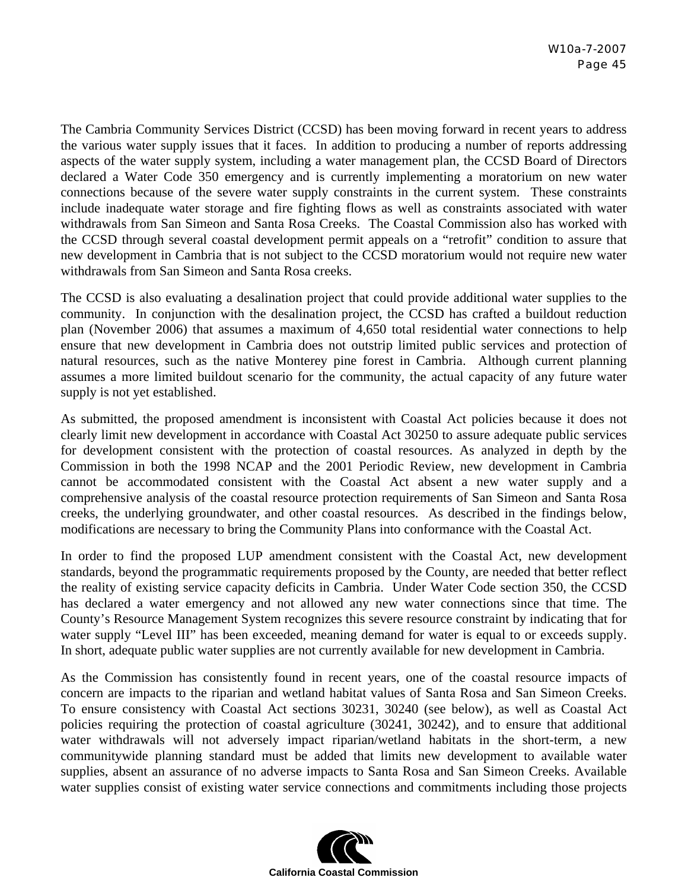The Cambria Community Services District (CCSD) has been moving forward in recent years to address the various water supply issues that it faces. In addition to producing a number of reports addressing aspects of the water supply system, including a water management plan, the CCSD Board of Directors declared a Water Code 350 emergency and is currently implementing a moratorium on new water connections because of the severe water supply constraints in the current system. These constraints include inadequate water storage and fire fighting flows as well as constraints associated with water withdrawals from San Simeon and Santa Rosa Creeks. The Coastal Commission also has worked with the CCSD through several coastal development permit appeals on a "retrofit" condition to assure that new development in Cambria that is not subject to the CCSD moratorium would not require new water withdrawals from San Simeon and Santa Rosa creeks.

The CCSD is also evaluating a desalination project that could provide additional water supplies to the community. In conjunction with the desalination project, the CCSD has crafted a buildout reduction plan (November 2006) that assumes a maximum of 4,650 total residential water connections to help ensure that new development in Cambria does not outstrip limited public services and protection of natural resources, such as the native Monterey pine forest in Cambria. Although current planning assumes a more limited buildout scenario for the community, the actual capacity of any future water supply is not yet established.

As submitted, the proposed amendment is inconsistent with Coastal Act policies because it does not clearly limit new development in accordance with Coastal Act 30250 to assure adequate public services for development consistent with the protection of coastal resources. As analyzed in depth by the Commission in both the 1998 NCAP and the 2001 Periodic Review, new development in Cambria cannot be accommodated consistent with the Coastal Act absent a new water supply and a comprehensive analysis of the coastal resource protection requirements of San Simeon and Santa Rosa creeks, the underlying groundwater, and other coastal resources. As described in the findings below, modifications are necessary to bring the Community Plans into conformance with the Coastal Act.

In order to find the proposed LUP amendment consistent with the Coastal Act, new development standards, beyond the programmatic requirements proposed by the County, are needed that better reflect the reality of existing service capacity deficits in Cambria. Under Water Code section 350, the CCSD has declared a water emergency and not allowed any new water connections since that time. The County's Resource Management System recognizes this severe resource constraint by indicating that for water supply "Level III" has been exceeded, meaning demand for water is equal to or exceeds supply. In short, adequate public water supplies are not currently available for new development in Cambria.

As the Commission has consistently found in recent years, one of the coastal resource impacts of concern are impacts to the riparian and wetland habitat values of Santa Rosa and San Simeon Creeks. To ensure consistency with Coastal Act sections 30231, 30240 (see below), as well as Coastal Act policies requiring the protection of coastal agriculture (30241, 30242), and to ensure that additional water withdrawals will not adversely impact riparian/wetland habitats in the short-term, a new communitywide planning standard must be added that limits new development to available water supplies, absent an assurance of no adverse impacts to Santa Rosa and San Simeon Creeks. Available water supplies consist of existing water service connections and commitments including those projects

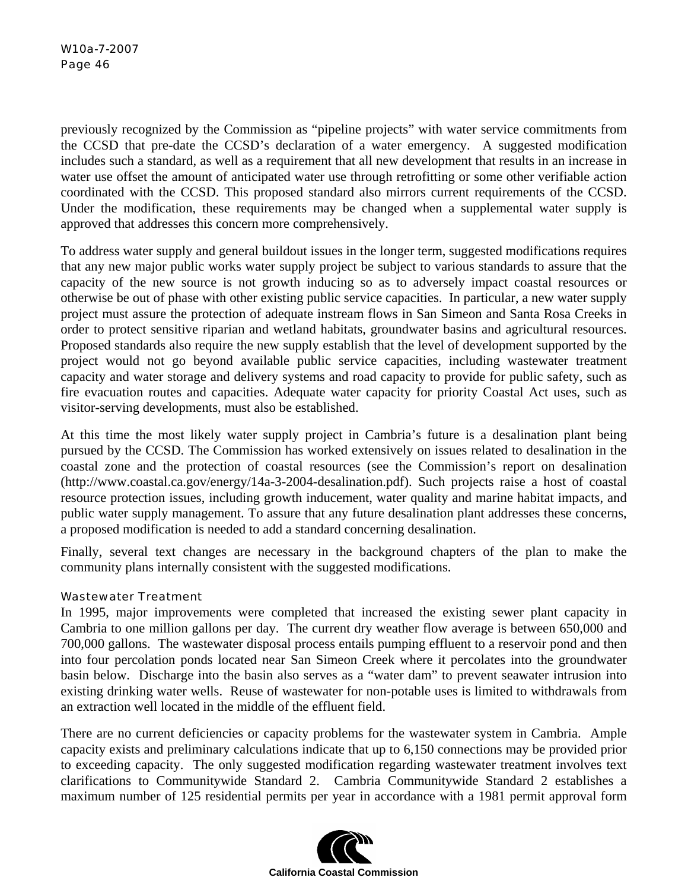previously recognized by the Commission as "pipeline projects" with water service commitments from the CCSD that pre-date the CCSD's declaration of a water emergency. A suggested modification includes such a standard, as well as a requirement that all new development that results in an increase in water use offset the amount of anticipated water use through retrofitting or some other verifiable action coordinated with the CCSD. This proposed standard also mirrors current requirements of the CCSD. Under the modification, these requirements may be changed when a supplemental water supply is approved that addresses this concern more comprehensively.

To address water supply and general buildout issues in the longer term, suggested modifications requires that any new major public works water supply project be subject to various standards to assure that the capacity of the new source is not growth inducing so as to adversely impact coastal resources or otherwise be out of phase with other existing public service capacities. In particular, a new water supply project must assure the protection of adequate instream flows in San Simeon and Santa Rosa Creeks in order to protect sensitive riparian and wetland habitats, groundwater basins and agricultural resources. Proposed standards also require the new supply establish that the level of development supported by the project would not go beyond available public service capacities, including wastewater treatment capacity and water storage and delivery systems and road capacity to provide for public safety, such as fire evacuation routes and capacities. Adequate water capacity for priority Coastal Act uses, such as visitor-serving developments, must also be established.

At this time the most likely water supply project in Cambria's future is a desalination plant being pursued by the CCSD. The Commission has worked extensively on issues related to desalination in the coastal zone and the protection of coastal resources (see the Commission's report on desalination (http://www.coastal.ca.gov/energy/14a-3-2004-desalination.pdf). Such projects raise a host of coastal resource protection issues, including growth inducement, water quality and marine habitat impacts, and public water supply management. To assure that any future desalination plant addresses these concerns, a proposed modification is needed to add a standard concerning desalination.

Finally, several text changes are necessary in the background chapters of the plan to make the community plans internally consistent with the suggested modifications.

## Wastewater Treatment

In 1995, major improvements were completed that increased the existing sewer plant capacity in Cambria to one million gallons per day. The current dry weather flow average is between 650,000 and 700,000 gallons. The wastewater disposal process entails pumping effluent to a reservoir pond and then into four percolation ponds located near San Simeon Creek where it percolates into the groundwater basin below. Discharge into the basin also serves as a "water dam" to prevent seawater intrusion into existing drinking water wells. Reuse of wastewater for non-potable uses is limited to withdrawals from an extraction well located in the middle of the effluent field.

There are no current deficiencies or capacity problems for the wastewater system in Cambria. Ample capacity exists and preliminary calculations indicate that up to 6,150 connections may be provided prior to exceeding capacity. The only suggested modification regarding wastewater treatment involves text clarifications to Communitywide Standard 2. Cambria Communitywide Standard 2 establishes a maximum number of 125 residential permits per year in accordance with a 1981 permit approval form

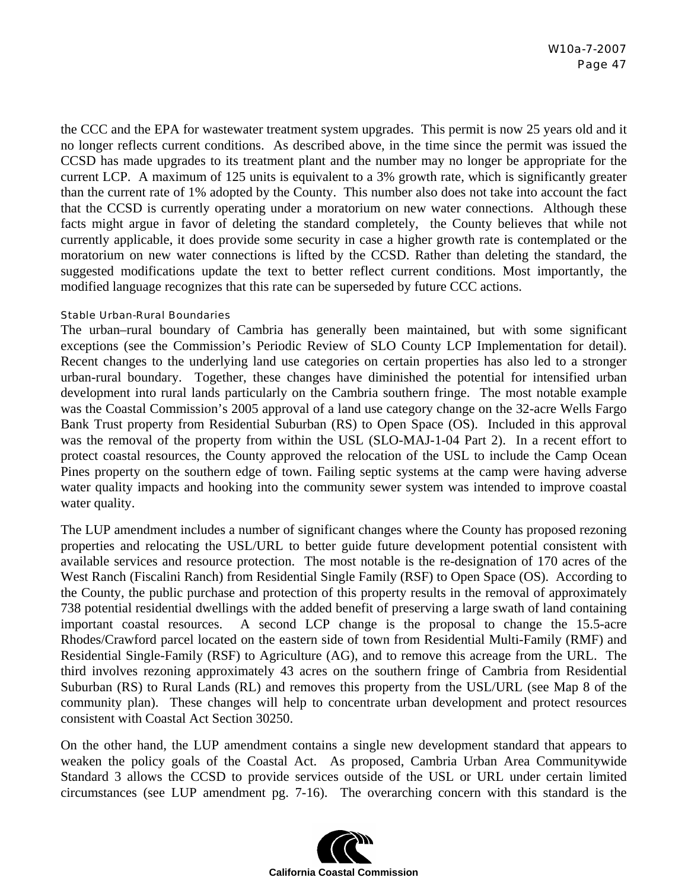the CCC and the EPA for wastewater treatment system upgrades. This permit is now 25 years old and it no longer reflects current conditions. As described above, in the time since the permit was issued the CCSD has made upgrades to its treatment plant and the number may no longer be appropriate for the current LCP. A maximum of 125 units is equivalent to a 3% growth rate, which is significantly greater than the current rate of 1% adopted by the County. This number also does not take into account the fact that the CCSD is currently operating under a moratorium on new water connections. Although these facts might argue in favor of deleting the standard completely, the County believes that while not currently applicable, it does provide some security in case a higher growth rate is contemplated or the moratorium on new water connections is lifted by the CCSD. Rather than deleting the standard, the suggested modifications update the text to better reflect current conditions. Most importantly, the modified language recognizes that this rate can be superseded by future CCC actions.

#### Stable Urban-Rural Boundaries

The urban–rural boundary of Cambria has generally been maintained, but with some significant exceptions (see the Commission's Periodic Review of SLO County LCP Implementation for detail). Recent changes to the underlying land use categories on certain properties has also led to a stronger urban-rural boundary. Together, these changes have diminished the potential for intensified urban development into rural lands particularly on the Cambria southern fringe. The most notable example was the Coastal Commission's 2005 approval of a land use category change on the 32-acre Wells Fargo Bank Trust property from Residential Suburban (RS) to Open Space (OS). Included in this approval was the removal of the property from within the USL (SLO-MAJ-1-04 Part 2). In a recent effort to protect coastal resources, the County approved the relocation of the USL to include the Camp Ocean Pines property on the southern edge of town. Failing septic systems at the camp were having adverse water quality impacts and hooking into the community sewer system was intended to improve coastal water quality.

The LUP amendment includes a number of significant changes where the County has proposed rezoning properties and relocating the USL/URL to better guide future development potential consistent with available services and resource protection. The most notable is the re-designation of 170 acres of the West Ranch (Fiscalini Ranch) from Residential Single Family (RSF) to Open Space (OS). According to the County, the public purchase and protection of this property results in the removal of approximately 738 potential residential dwellings with the added benefit of preserving a large swath of land containing important coastal resources. A second LCP change is the proposal to change the 15.5-acre Rhodes/Crawford parcel located on the eastern side of town from Residential Multi-Family (RMF) and Residential Single-Family (RSF) to Agriculture (AG), and to remove this acreage from the URL. The third involves rezoning approximately 43 acres on the southern fringe of Cambria from Residential Suburban (RS) to Rural Lands (RL) and removes this property from the USL/URL (see Map 8 of the community plan). These changes will help to concentrate urban development and protect resources consistent with Coastal Act Section 30250.

On the other hand, the LUP amendment contains a single new development standard that appears to weaken the policy goals of the Coastal Act. As proposed, Cambria Urban Area Communitywide Standard 3 allows the CCSD to provide services outside of the USL or URL under certain limited circumstances (see LUP amendment pg. 7-16). The overarching concern with this standard is the

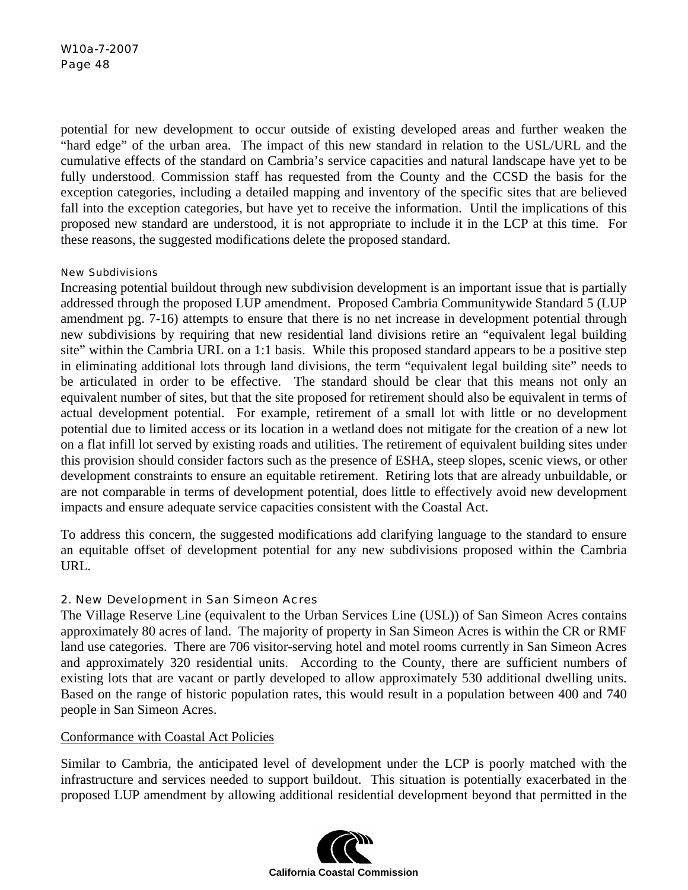W10a-7-2007 Page 48

potential for new development to occur outside of existing developed areas and further weaken the "hard edge" of the urban area. The impact of this new standard in relation to the USL/URL and the cumulative effects of the standard on Cambria's service capacities and natural landscape have yet to be fully understood. Commission staff has requested from the County and the CCSD the basis for the exception categories, including a detailed mapping and inventory of the specific sites that are believed fall into the exception categories, but have yet to receive the information. Until the implications of this proposed new standard are understood, it is not appropriate to include it in the LCP at this time. For these reasons, the suggested modifications delete the proposed standard.

#### New Subdivisions

Increasing potential buildout through new subdivision development is an important issue that is partially addressed through the proposed LUP amendment. Proposed Cambria Communitywide Standard 5 (LUP amendment pg. 7-16) attempts to ensure that there is no net increase in development potential through new subdivisions by requiring that new residential land divisions retire an "equivalent legal building site" within the Cambria URL on a 1:1 basis. While this proposed standard appears to be a positive step in eliminating additional lots through land divisions, the term "equivalent legal building site" needs to be articulated in order to be effective. The standard should be clear that this means not only an equivalent number of sites, but that the site proposed for retirement should also be equivalent in terms of actual development potential. For example, retirement of a small lot with little or no development potential due to limited access or its location in a wetland does not mitigate for the creation of a new lot on a flat infill lot served by existing roads and utilities. The retirement of equivalent building sites under this provision should consider factors such as the presence of ESHA, steep slopes, scenic views, or other development constraints to ensure an equitable retirement. Retiring lots that are already unbuildable, or are not comparable in terms of development potential, does little to effectively avoid new development impacts and ensure adequate service capacities consistent with the Coastal Act.

To address this concern, the suggested modifications add clarifying language to the standard to ensure an equitable offset of development potential for any new subdivisions proposed within the Cambria URL.

## 2. New Development in San Simeon Acres

The Village Reserve Line (equivalent to the Urban Services Line (USL)) of San Simeon Acres contains approximately 80 acres of land. The majority of property in San Simeon Acres is within the CR or RMF land use categories. There are 706 visitor-serving hotel and motel rooms currently in San Simeon Acres and approximately 320 residential units. According to the County, there are sufficient numbers of existing lots that are vacant or partly developed to allow approximately 530 additional dwelling units. Based on the range of historic population rates, this would result in a population between 400 and 740 people in San Simeon Acres.

## Conformance with Coastal Act Policies

Similar to Cambria, the anticipated level of development under the LCP is poorly matched with the infrastructure and services needed to support buildout. This situation is potentially exacerbated in the proposed LUP amendment by allowing additional residential development beyond that permitted in the

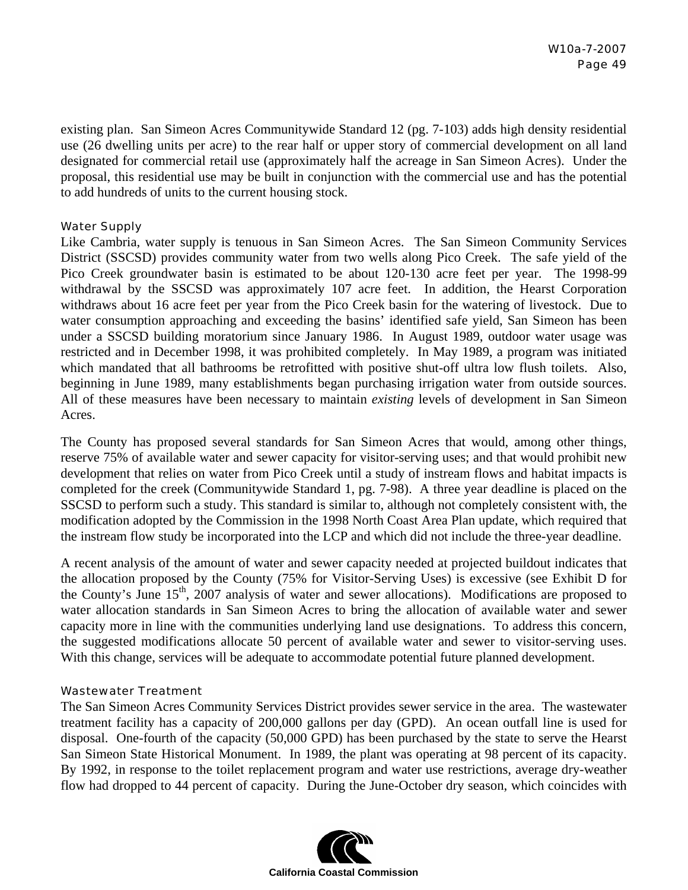existing plan. San Simeon Acres Communitywide Standard 12 (pg. 7-103) adds high density residential use (26 dwelling units per acre) to the rear half or upper story of commercial development on all land designated for commercial retail use (approximately half the acreage in San Simeon Acres). Under the proposal, this residential use may be built in conjunction with the commercial use and has the potential to add hundreds of units to the current housing stock.

## Water Supply

Like Cambria, water supply is tenuous in San Simeon Acres. The San Simeon Community Services District (SSCSD) provides community water from two wells along Pico Creek. The safe yield of the Pico Creek groundwater basin is estimated to be about 120-130 acre feet per year. The 1998-99 withdrawal by the SSCSD was approximately 107 acre feet. In addition, the Hearst Corporation withdraws about 16 acre feet per year from the Pico Creek basin for the watering of livestock. Due to water consumption approaching and exceeding the basins' identified safe yield, San Simeon has been under a SSCSD building moratorium since January 1986. In August 1989, outdoor water usage was restricted and in December 1998, it was prohibited completely. In May 1989, a program was initiated which mandated that all bathrooms be retrofitted with positive shut-off ultra low flush toilets. Also, beginning in June 1989, many establishments began purchasing irrigation water from outside sources. All of these measures have been necessary to maintain *existing* levels of development in San Simeon Acres.

The County has proposed several standards for San Simeon Acres that would, among other things, reserve 75% of available water and sewer capacity for visitor-serving uses; and that would prohibit new development that relies on water from Pico Creek until a study of instream flows and habitat impacts is completed for the creek (Communitywide Standard 1, pg. 7-98). A three year deadline is placed on the SSCSD to perform such a study. This standard is similar to, although not completely consistent with, the modification adopted by the Commission in the 1998 North Coast Area Plan update, which required that the instream flow study be incorporated into the LCP and which did not include the three-year deadline.

A recent analysis of the amount of water and sewer capacity needed at projected buildout indicates that the allocation proposed by the County (75% for Visitor-Serving Uses) is excessive (see Exhibit D for the County's June 15<sup>th</sup>, 2007 analysis of water and sewer allocations). Modifications are proposed to water allocation standards in San Simeon Acres to bring the allocation of available water and sewer capacity more in line with the communities underlying land use designations. To address this concern, the suggested modifications allocate 50 percent of available water and sewer to visitor-serving uses. With this change, services will be adequate to accommodate potential future planned development.

#### Wastewater Treatment

The San Simeon Acres Community Services District provides sewer service in the area. The wastewater treatment facility has a capacity of 200,000 gallons per day (GPD). An ocean outfall line is used for disposal. One-fourth of the capacity (50,000 GPD) has been purchased by the state to serve the Hearst San Simeon State Historical Monument. In 1989, the plant was operating at 98 percent of its capacity. By 1992, in response to the toilet replacement program and water use restrictions, average dry-weather flow had dropped to 44 percent of capacity. During the June-October dry season, which coincides with

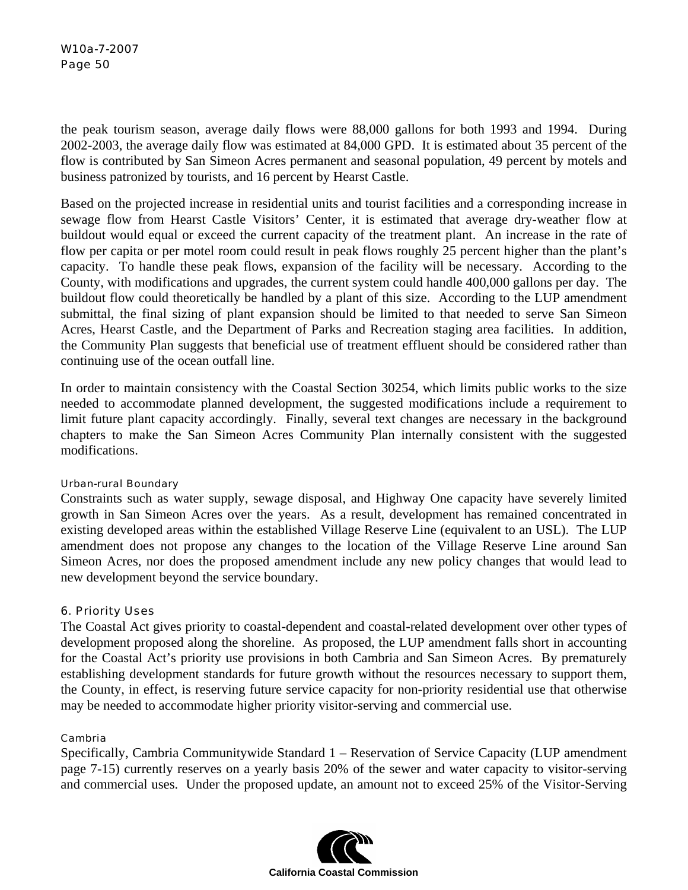## W10a-7-2007 Page 50

the peak tourism season, average daily flows were 88,000 gallons for both 1993 and 1994. During 2002-2003, the average daily flow was estimated at 84,000 GPD. It is estimated about 35 percent of the flow is contributed by San Simeon Acres permanent and seasonal population, 49 percent by motels and business patronized by tourists, and 16 percent by Hearst Castle.

Based on the projected increase in residential units and tourist facilities and a corresponding increase in sewage flow from Hearst Castle Visitors' Center, it is estimated that average dry-weather flow at buildout would equal or exceed the current capacity of the treatment plant. An increase in the rate of flow per capita or per motel room could result in peak flows roughly 25 percent higher than the plant's capacity. To handle these peak flows, expansion of the facility will be necessary. According to the County, with modifications and upgrades, the current system could handle 400,000 gallons per day. The buildout flow could theoretically be handled by a plant of this size. According to the LUP amendment submittal, the final sizing of plant expansion should be limited to that needed to serve San Simeon Acres, Hearst Castle, and the Department of Parks and Recreation staging area facilities. In addition, the Community Plan suggests that beneficial use of treatment effluent should be considered rather than continuing use of the ocean outfall line.

In order to maintain consistency with the Coastal Section 30254, which limits public works to the size needed to accommodate planned development, the suggested modifications include a requirement to limit future plant capacity accordingly. Finally, several text changes are necessary in the background chapters to make the San Simeon Acres Community Plan internally consistent with the suggested modifications.

#### Urban-rural Boundary

Constraints such as water supply, sewage disposal, and Highway One capacity have severely limited growth in San Simeon Acres over the years. As a result, development has remained concentrated in existing developed areas within the established Village Reserve Line (equivalent to an USL). The LUP amendment does not propose any changes to the location of the Village Reserve Line around San Simeon Acres, nor does the proposed amendment include any new policy changes that would lead to new development beyond the service boundary.

## 6. Priority Uses

The Coastal Act gives priority to coastal-dependent and coastal-related development over other types of development proposed along the shoreline. As proposed, the LUP amendment falls short in accounting for the Coastal Act's priority use provisions in both Cambria and San Simeon Acres. By prematurely establishing development standards for future growth without the resources necessary to support them, the County, in effect, is reserving future service capacity for non-priority residential use that otherwise may be needed to accommodate higher priority visitor-serving and commercial use.

#### Cambria

Specifically, Cambria Communitywide Standard 1 – Reservation of Service Capacity (LUP amendment page 7-15) currently reserves on a yearly basis 20% of the sewer and water capacity to visitor-serving and commercial uses. Under the proposed update, an amount not to exceed 25% of the Visitor-Serving

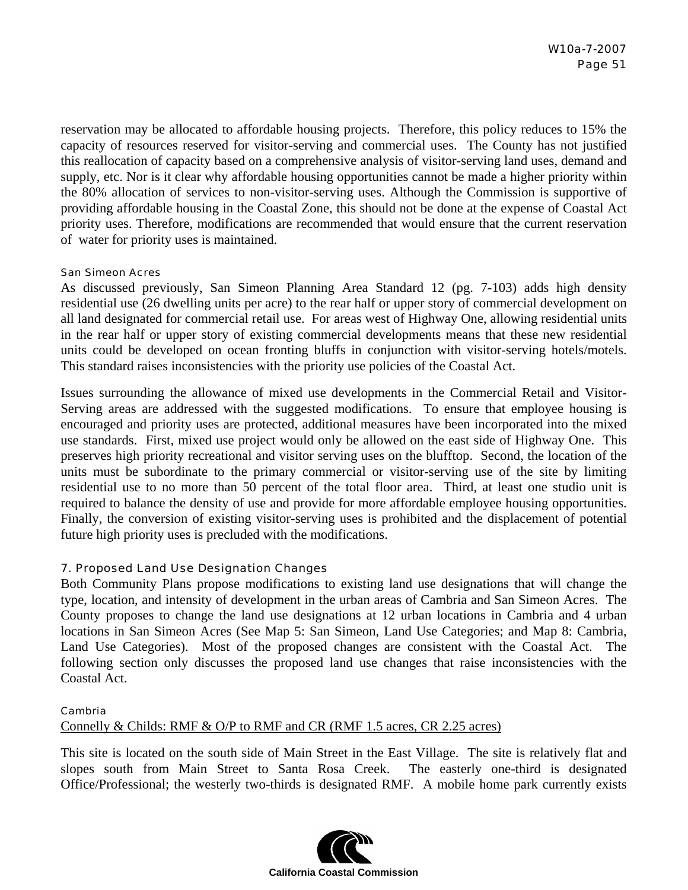reservation may be allocated to affordable housing projects. Therefore, this policy reduces to 15% the capacity of resources reserved for visitor-serving and commercial uses. The County has not justified this reallocation of capacity based on a comprehensive analysis of visitor-serving land uses, demand and supply, etc. Nor is it clear why affordable housing opportunities cannot be made a higher priority within the 80% allocation of services to non-visitor-serving uses. Although the Commission is supportive of providing affordable housing in the Coastal Zone, this should not be done at the expense of Coastal Act priority uses. Therefore, modifications are recommended that would ensure that the current reservation of water for priority uses is maintained.

#### San Simeon Acres

As discussed previously, San Simeon Planning Area Standard 12 (pg. 7-103) adds high density residential use (26 dwelling units per acre) to the rear half or upper story of commercial development on all land designated for commercial retail use. For areas west of Highway One, allowing residential units in the rear half or upper story of existing commercial developments means that these new residential units could be developed on ocean fronting bluffs in conjunction with visitor-serving hotels/motels. This standard raises inconsistencies with the priority use policies of the Coastal Act.

Issues surrounding the allowance of mixed use developments in the Commercial Retail and Visitor-Serving areas are addressed with the suggested modifications. To ensure that employee housing is encouraged and priority uses are protected, additional measures have been incorporated into the mixed use standards. First, mixed use project would only be allowed on the east side of Highway One. This preserves high priority recreational and visitor serving uses on the blufftop. Second, the location of the units must be subordinate to the primary commercial or visitor-serving use of the site by limiting residential use to no more than 50 percent of the total floor area. Third, at least one studio unit is required to balance the density of use and provide for more affordable employee housing opportunities. Finally, the conversion of existing visitor-serving uses is prohibited and the displacement of potential future high priority uses is precluded with the modifications.

## 7. Proposed Land Use Designation Changes

Both Community Plans propose modifications to existing land use designations that will change the type, location, and intensity of development in the urban areas of Cambria and San Simeon Acres. The County proposes to change the land use designations at 12 urban locations in Cambria and 4 urban locations in San Simeon Acres (See Map 5: San Simeon, Land Use Categories; and Map 8: Cambria, Land Use Categories). Most of the proposed changes are consistent with the Coastal Act. The following section only discusses the proposed land use changes that raise inconsistencies with the Coastal Act.

#### Cambria

Connelly & Childs: RMF & O/P to RMF and CR (RMF 1.5 acres, CR 2.25 acres)

This site is located on the south side of Main Street in the East Village. The site is relatively flat and slopes south from Main Street to Santa Rosa Creek. The easterly one-third is designated Office/Professional; the westerly two-thirds is designated RMF. A mobile home park currently exists

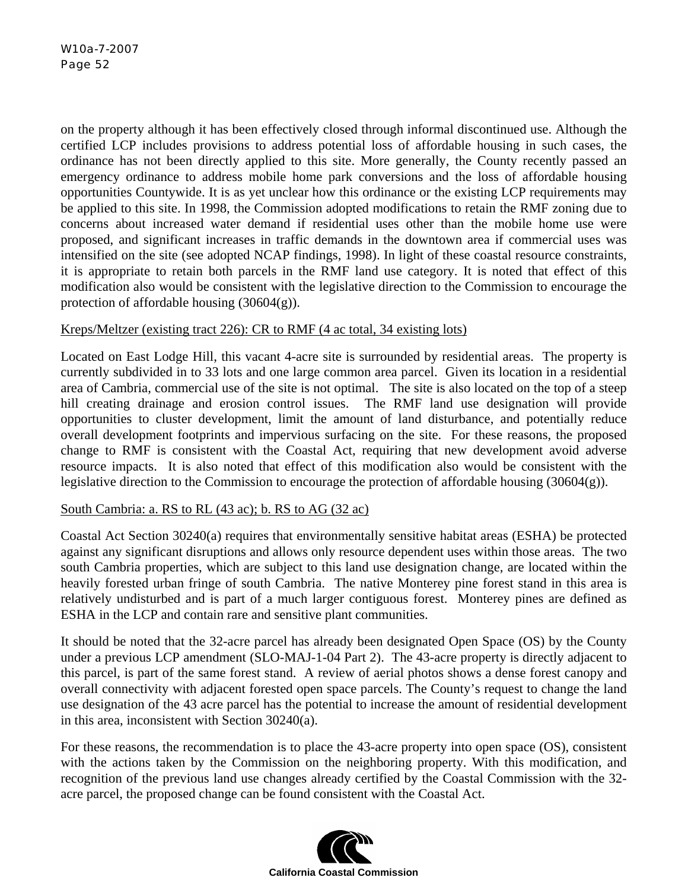on the property although it has been effectively closed through informal discontinued use. Although the certified LCP includes provisions to address potential loss of affordable housing in such cases, the ordinance has not been directly applied to this site. More generally, the County recently passed an emergency ordinance to address mobile home park conversions and the loss of affordable housing opportunities Countywide. It is as yet unclear how this ordinance or the existing LCP requirements may be applied to this site. In 1998, the Commission adopted modifications to retain the RMF zoning due to concerns about increased water demand if residential uses other than the mobile home use were proposed, and significant increases in traffic demands in the downtown area if commercial uses was intensified on the site (see adopted NCAP findings, 1998). In light of these coastal resource constraints, it is appropriate to retain both parcels in the RMF land use category. It is noted that effect of this modification also would be consistent with the legislative direction to the Commission to encourage the protection of affordable housing (30604(g)).

## Kreps/Meltzer (existing tract 226): CR to RMF (4 ac total, 34 existing lots)

Located on East Lodge Hill, this vacant 4-acre site is surrounded by residential areas. The property is currently subdivided in to 33 lots and one large common area parcel. Given its location in a residential area of Cambria, commercial use of the site is not optimal. The site is also located on the top of a steep hill creating drainage and erosion control issues. The RMF land use designation will provide opportunities to cluster development, limit the amount of land disturbance, and potentially reduce overall development footprints and impervious surfacing on the site. For these reasons, the proposed change to RMF is consistent with the Coastal Act, requiring that new development avoid adverse resource impacts. It is also noted that effect of this modification also would be consistent with the legislative direction to the Commission to encourage the protection of affordable housing (30604(g)).

## South Cambria: a. RS to RL (43 ac); b. RS to AG (32 ac)

Coastal Act Section 30240(a) requires that environmentally sensitive habitat areas (ESHA) be protected against any significant disruptions and allows only resource dependent uses within those areas. The two south Cambria properties, which are subject to this land use designation change, are located within the heavily forested urban fringe of south Cambria. The native Monterey pine forest stand in this area is relatively undisturbed and is part of a much larger contiguous forest. Monterey pines are defined as ESHA in the LCP and contain rare and sensitive plant communities.

It should be noted that the 32-acre parcel has already been designated Open Space (OS) by the County under a previous LCP amendment (SLO-MAJ-1-04 Part 2). The 43-acre property is directly adjacent to this parcel, is part of the same forest stand. A review of aerial photos shows a dense forest canopy and overall connectivity with adjacent forested open space parcels. The County's request to change the land use designation of the 43 acre parcel has the potential to increase the amount of residential development in this area, inconsistent with Section 30240(a).

For these reasons, the recommendation is to place the 43-acre property into open space (OS), consistent with the actions taken by the Commission on the neighboring property. With this modification, and recognition of the previous land use changes already certified by the Coastal Commission with the 32 acre parcel, the proposed change can be found consistent with the Coastal Act.

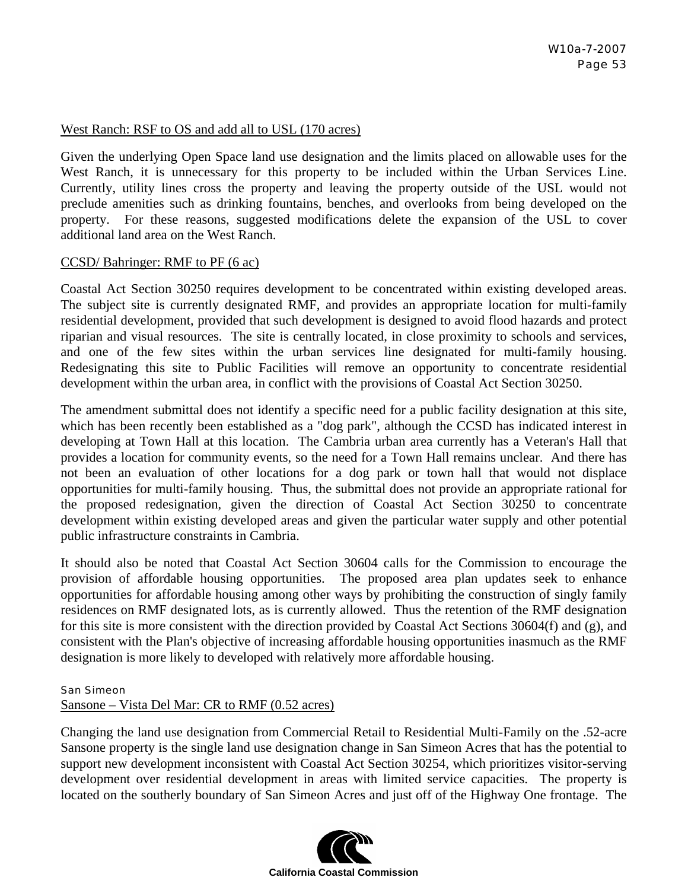## West Ranch: RSF to OS and add all to USL (170 acres)

Given the underlying Open Space land use designation and the limits placed on allowable uses for the West Ranch, it is unnecessary for this property to be included within the Urban Services Line. Currently, utility lines cross the property and leaving the property outside of the USL would not preclude amenities such as drinking fountains, benches, and overlooks from being developed on the property. For these reasons, suggested modifications delete the expansion of the USL to cover additional land area on the West Ranch.

#### CCSD/ Bahringer: RMF to PF (6 ac)

Coastal Act Section 30250 requires development to be concentrated within existing developed areas. The subject site is currently designated RMF, and provides an appropriate location for multi-family residential development, provided that such development is designed to avoid flood hazards and protect riparian and visual resources. The site is centrally located, in close proximity to schools and services, and one of the few sites within the urban services line designated for multi-family housing. Redesignating this site to Public Facilities will remove an opportunity to concentrate residential development within the urban area, in conflict with the provisions of Coastal Act Section 30250.

The amendment submittal does not identify a specific need for a public facility designation at this site, which has been recently been established as a "dog park", although the CCSD has indicated interest in developing at Town Hall at this location. The Cambria urban area currently has a Veteran's Hall that provides a location for community events, so the need for a Town Hall remains unclear. And there has not been an evaluation of other locations for a dog park or town hall that would not displace opportunities for multi-family housing. Thus, the submittal does not provide an appropriate rational for the proposed redesignation, given the direction of Coastal Act Section 30250 to concentrate development within existing developed areas and given the particular water supply and other potential public infrastructure constraints in Cambria.

It should also be noted that Coastal Act Section 30604 calls for the Commission to encourage the provision of affordable housing opportunities. The proposed area plan updates seek to enhance opportunities for affordable housing among other ways by prohibiting the construction of singly family residences on RMF designated lots, as is currently allowed. Thus the retention of the RMF designation for this site is more consistent with the direction provided by Coastal Act Sections 30604(f) and (g), and consistent with the Plan's objective of increasing affordable housing opportunities inasmuch as the RMF designation is more likely to developed with relatively more affordable housing.

#### San Simeon

## Sansone – Vista Del Mar: CR to RMF (0.52 acres)

Changing the land use designation from Commercial Retail to Residential Multi-Family on the .52-acre Sansone property is the single land use designation change in San Simeon Acres that has the potential to support new development inconsistent with Coastal Act Section 30254, which prioritizes visitor-serving development over residential development in areas with limited service capacities. The property is located on the southerly boundary of San Simeon Acres and just off of the Highway One frontage. The

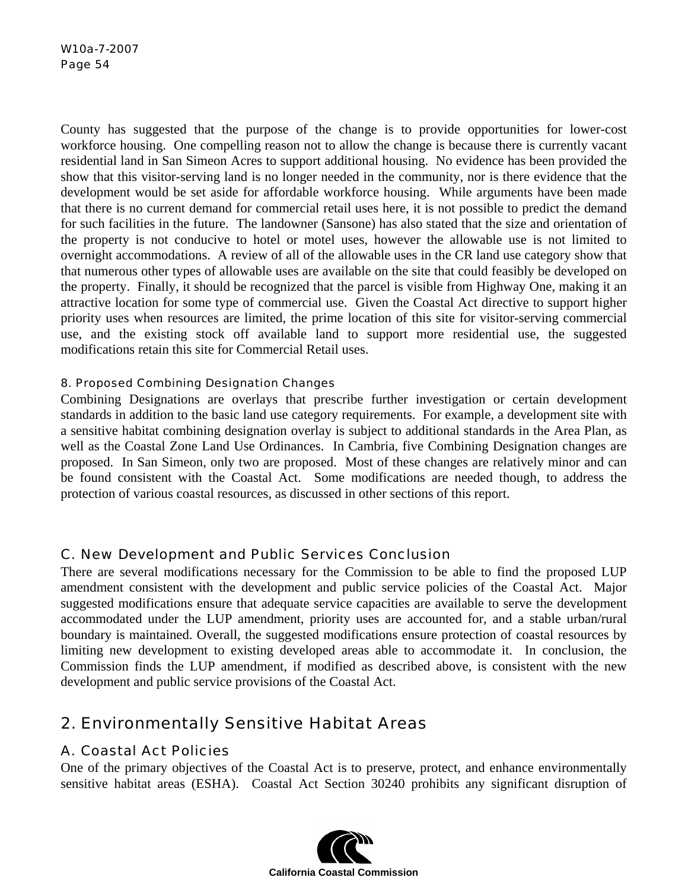County has suggested that the purpose of the change is to provide opportunities for lower-cost workforce housing. One compelling reason not to allow the change is because there is currently vacant residential land in San Simeon Acres to support additional housing. No evidence has been provided the show that this visitor-serving land is no longer needed in the community, nor is there evidence that the development would be set aside for affordable workforce housing. While arguments have been made that there is no current demand for commercial retail uses here, it is not possible to predict the demand for such facilities in the future. The landowner (Sansone) has also stated that the size and orientation of the property is not conducive to hotel or motel uses, however the allowable use is not limited to overnight accommodations. A review of all of the allowable uses in the CR land use category show that that numerous other types of allowable uses are available on the site that could feasibly be developed on the property. Finally, it should be recognized that the parcel is visible from Highway One, making it an attractive location for some type of commercial use. Given the Coastal Act directive to support higher priority uses when resources are limited, the prime location of this site for visitor-serving commercial use, and the existing stock off available land to support more residential use, the suggested modifications retain this site for Commercial Retail uses.

## 8. Proposed Combining Designation Changes

Combining Designations are overlays that prescribe further investigation or certain development standards in addition to the basic land use category requirements. For example, a development site with a sensitive habitat combining designation overlay is subject to additional standards in the Area Plan, as well as the Coastal Zone Land Use Ordinances. In Cambria, five Combining Designation changes are proposed. In San Simeon, only two are proposed. Most of these changes are relatively minor and can be found consistent with the Coastal Act. Some modifications are needed though, to address the protection of various coastal resources, as discussed in other sections of this report.

## C. New Development and Public Services Conclusion

There are several modifications necessary for the Commission to be able to find the proposed LUP amendment consistent with the development and public service policies of the Coastal Act. Major suggested modifications ensure that adequate service capacities are available to serve the development accommodated under the LUP amendment, priority uses are accounted for, and a stable urban/rural boundary is maintained. Overall, the suggested modifications ensure protection of coastal resources by limiting new development to existing developed areas able to accommodate it. In conclusion, the Commission finds the LUP amendment, if modified as described above, is consistent with the new development and public service provisions of the Coastal Act.

# 2. Environmentally Sensitive Habitat Areas

## A. Coastal Act Policies

One of the primary objectives of the Coastal Act is to preserve, protect, and enhance environmentally sensitive habitat areas (ESHA). Coastal Act Section 30240 prohibits any significant disruption of

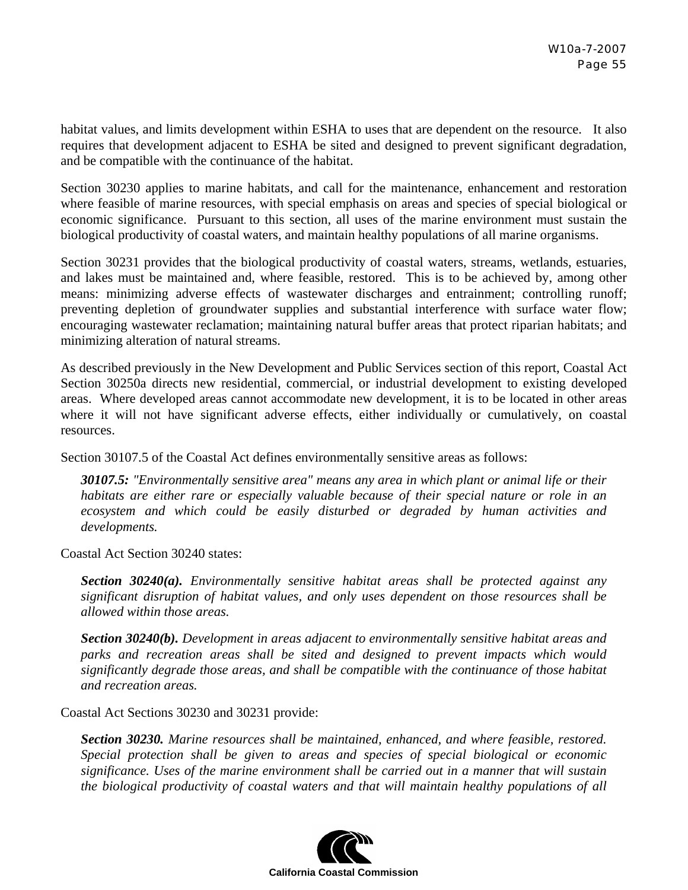habitat values, and limits development within ESHA to uses that are dependent on the resource. It also requires that development adjacent to ESHA be sited and designed to prevent significant degradation, and be compatible with the continuance of the habitat.

Section 30230 applies to marine habitats, and call for the maintenance, enhancement and restoration where feasible of marine resources, with special emphasis on areas and species of special biological or economic significance. Pursuant to this section, all uses of the marine environment must sustain the biological productivity of coastal waters, and maintain healthy populations of all marine organisms.

Section 30231 provides that the biological productivity of coastal waters, streams, wetlands, estuaries, and lakes must be maintained and, where feasible, restored. This is to be achieved by, among other means: minimizing adverse effects of wastewater discharges and entrainment; controlling runoff; preventing depletion of groundwater supplies and substantial interference with surface water flow; encouraging wastewater reclamation; maintaining natural buffer areas that protect riparian habitats; and minimizing alteration of natural streams.

As described previously in the New Development and Public Services section of this report, Coastal Act Section 30250a directs new residential, commercial, or industrial development to existing developed areas. Where developed areas cannot accommodate new development, it is to be located in other areas where it will not have significant adverse effects, either individually or cumulatively, on coastal resources.

Section 30107.5 of the Coastal Act defines environmentally sensitive areas as follows:

*30107.5: "Environmentally sensitive area" means any area in which plant or animal life or their habitats are either rare or especially valuable because of their special nature or role in an ecosystem and which could be easily disturbed or degraded by human activities and developments.* 

Coastal Act Section 30240 states:

*Section 30240(a). Environmentally sensitive habitat areas shall be protected against any significant disruption of habitat values, and only uses dependent on those resources shall be allowed within those areas.* 

*Section 30240(b). Development in areas adjacent to environmentally sensitive habitat areas and parks and recreation areas shall be sited and designed to prevent impacts which would significantly degrade those areas, and shall be compatible with the continuance of those habitat and recreation areas.* 

Coastal Act Sections 30230 and 30231 provide:

*Section 30230. Marine resources shall be maintained, enhanced, and where feasible, restored. Special protection shall be given to areas and species of special biological or economic significance. Uses of the marine environment shall be carried out in a manner that will sustain the biological productivity of coastal waters and that will maintain healthy populations of all* 

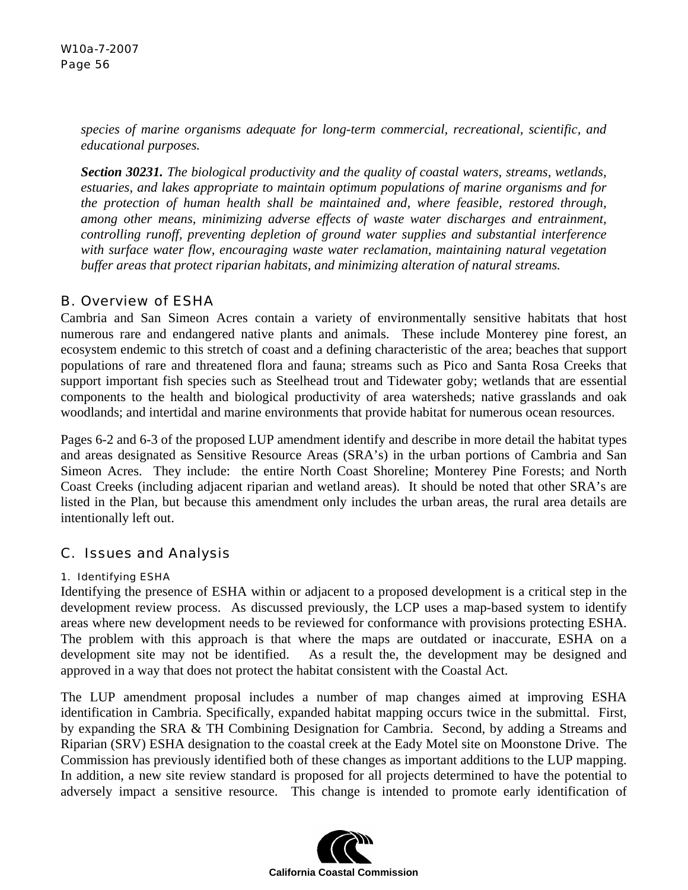*species of marine organisms adequate for long-term commercial, recreational, scientific, and educational purposes.* 

*Section 30231. The biological productivity and the quality of coastal waters, streams, wetlands, estuaries, and lakes appropriate to maintain optimum populations of marine organisms and for the protection of human health shall be maintained and, where feasible, restored through, among other means, minimizing adverse effects of waste water discharges and entrainment, controlling runoff, preventing depletion of ground water supplies and substantial interference with surface water flow, encouraging waste water reclamation, maintaining natural vegetation buffer areas that protect riparian habitats, and minimizing alteration of natural streams.* 

## B. Overview of ESHA

Cambria and San Simeon Acres contain a variety of environmentally sensitive habitats that host numerous rare and endangered native plants and animals. These include Monterey pine forest, an ecosystem endemic to this stretch of coast and a defining characteristic of the area; beaches that support populations of rare and threatened flora and fauna; streams such as Pico and Santa Rosa Creeks that support important fish species such as Steelhead trout and Tidewater goby; wetlands that are essential components to the health and biological productivity of area watersheds; native grasslands and oak woodlands; and intertidal and marine environments that provide habitat for numerous ocean resources.

Pages 6-2 and 6-3 of the proposed LUP amendment identify and describe in more detail the habitat types and areas designated as Sensitive Resource Areas (SRA's) in the urban portions of Cambria and San Simeon Acres. They include: the entire North Coast Shoreline; Monterey Pine Forests; and North Coast Creeks (including adjacent riparian and wetland areas). It should be noted that other SRA's are listed in the Plan, but because this amendment only includes the urban areas, the rural area details are intentionally left out.

# C. Issues and Analysis

## 1. Identifying ESHA

Identifying the presence of ESHA within or adjacent to a proposed development is a critical step in the development review process. As discussed previously, the LCP uses a map-based system to identify areas where new development needs to be reviewed for conformance with provisions protecting ESHA. The problem with this approach is that where the maps are outdated or inaccurate, ESHA on a development site may not be identified. As a result the, the development may be designed and approved in a way that does not protect the habitat consistent with the Coastal Act.

The LUP amendment proposal includes a number of map changes aimed at improving ESHA identification in Cambria. Specifically, expanded habitat mapping occurs twice in the submittal. First, by expanding the SRA & TH Combining Designation for Cambria. Second, by adding a Streams and Riparian (SRV) ESHA designation to the coastal creek at the Eady Motel site on Moonstone Drive. The Commission has previously identified both of these changes as important additions to the LUP mapping. In addition, a new site review standard is proposed for all projects determined to have the potential to adversely impact a sensitive resource. This change is intended to promote early identification of

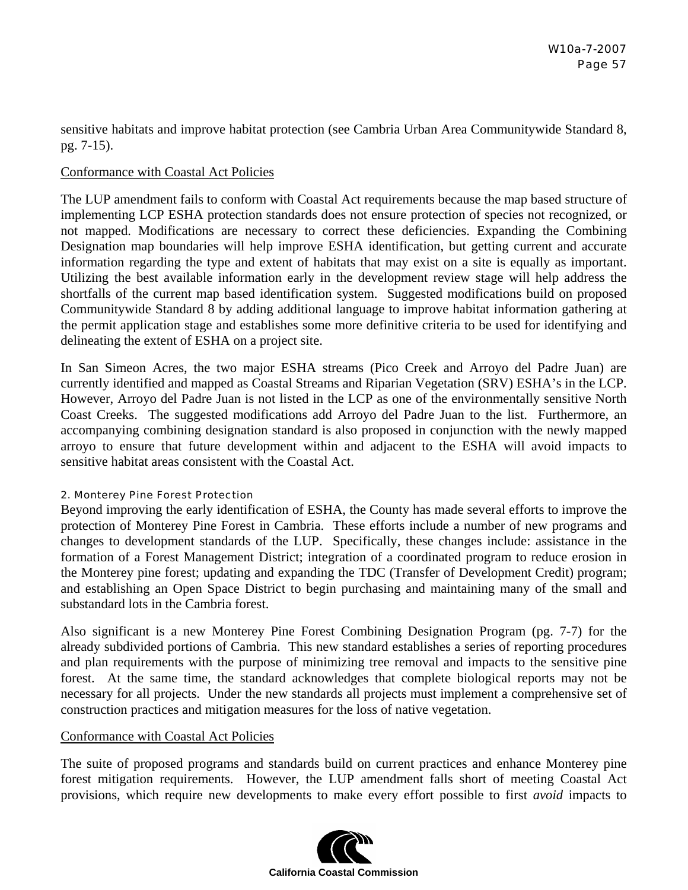sensitive habitats and improve habitat protection (see Cambria Urban Area Communitywide Standard 8, pg. 7-15).

### Conformance with Coastal Act Policies

The LUP amendment fails to conform with Coastal Act requirements because the map based structure of implementing LCP ESHA protection standards does not ensure protection of species not recognized, or not mapped. Modifications are necessary to correct these deficiencies. Expanding the Combining Designation map boundaries will help improve ESHA identification, but getting current and accurate information regarding the type and extent of habitats that may exist on a site is equally as important. Utilizing the best available information early in the development review stage will help address the shortfalls of the current map based identification system. Suggested modifications build on proposed Communitywide Standard 8 by adding additional language to improve habitat information gathering at the permit application stage and establishes some more definitive criteria to be used for identifying and delineating the extent of ESHA on a project site.

In San Simeon Acres, the two major ESHA streams (Pico Creek and Arroyo del Padre Juan) are currently identified and mapped as Coastal Streams and Riparian Vegetation (SRV) ESHA's in the LCP. However, Arroyo del Padre Juan is not listed in the LCP as one of the environmentally sensitive North Coast Creeks. The suggested modifications add Arroyo del Padre Juan to the list. Furthermore, an accompanying combining designation standard is also proposed in conjunction with the newly mapped arroyo to ensure that future development within and adjacent to the ESHA will avoid impacts to sensitive habitat areas consistent with the Coastal Act.

#### 2. Monterey Pine Forest Protection

Beyond improving the early identification of ESHA, the County has made several efforts to improve the protection of Monterey Pine Forest in Cambria. These efforts include a number of new programs and changes to development standards of the LUP. Specifically, these changes include: assistance in the formation of a Forest Management District; integration of a coordinated program to reduce erosion in the Monterey pine forest; updating and expanding the TDC (Transfer of Development Credit) program; and establishing an Open Space District to begin purchasing and maintaining many of the small and substandard lots in the Cambria forest.

Also significant is a new Monterey Pine Forest Combining Designation Program (pg. 7-7) for the already subdivided portions of Cambria. This new standard establishes a series of reporting procedures and plan requirements with the purpose of minimizing tree removal and impacts to the sensitive pine forest. At the same time, the standard acknowledges that complete biological reports may not be necessary for all projects. Under the new standards all projects must implement a comprehensive set of construction practices and mitigation measures for the loss of native vegetation.

## Conformance with Coastal Act Policies

The suite of proposed programs and standards build on current practices and enhance Monterey pine forest mitigation requirements. However, the LUP amendment falls short of meeting Coastal Act provisions, which require new developments to make every effort possible to first *avoid* impacts to

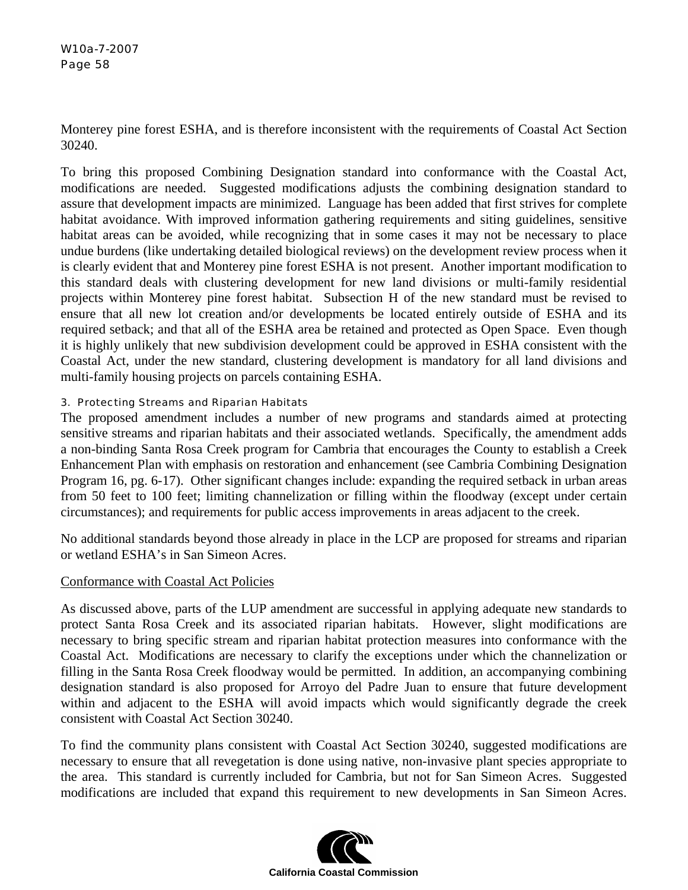Monterey pine forest ESHA, and is therefore inconsistent with the requirements of Coastal Act Section 30240.

To bring this proposed Combining Designation standard into conformance with the Coastal Act, modifications are needed. Suggested modifications adjusts the combining designation standard to assure that development impacts are minimized. Language has been added that first strives for complete habitat avoidance. With improved information gathering requirements and siting guidelines, sensitive habitat areas can be avoided, while recognizing that in some cases it may not be necessary to place undue burdens (like undertaking detailed biological reviews) on the development review process when it is clearly evident that and Monterey pine forest ESHA is not present. Another important modification to this standard deals with clustering development for new land divisions or multi-family residential projects within Monterey pine forest habitat. Subsection H of the new standard must be revised to ensure that all new lot creation and/or developments be located entirely outside of ESHA and its required setback; and that all of the ESHA area be retained and protected as Open Space. Even though it is highly unlikely that new subdivision development could be approved in ESHA consistent with the Coastal Act, under the new standard, clustering development is mandatory for all land divisions and multi-family housing projects on parcels containing ESHA.

## 3. Protecting Streams and Riparian Habitats

The proposed amendment includes a number of new programs and standards aimed at protecting sensitive streams and riparian habitats and their associated wetlands. Specifically, the amendment adds a non-binding Santa Rosa Creek program for Cambria that encourages the County to establish a Creek Enhancement Plan with emphasis on restoration and enhancement (see Cambria Combining Designation Program 16, pg. 6-17). Other significant changes include: expanding the required setback in urban areas from 50 feet to 100 feet; limiting channelization or filling within the floodway (except under certain circumstances); and requirements for public access improvements in areas adjacent to the creek.

No additional standards beyond those already in place in the LCP are proposed for streams and riparian or wetland ESHA's in San Simeon Acres.

## Conformance with Coastal Act Policies

As discussed above, parts of the LUP amendment are successful in applying adequate new standards to protect Santa Rosa Creek and its associated riparian habitats. However, slight modifications are necessary to bring specific stream and riparian habitat protection measures into conformance with the Coastal Act. Modifications are necessary to clarify the exceptions under which the channelization or filling in the Santa Rosa Creek floodway would be permitted. In addition, an accompanying combining designation standard is also proposed for Arroyo del Padre Juan to ensure that future development within and adjacent to the ESHA will avoid impacts which would significantly degrade the creek consistent with Coastal Act Section 30240.

To find the community plans consistent with Coastal Act Section 30240, suggested modifications are necessary to ensure that all revegetation is done using native, non-invasive plant species appropriate to the area. This standard is currently included for Cambria, but not for San Simeon Acres. Suggested modifications are included that expand this requirement to new developments in San Simeon Acres.

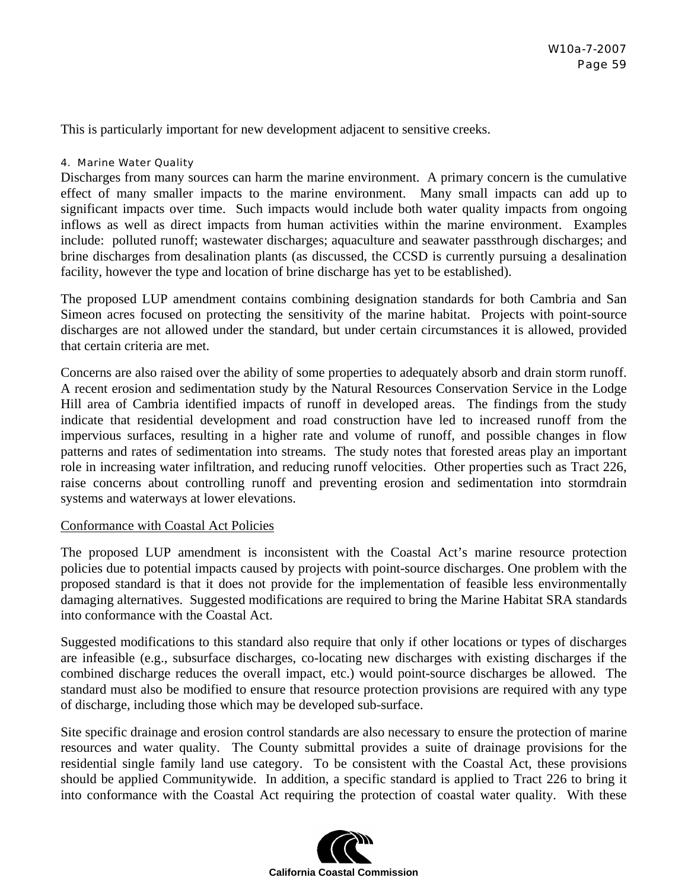This is particularly important for new development adjacent to sensitive creeks.

#### 4. Marine Water Quality

Discharges from many sources can harm the marine environment. A primary concern is the cumulative effect of many smaller impacts to the marine environment. Many small impacts can add up to significant impacts over time. Such impacts would include both water quality impacts from ongoing inflows as well as direct impacts from human activities within the marine environment. Examples include: polluted runoff; wastewater discharges; aquaculture and seawater passthrough discharges; and brine discharges from desalination plants (as discussed, the CCSD is currently pursuing a desalination facility, however the type and location of brine discharge has yet to be established).

The proposed LUP amendment contains combining designation standards for both Cambria and San Simeon acres focused on protecting the sensitivity of the marine habitat. Projects with point-source discharges are not allowed under the standard, but under certain circumstances it is allowed, provided that certain criteria are met.

Concerns are also raised over the ability of some properties to adequately absorb and drain storm runoff. A recent erosion and sedimentation study by the Natural Resources Conservation Service in the Lodge Hill area of Cambria identified impacts of runoff in developed areas. The findings from the study indicate that residential development and road construction have led to increased runoff from the impervious surfaces, resulting in a higher rate and volume of runoff, and possible changes in flow patterns and rates of sedimentation into streams. The study notes that forested areas play an important role in increasing water infiltration, and reducing runoff velocities. Other properties such as Tract 226, raise concerns about controlling runoff and preventing erosion and sedimentation into stormdrain systems and waterways at lower elevations.

#### Conformance with Coastal Act Policies

The proposed LUP amendment is inconsistent with the Coastal Act's marine resource protection policies due to potential impacts caused by projects with point-source discharges. One problem with the proposed standard is that it does not provide for the implementation of feasible less environmentally damaging alternatives. Suggested modifications are required to bring the Marine Habitat SRA standards into conformance with the Coastal Act.

Suggested modifications to this standard also require that only if other locations or types of discharges are infeasible (e.g., subsurface discharges, co-locating new discharges with existing discharges if the combined discharge reduces the overall impact, etc.) would point-source discharges be allowed. The standard must also be modified to ensure that resource protection provisions are required with any type of discharge, including those which may be developed sub-surface.

Site specific drainage and erosion control standards are also necessary to ensure the protection of marine resources and water quality. The County submittal provides a suite of drainage provisions for the residential single family land use category. To be consistent with the Coastal Act, these provisions should be applied Communitywide. In addition, a specific standard is applied to Tract 226 to bring it into conformance with the Coastal Act requiring the protection of coastal water quality. With these

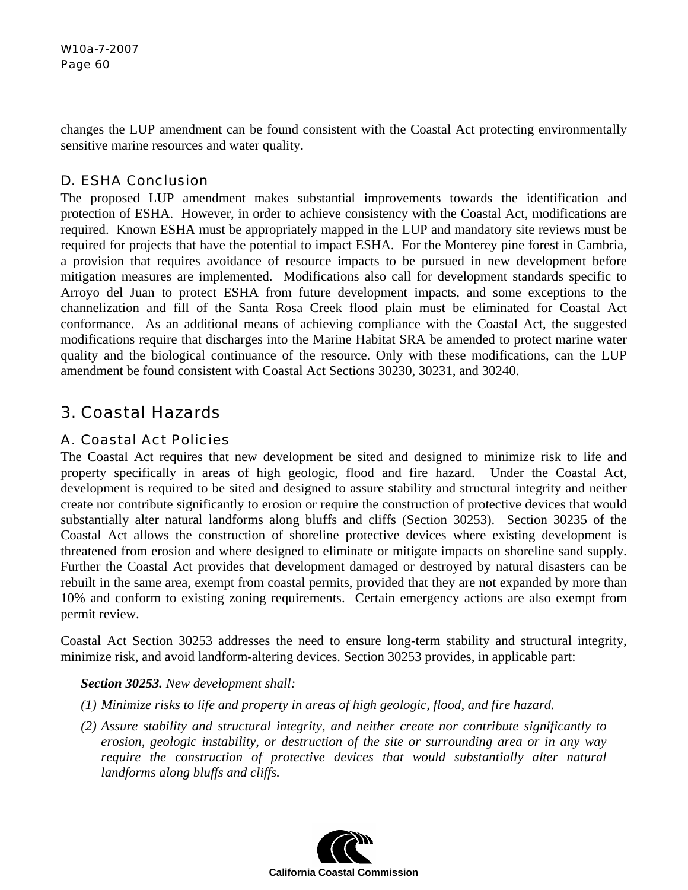changes the LUP amendment can be found consistent with the Coastal Act protecting environmentally sensitive marine resources and water quality.

# D. ESHA Conclusion

The proposed LUP amendment makes substantial improvements towards the identification and protection of ESHA. However, in order to achieve consistency with the Coastal Act, modifications are required. Known ESHA must be appropriately mapped in the LUP and mandatory site reviews must be required for projects that have the potential to impact ESHA. For the Monterey pine forest in Cambria, a provision that requires avoidance of resource impacts to be pursued in new development before mitigation measures are implemented. Modifications also call for development standards specific to Arroyo del Juan to protect ESHA from future development impacts, and some exceptions to the channelization and fill of the Santa Rosa Creek flood plain must be eliminated for Coastal Act conformance. As an additional means of achieving compliance with the Coastal Act, the suggested modifications require that discharges into the Marine Habitat SRA be amended to protect marine water quality and the biological continuance of the resource. Only with these modifications, can the LUP amendment be found consistent with Coastal Act Sections 30230, 30231, and 30240.

# 3. Coastal Hazards

# A. Coastal Act Policies

The Coastal Act requires that new development be sited and designed to minimize risk to life and property specifically in areas of high geologic, flood and fire hazard. Under the Coastal Act, development is required to be sited and designed to assure stability and structural integrity and neither create nor contribute significantly to erosion or require the construction of protective devices that would substantially alter natural landforms along bluffs and cliffs (Section 30253). Section 30235 of the Coastal Act allows the construction of shoreline protective devices where existing development is threatened from erosion and where designed to eliminate or mitigate impacts on shoreline sand supply. Further the Coastal Act provides that development damaged or destroyed by natural disasters can be rebuilt in the same area, exempt from coastal permits, provided that they are not expanded by more than 10% and conform to existing zoning requirements. Certain emergency actions are also exempt from permit review.

Coastal Act Section 30253 addresses the need to ensure long-term stability and structural integrity, minimize risk, and avoid landform-altering devices. Section 30253 provides, in applicable part:

## *Section 30253. New development shall:*

- *(1) Minimize risks to life and property in areas of high geologic, flood, and fire hazard.*
- *(2) Assure stability and structural integrity, and neither create nor contribute significantly to erosion, geologic instability, or destruction of the site or surrounding area or in any way require the construction of protective devices that would substantially alter natural landforms along bluffs and cliffs.*

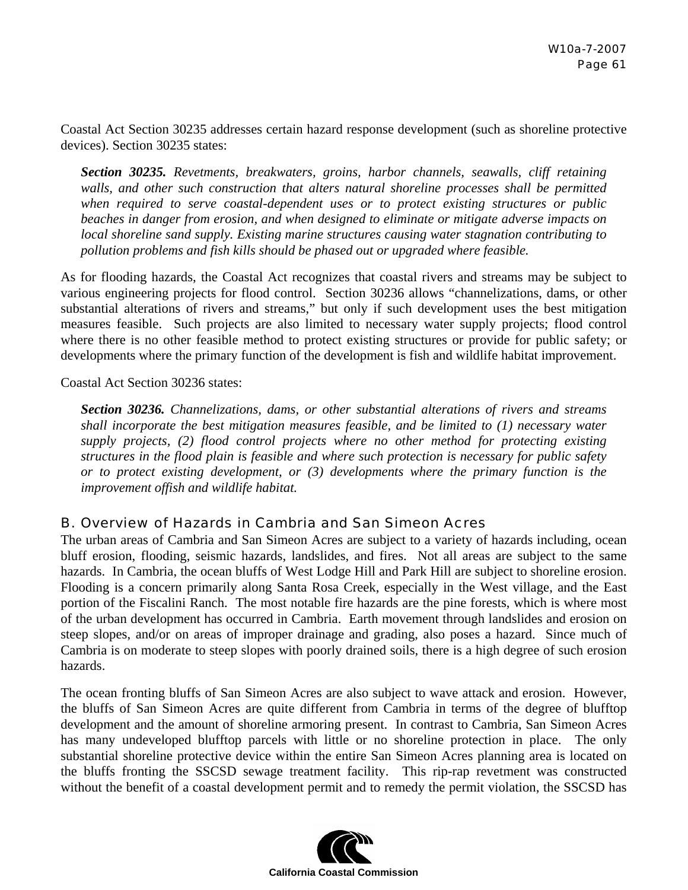Coastal Act Section 30235 addresses certain hazard response development (such as shoreline protective devices). Section 30235 states:

*Section 30235. Revetments, breakwaters, groins, harbor channels, seawalls, cliff retaining walls, and other such construction that alters natural shoreline processes shall be permitted when required to serve coastal-dependent uses or to protect existing structures or public beaches in danger from erosion, and when designed to eliminate or mitigate adverse impacts on local shoreline sand supply. Existing marine structures causing water stagnation contributing to pollution problems and fish kills should be phased out or upgraded where feasible.* 

As for flooding hazards, the Coastal Act recognizes that coastal rivers and streams may be subject to various engineering projects for flood control. Section 30236 allows "channelizations, dams, or other substantial alterations of rivers and streams," but only if such development uses the best mitigation measures feasible. Such projects are also limited to necessary water supply projects; flood control where there is no other feasible method to protect existing structures or provide for public safety; or developments where the primary function of the development is fish and wildlife habitat improvement.

Coastal Act Section 30236 states:

*Section 30236. Channelizations, dams, or other substantial alterations of rivers and streams shall incorporate the best mitigation measures feasible, and be limited to (1) necessary water supply projects, (2) flood control projects where no other method for protecting existing structures in the flood plain is feasible and where such protection is necessary for public safety or to protect existing development, or (3) developments where the primary function is the improvement offish and wildlife habitat.* 

## B. Overview of Hazards in Cambria and San Simeon Acres

The urban areas of Cambria and San Simeon Acres are subject to a variety of hazards including, ocean bluff erosion, flooding, seismic hazards, landslides, and fires. Not all areas are subject to the same hazards. In Cambria, the ocean bluffs of West Lodge Hill and Park Hill are subject to shoreline erosion. Flooding is a concern primarily along Santa Rosa Creek, especially in the West village, and the East portion of the Fiscalini Ranch. The most notable fire hazards are the pine forests, which is where most of the urban development has occurred in Cambria. Earth movement through landslides and erosion on steep slopes, and/or on areas of improper drainage and grading, also poses a hazard. Since much of Cambria is on moderate to steep slopes with poorly drained soils, there is a high degree of such erosion hazards.

The ocean fronting bluffs of San Simeon Acres are also subject to wave attack and erosion. However, the bluffs of San Simeon Acres are quite different from Cambria in terms of the degree of blufftop development and the amount of shoreline armoring present. In contrast to Cambria, San Simeon Acres has many undeveloped blufftop parcels with little or no shoreline protection in place. The only substantial shoreline protective device within the entire San Simeon Acres planning area is located on the bluffs fronting the SSCSD sewage treatment facility. This rip-rap revetment was constructed without the benefit of a coastal development permit and to remedy the permit violation, the SSCSD has

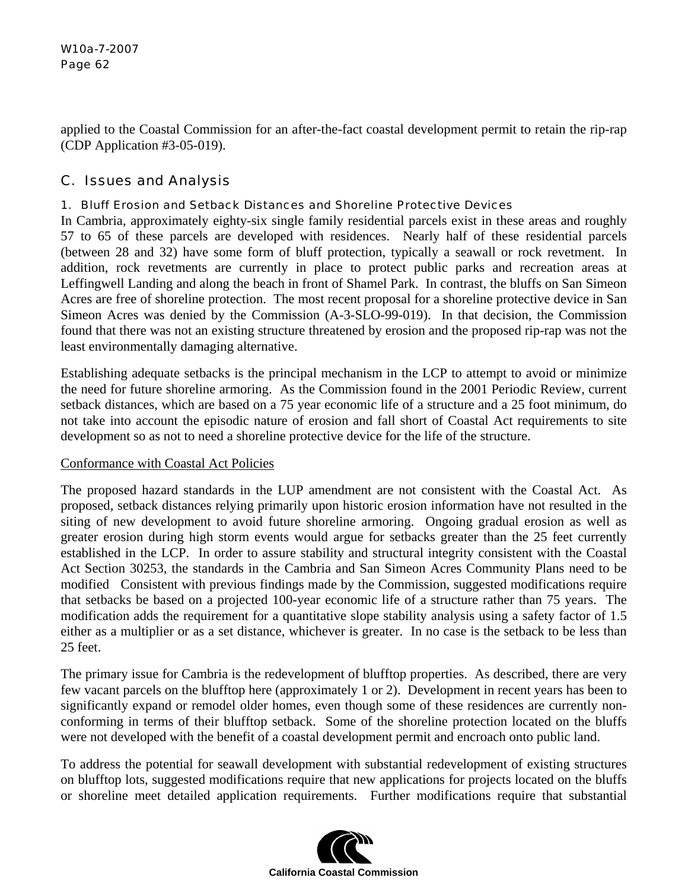applied to the Coastal Commission for an after-the-fact coastal development permit to retain the rip-rap (CDP Application #3-05-019).

# C. Issues and Analysis

## 1. Bluff Erosion and Setback Distances and Shoreline Protective Devices

In Cambria, approximately eighty-six single family residential parcels exist in these areas and roughly 57 to 65 of these parcels are developed with residences. Nearly half of these residential parcels (between 28 and 32) have some form of bluff protection, typically a seawall or rock revetment. In addition, rock revetments are currently in place to protect public parks and recreation areas at Leffingwell Landing and along the beach in front of Shamel Park. In contrast, the bluffs on San Simeon Acres are free of shoreline protection. The most recent proposal for a shoreline protective device in San Simeon Acres was denied by the Commission (A-3-SLO-99-019). In that decision, the Commission found that there was not an existing structure threatened by erosion and the proposed rip-rap was not the least environmentally damaging alternative.

Establishing adequate setbacks is the principal mechanism in the LCP to attempt to avoid or minimize the need for future shoreline armoring. As the Commission found in the 2001 Periodic Review, current setback distances, which are based on a 75 year economic life of a structure and a 25 foot minimum, do not take into account the episodic nature of erosion and fall short of Coastal Act requirements to site development so as not to need a shoreline protective device for the life of the structure.

## Conformance with Coastal Act Policies

The proposed hazard standards in the LUP amendment are not consistent with the Coastal Act. As proposed, setback distances relying primarily upon historic erosion information have not resulted in the siting of new development to avoid future shoreline armoring. Ongoing gradual erosion as well as greater erosion during high storm events would argue for setbacks greater than the 25 feet currently established in the LCP. In order to assure stability and structural integrity consistent with the Coastal Act Section 30253, the standards in the Cambria and San Simeon Acres Community Plans need to be modified Consistent with previous findings made by the Commission, suggested modifications require that setbacks be based on a projected 100-year economic life of a structure rather than 75 years. The modification adds the requirement for a quantitative slope stability analysis using a safety factor of 1.5 either as a multiplier or as a set distance, whichever is greater. In no case is the setback to be less than 25 feet.

The primary issue for Cambria is the redevelopment of blufftop properties. As described, there are very few vacant parcels on the blufftop here (approximately 1 or 2). Development in recent years has been to significantly expand or remodel older homes, even though some of these residences are currently nonconforming in terms of their blufftop setback. Some of the shoreline protection located on the bluffs were not developed with the benefit of a coastal development permit and encroach onto public land.

To address the potential for seawall development with substantial redevelopment of existing structures on blufftop lots, suggested modifications require that new applications for projects located on the bluffs or shoreline meet detailed application requirements. Further modifications require that substantial

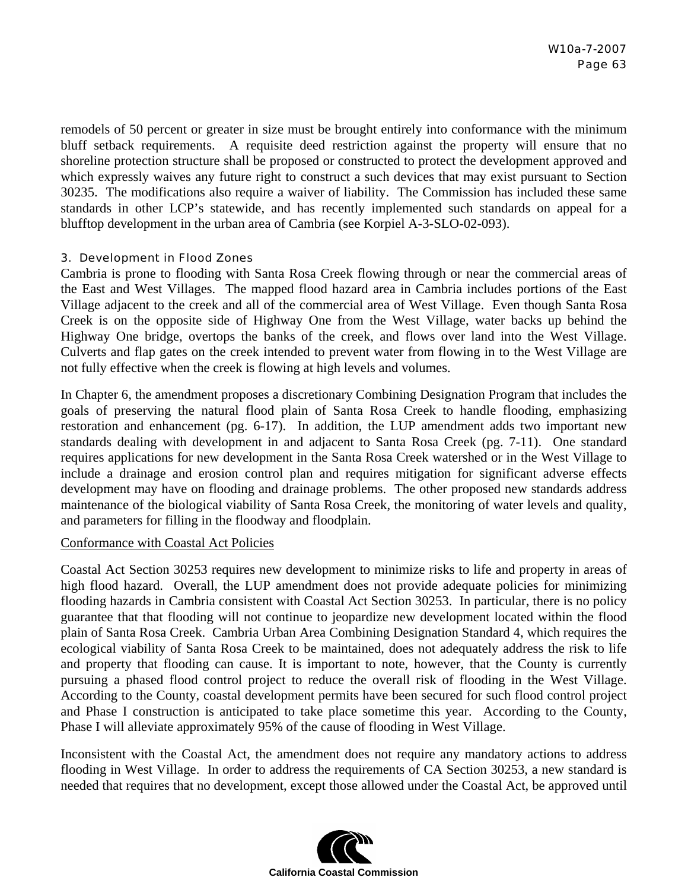remodels of 50 percent or greater in size must be brought entirely into conformance with the minimum bluff setback requirements. A requisite deed restriction against the property will ensure that no shoreline protection structure shall be proposed or constructed to protect the development approved and which expressly waives any future right to construct a such devices that may exist pursuant to Section 30235. The modifications also require a waiver of liability. The Commission has included these same standards in other LCP's statewide, and has recently implemented such standards on appeal for a blufftop development in the urban area of Cambria (see Korpiel A-3-SLO-02-093).

## 3. Development in Flood Zones

Cambria is prone to flooding with Santa Rosa Creek flowing through or near the commercial areas of the East and West Villages. The mapped flood hazard area in Cambria includes portions of the East Village adjacent to the creek and all of the commercial area of West Village. Even though Santa Rosa Creek is on the opposite side of Highway One from the West Village, water backs up behind the Highway One bridge, overtops the banks of the creek, and flows over land into the West Village. Culverts and flap gates on the creek intended to prevent water from flowing in to the West Village are not fully effective when the creek is flowing at high levels and volumes.

In Chapter 6, the amendment proposes a discretionary Combining Designation Program that includes the goals of preserving the natural flood plain of Santa Rosa Creek to handle flooding, emphasizing restoration and enhancement (pg. 6-17). In addition, the LUP amendment adds two important new standards dealing with development in and adjacent to Santa Rosa Creek (pg. 7-11). One standard requires applications for new development in the Santa Rosa Creek watershed or in the West Village to include a drainage and erosion control plan and requires mitigation for significant adverse effects development may have on flooding and drainage problems. The other proposed new standards address maintenance of the biological viability of Santa Rosa Creek, the monitoring of water levels and quality, and parameters for filling in the floodway and floodplain.

#### Conformance with Coastal Act Policies

Coastal Act Section 30253 requires new development to minimize risks to life and property in areas of high flood hazard. Overall, the LUP amendment does not provide adequate policies for minimizing flooding hazards in Cambria consistent with Coastal Act Section 30253. In particular, there is no policy guarantee that that flooding will not continue to jeopardize new development located within the flood plain of Santa Rosa Creek. Cambria Urban Area Combining Designation Standard 4, which requires the ecological viability of Santa Rosa Creek to be maintained, does not adequately address the risk to life and property that flooding can cause. It is important to note, however, that the County is currently pursuing a phased flood control project to reduce the overall risk of flooding in the West Village. According to the County, coastal development permits have been secured for such flood control project and Phase I construction is anticipated to take place sometime this year. According to the County, Phase I will alleviate approximately 95% of the cause of flooding in West Village.

Inconsistent with the Coastal Act, the amendment does not require any mandatory actions to address flooding in West Village. In order to address the requirements of CA Section 30253, a new standard is needed that requires that no development, except those allowed under the Coastal Act, be approved until

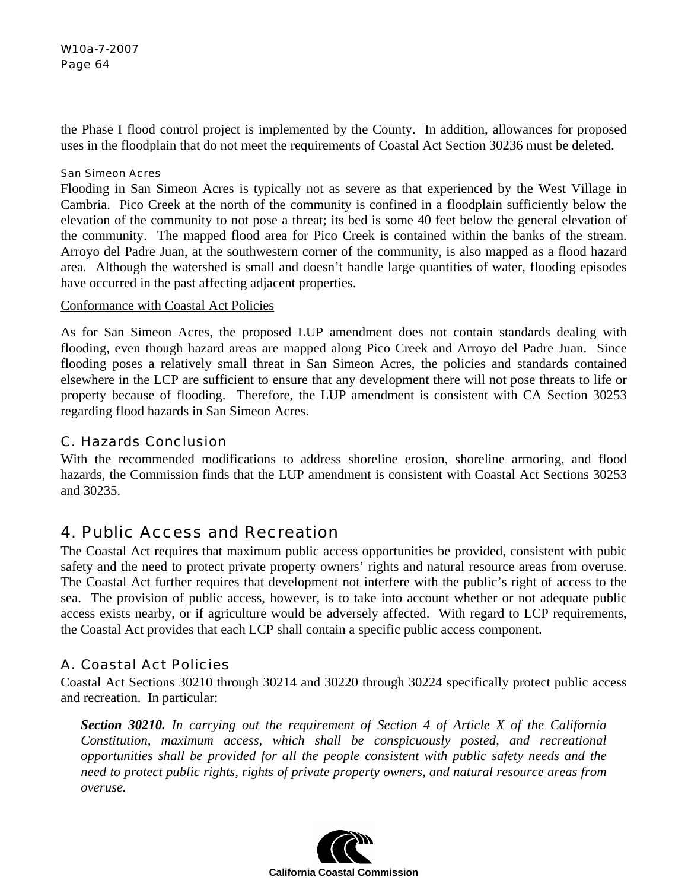the Phase I flood control project is implemented by the County. In addition, allowances for proposed uses in the floodplain that do not meet the requirements of Coastal Act Section 30236 must be deleted.

#### San Simeon Acres

Flooding in San Simeon Acres is typically not as severe as that experienced by the West Village in Cambria. Pico Creek at the north of the community is confined in a floodplain sufficiently below the elevation of the community to not pose a threat; its bed is some 40 feet below the general elevation of the community. The mapped flood area for Pico Creek is contained within the banks of the stream. Arroyo del Padre Juan, at the southwestern corner of the community, is also mapped as a flood hazard area. Although the watershed is small and doesn't handle large quantities of water, flooding episodes have occurred in the past affecting adjacent properties.

## Conformance with Coastal Act Policies

As for San Simeon Acres, the proposed LUP amendment does not contain standards dealing with flooding, even though hazard areas are mapped along Pico Creek and Arroyo del Padre Juan. Since flooding poses a relatively small threat in San Simeon Acres, the policies and standards contained elsewhere in the LCP are sufficient to ensure that any development there will not pose threats to life or property because of flooding. Therefore, the LUP amendment is consistent with CA Section 30253 regarding flood hazards in San Simeon Acres.

## C. Hazards Conclusion

With the recommended modifications to address shoreline erosion, shoreline armoring, and flood hazards, the Commission finds that the LUP amendment is consistent with Coastal Act Sections 30253 and 30235.

# 4. Public Access and Recreation

The Coastal Act requires that maximum public access opportunities be provided, consistent with pubic safety and the need to protect private property owners' rights and natural resource areas from overuse. The Coastal Act further requires that development not interfere with the public's right of access to the sea. The provision of public access, however, is to take into account whether or not adequate public access exists nearby, or if agriculture would be adversely affected. With regard to LCP requirements, the Coastal Act provides that each LCP shall contain a specific public access component.

# A. Coastal Act Policies

Coastal Act Sections 30210 through 30214 and 30220 through 30224 specifically protect public access and recreation. In particular:

*Section 30210. In carrying out the requirement of Section 4 of Article X of the California Constitution, maximum access, which shall be conspicuously posted, and recreational opportunities shall be provided for all the people consistent with public safety needs and the need to protect public rights, rights of private property owners, and natural resource areas from overuse.* 

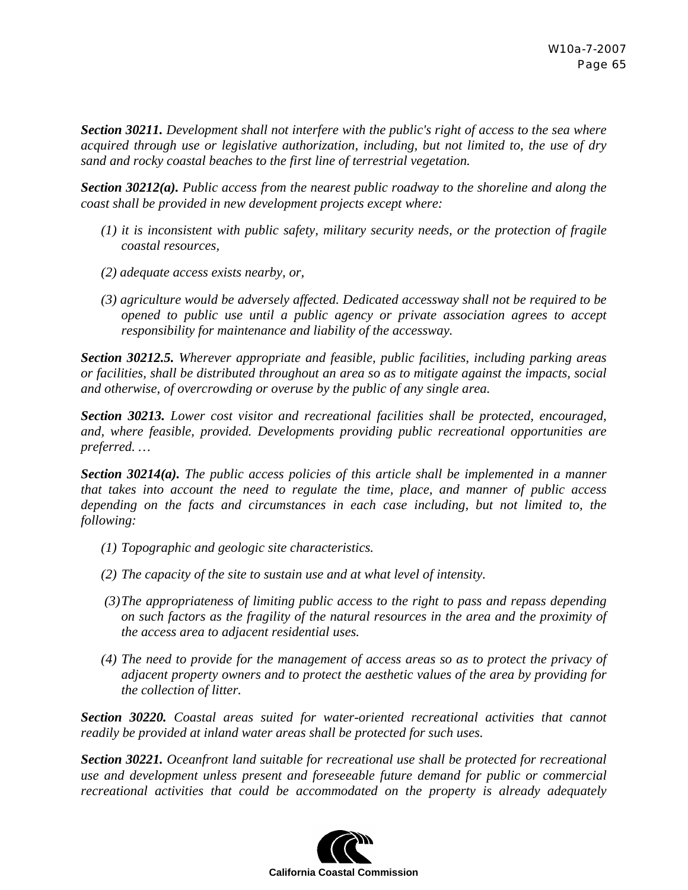*Section 30211. Development shall not interfere with the public's right of access to the sea where acquired through use or legislative authorization, including, but not limited to, the use of dry sand and rocky coastal beaches to the first line of terrestrial vegetation.* 

*Section 30212(a). Public access from the nearest public roadway to the shoreline and along the coast shall be provided in new development projects except where:* 

- *(1) it is inconsistent with public safety, military security needs, or the protection of fragile coastal resources,*
- *(2) adequate access exists nearby, or,*
- *(3) agriculture would be adversely affected. Dedicated accessway shall not be required to be opened to public use until a public agency or private association agrees to accept responsibility for maintenance and liability of the accessway.*

*Section 30212.5. Wherever appropriate and feasible, public facilities, including parking areas or facilities, shall be distributed throughout an area so as to mitigate against the impacts, social and otherwise, of overcrowding or overuse by the public of any single area.*

*Section 30213. Lower cost visitor and recreational facilities shall be protected, encouraged, and, where feasible, provided. Developments providing public recreational opportunities are preferred. …* 

*Section 30214(a). The public access policies of this article shall be implemented in a manner that takes into account the need to regulate the time, place, and manner of public access depending on the facts and circumstances in each case including, but not limited to, the following:* 

- *(1) Topographic and geologic site characteristics.*
- *(2) The capacity of the site to sustain use and at what level of intensity.*
- *(3)The appropriateness of limiting public access to the right to pass and repass depending on such factors as the fragility of the natural resources in the area and the proximity of the access area to adjacent residential uses.*
- *(4) The need to provide for the management of access areas so as to protect the privacy of adjacent property owners and to protect the aesthetic values of the area by providing for the collection of litter.*

*Section 30220. Coastal areas suited for water-oriented recreational activities that cannot readily be provided at inland water areas shall be protected for such uses.* 

*Section 30221. Oceanfront land suitable for recreational use shall be protected for recreational use and development unless present and foreseeable future demand for public or commercial recreational activities that could be accommodated on the property is already adequately* 

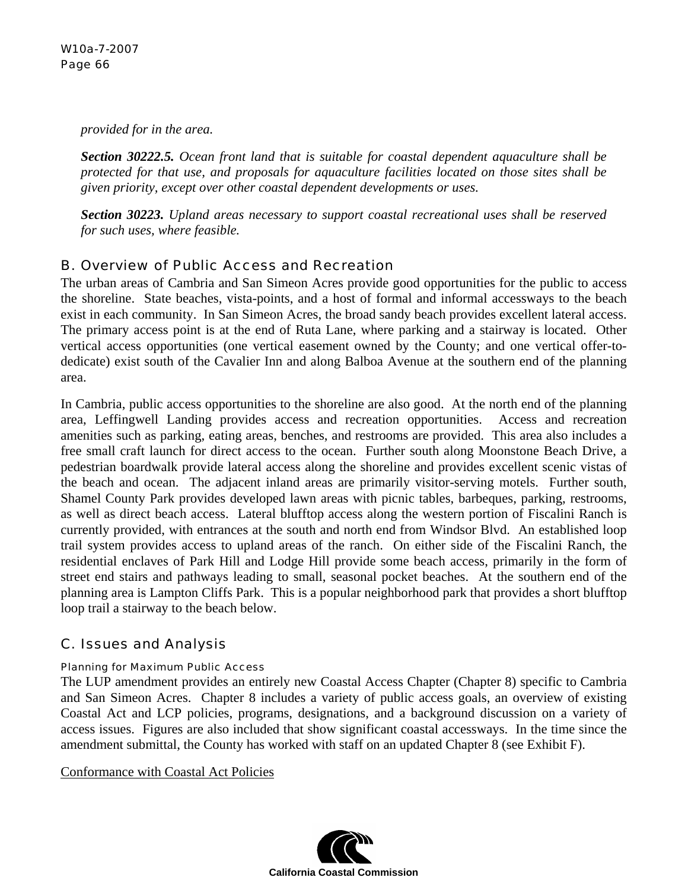*provided for in the area.* 

*Section 30222.5. Ocean front land that is suitable for coastal dependent aquaculture shall be protected for that use, and proposals for aquaculture facilities located on those sites shall be given priority, except over other coastal dependent developments or uses.* 

*Section 30223. Upland areas necessary to support coastal recreational uses shall be reserved for such uses, where feasible.* 

# B. Overview of Public Access and Recreation

The urban areas of Cambria and San Simeon Acres provide good opportunities for the public to access the shoreline. State beaches, vista-points, and a host of formal and informal accessways to the beach exist in each community. In San Simeon Acres, the broad sandy beach provides excellent lateral access. The primary access point is at the end of Ruta Lane, where parking and a stairway is located. Other vertical access opportunities (one vertical easement owned by the County; and one vertical offer-todedicate) exist south of the Cavalier Inn and along Balboa Avenue at the southern end of the planning area.

In Cambria, public access opportunities to the shoreline are also good. At the north end of the planning area, Leffingwell Landing provides access and recreation opportunities. Access and recreation amenities such as parking, eating areas, benches, and restrooms are provided. This area also includes a free small craft launch for direct access to the ocean. Further south along Moonstone Beach Drive, a pedestrian boardwalk provide lateral access along the shoreline and provides excellent scenic vistas of the beach and ocean. The adjacent inland areas are primarily visitor-serving motels. Further south, Shamel County Park provides developed lawn areas with picnic tables, barbeques, parking, restrooms, as well as direct beach access. Lateral blufftop access along the western portion of Fiscalini Ranch is currently provided, with entrances at the south and north end from Windsor Blvd. An established loop trail system provides access to upland areas of the ranch. On either side of the Fiscalini Ranch, the residential enclaves of Park Hill and Lodge Hill provide some beach access, primarily in the form of street end stairs and pathways leading to small, seasonal pocket beaches. At the southern end of the planning area is Lampton Cliffs Park. This is a popular neighborhood park that provides a short blufftop loop trail a stairway to the beach below.

# C. Issues and Analysis

## Planning for Maximum Public Access

The LUP amendment provides an entirely new Coastal Access Chapter (Chapter 8) specific to Cambria and San Simeon Acres. Chapter 8 includes a variety of public access goals, an overview of existing Coastal Act and LCP policies, programs, designations, and a background discussion on a variety of access issues. Figures are also included that show significant coastal accessways. In the time since the amendment submittal, the County has worked with staff on an updated Chapter 8 (see Exhibit F).

Conformance with Coastal Act Policies

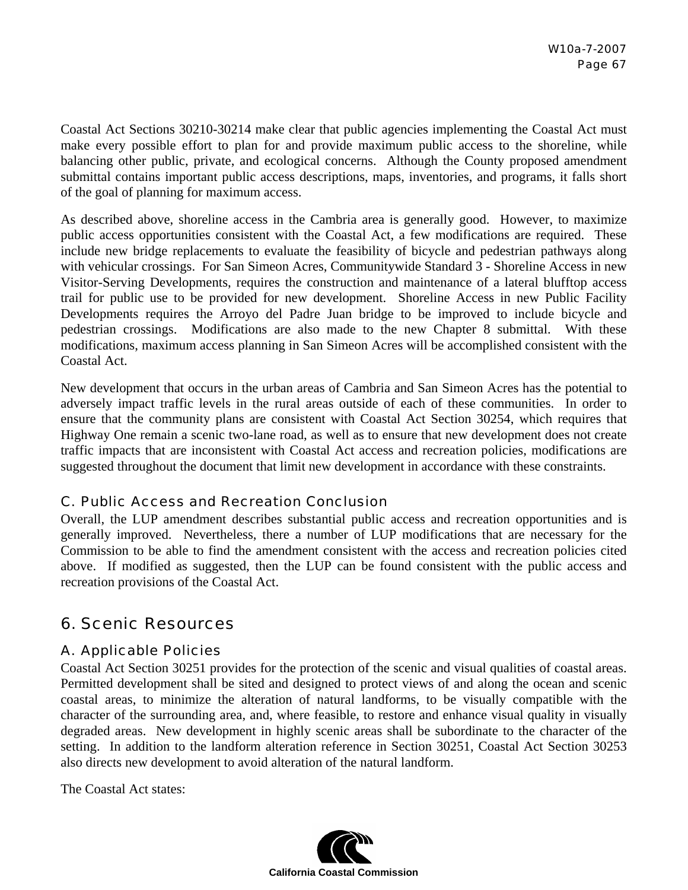Coastal Act Sections 30210-30214 make clear that public agencies implementing the Coastal Act must make every possible effort to plan for and provide maximum public access to the shoreline, while balancing other public, private, and ecological concerns. Although the County proposed amendment submittal contains important public access descriptions, maps, inventories, and programs, it falls short of the goal of planning for maximum access.

As described above, shoreline access in the Cambria area is generally good. However, to maximize public access opportunities consistent with the Coastal Act, a few modifications are required. These include new bridge replacements to evaluate the feasibility of bicycle and pedestrian pathways along with vehicular crossings. For San Simeon Acres, Communitywide Standard 3 - Shoreline Access in new Visitor-Serving Developments, requires the construction and maintenance of a lateral blufftop access trail for public use to be provided for new development. Shoreline Access in new Public Facility Developments requires the Arroyo del Padre Juan bridge to be improved to include bicycle and pedestrian crossings. Modifications are also made to the new Chapter 8 submittal. With these modifications, maximum access planning in San Simeon Acres will be accomplished consistent with the Coastal Act.

New development that occurs in the urban areas of Cambria and San Simeon Acres has the potential to adversely impact traffic levels in the rural areas outside of each of these communities. In order to ensure that the community plans are consistent with Coastal Act Section 30254, which requires that Highway One remain a scenic two-lane road, as well as to ensure that new development does not create traffic impacts that are inconsistent with Coastal Act access and recreation policies, modifications are suggested throughout the document that limit new development in accordance with these constraints.

## C. Public Access and Recreation Conclusion

Overall, the LUP amendment describes substantial public access and recreation opportunities and is generally improved. Nevertheless, there a number of LUP modifications that are necessary for the Commission to be able to find the amendment consistent with the access and recreation policies cited above. If modified as suggested, then the LUP can be found consistent with the public access and recreation provisions of the Coastal Act.

# 6. Scenic Resources

## A. Applicable Policies

Coastal Act Section 30251 provides for the protection of the scenic and visual qualities of coastal areas. Permitted development shall be sited and designed to protect views of and along the ocean and scenic coastal areas, to minimize the alteration of natural landforms, to be visually compatible with the character of the surrounding area, and, where feasible, to restore and enhance visual quality in visually degraded areas. New development in highly scenic areas shall be subordinate to the character of the setting. In addition to the landform alteration reference in Section 30251, Coastal Act Section 30253 also directs new development to avoid alteration of the natural landform.

The Coastal Act states:

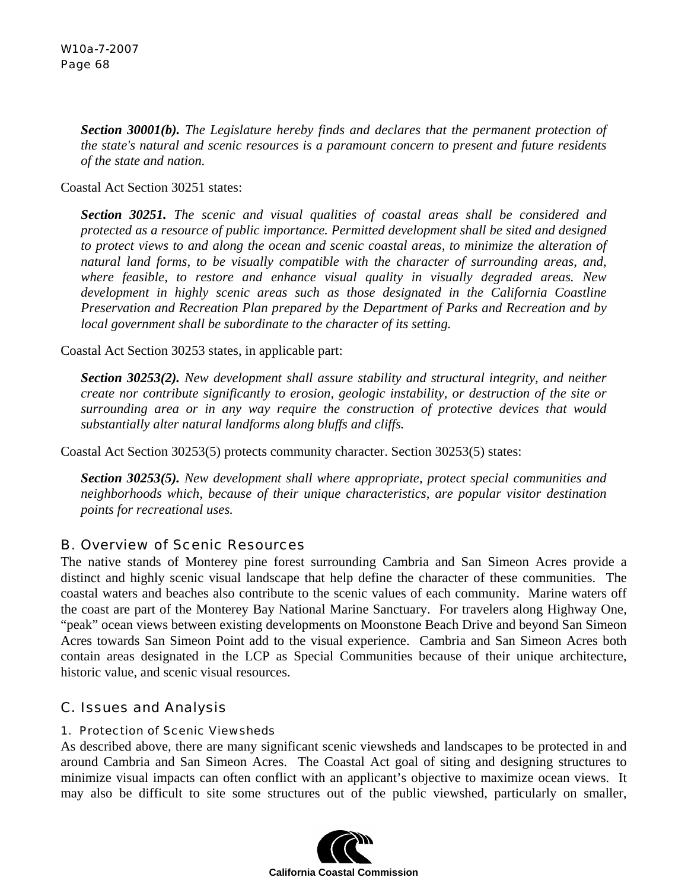*Section 30001(b). The Legislature hereby finds and declares that the permanent protection of the state's natural and scenic resources is a paramount concern to present and future residents of the state and nation.* 

Coastal Act Section 30251 states:

*Section 30251. The scenic and visual qualities of coastal areas shall be considered and protected as a resource of public importance. Permitted development shall be sited and designed to protect views to and along the ocean and scenic coastal areas, to minimize the alteration of natural land forms, to be visually compatible with the character of surrounding areas, and, where feasible, to restore and enhance visual quality in visually degraded areas. New development in highly scenic areas such as those designated in the California Coastline Preservation and Recreation Plan prepared by the Department of Parks and Recreation and by local government shall be subordinate to the character of its setting.* 

Coastal Act Section 30253 states, in applicable part:

*Section 30253(2). New development shall assure stability and structural integrity, and neither create nor contribute significantly to erosion, geologic instability, or destruction of the site or surrounding area or in any way require the construction of protective devices that would substantially alter natural landforms along bluffs and cliffs.* 

Coastal Act Section 30253(5) protects community character. Section 30253(5) states:

*Section 30253(5). New development shall where appropriate, protect special communities and neighborhoods which, because of their unique characteristics, are popular visitor destination points for recreational uses.* 

## B. Overview of Scenic Resources

The native stands of Monterey pine forest surrounding Cambria and San Simeon Acres provide a distinct and highly scenic visual landscape that help define the character of these communities. The coastal waters and beaches also contribute to the scenic values of each community. Marine waters off the coast are part of the Monterey Bay National Marine Sanctuary. For travelers along Highway One, "peak" ocean views between existing developments on Moonstone Beach Drive and beyond San Simeon Acres towards San Simeon Point add to the visual experience. Cambria and San Simeon Acres both contain areas designated in the LCP as Special Communities because of their unique architecture, historic value, and scenic visual resources.

## C. Issues and Analysis

#### 1. Protection of Scenic Viewsheds

As described above, there are many significant scenic viewsheds and landscapes to be protected in and around Cambria and San Simeon Acres. The Coastal Act goal of siting and designing structures to minimize visual impacts can often conflict with an applicant's objective to maximize ocean views. It may also be difficult to site some structures out of the public viewshed, particularly on smaller,

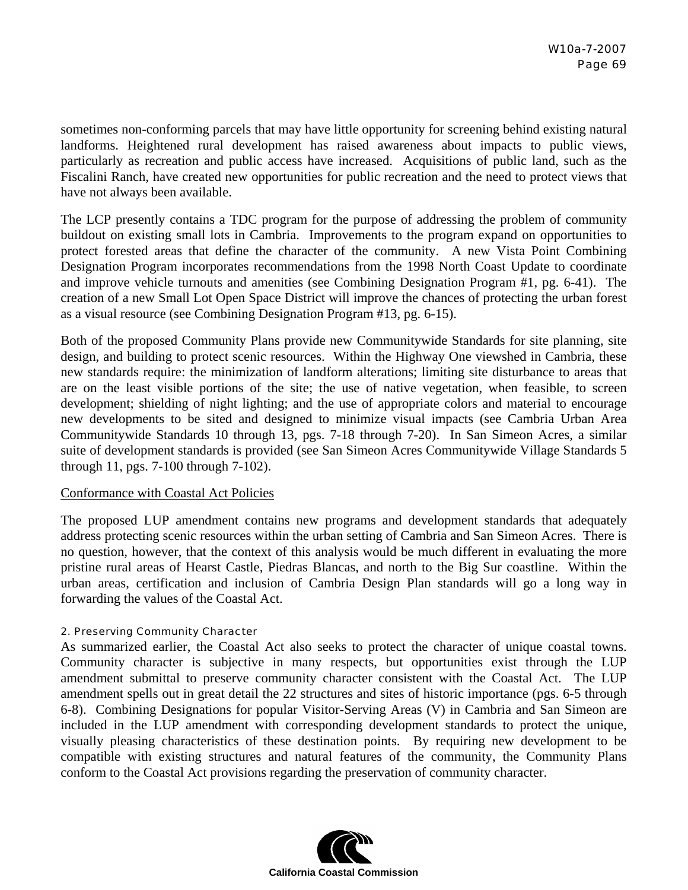sometimes non-conforming parcels that may have little opportunity for screening behind existing natural landforms. Heightened rural development has raised awareness about impacts to public views, particularly as recreation and public access have increased. Acquisitions of public land, such as the Fiscalini Ranch, have created new opportunities for public recreation and the need to protect views that have not always been available.

The LCP presently contains a TDC program for the purpose of addressing the problem of community buildout on existing small lots in Cambria. Improvements to the program expand on opportunities to protect forested areas that define the character of the community. A new Vista Point Combining Designation Program incorporates recommendations from the 1998 North Coast Update to coordinate and improve vehicle turnouts and amenities (see Combining Designation Program #1, pg. 6-41). The creation of a new Small Lot Open Space District will improve the chances of protecting the urban forest as a visual resource (see Combining Designation Program #13, pg. 6-15).

Both of the proposed Community Plans provide new Communitywide Standards for site planning, site design, and building to protect scenic resources. Within the Highway One viewshed in Cambria, these new standards require: the minimization of landform alterations; limiting site disturbance to areas that are on the least visible portions of the site; the use of native vegetation, when feasible, to screen development; shielding of night lighting; and the use of appropriate colors and material to encourage new developments to be sited and designed to minimize visual impacts (see Cambria Urban Area Communitywide Standards 10 through 13, pgs. 7-18 through 7-20). In San Simeon Acres, a similar suite of development standards is provided (see San Simeon Acres Communitywide Village Standards 5 through 11, pgs. 7-100 through 7-102).

#### Conformance with Coastal Act Policies

The proposed LUP amendment contains new programs and development standards that adequately address protecting scenic resources within the urban setting of Cambria and San Simeon Acres. There is no question, however, that the context of this analysis would be much different in evaluating the more pristine rural areas of Hearst Castle, Piedras Blancas, and north to the Big Sur coastline. Within the urban areas, certification and inclusion of Cambria Design Plan standards will go a long way in forwarding the values of the Coastal Act.

#### 2. Preserving Community Character

As summarized earlier, the Coastal Act also seeks to protect the character of unique coastal towns. Community character is subjective in many respects, but opportunities exist through the LUP amendment submittal to preserve community character consistent with the Coastal Act. The LUP amendment spells out in great detail the 22 structures and sites of historic importance (pgs. 6-5 through 6-8). Combining Designations for popular Visitor-Serving Areas (V) in Cambria and San Simeon are included in the LUP amendment with corresponding development standards to protect the unique, visually pleasing characteristics of these destination points. By requiring new development to be compatible with existing structures and natural features of the community, the Community Plans conform to the Coastal Act provisions regarding the preservation of community character.

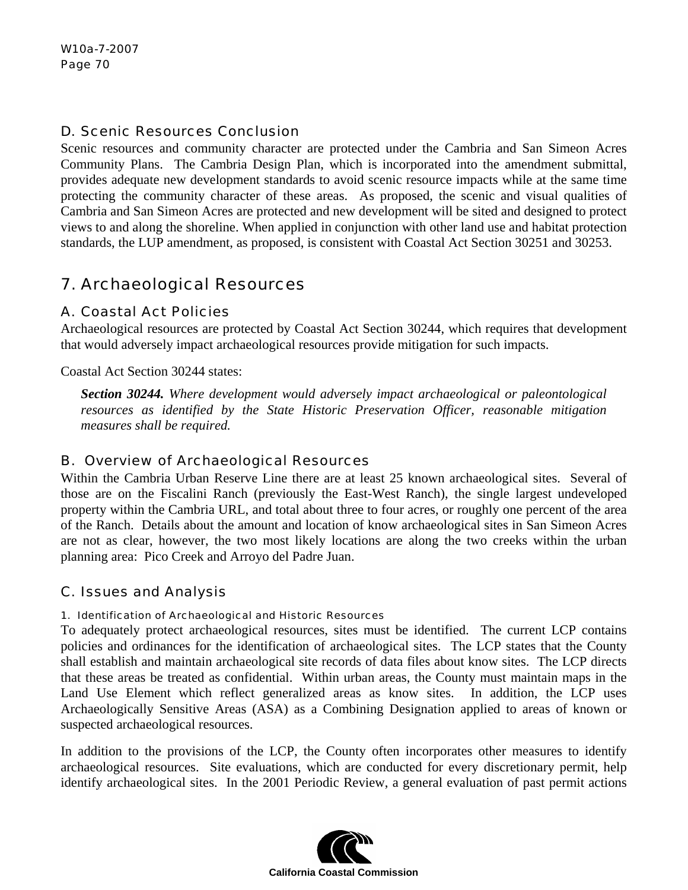## D. Scenic Resources Conclusion

Scenic resources and community character are protected under the Cambria and San Simeon Acres Community Plans. The Cambria Design Plan, which is incorporated into the amendment submittal, provides adequate new development standards to avoid scenic resource impacts while at the same time protecting the community character of these areas. As proposed, the scenic and visual qualities of Cambria and San Simeon Acres are protected and new development will be sited and designed to protect views to and along the shoreline. When applied in conjunction with other land use and habitat protection standards, the LUP amendment, as proposed, is consistent with Coastal Act Section 30251 and 30253.

# 7. Archaeological Resources

## A. Coastal Act Policies

Archaeological resources are protected by Coastal Act Section 30244, which requires that development that would adversely impact archaeological resources provide mitigation for such impacts.

Coastal Act Section 30244 states:

*Section 30244. Where development would adversely impact archaeological or paleontological resources as identified by the State Historic Preservation Officer, reasonable mitigation measures shall be required.* 

## B. Overview of Archaeological Resources

Within the Cambria Urban Reserve Line there are at least 25 known archaeological sites. Several of those are on the Fiscalini Ranch (previously the East-West Ranch), the single largest undeveloped property within the Cambria URL, and total about three to four acres, or roughly one percent of the area of the Ranch. Details about the amount and location of know archaeological sites in San Simeon Acres are not as clear, however, the two most likely locations are along the two creeks within the urban planning area: Pico Creek and Arroyo del Padre Juan.

## C. Issues and Analysis

#### 1. Identification of Archaeological and Historic Resources

To adequately protect archaeological resources, sites must be identified. The current LCP contains policies and ordinances for the identification of archaeological sites. The LCP states that the County shall establish and maintain archaeological site records of data files about know sites. The LCP directs that these areas be treated as confidential. Within urban areas, the County must maintain maps in the Land Use Element which reflect generalized areas as know sites. In addition, the LCP uses Archaeologically Sensitive Areas (ASA) as a Combining Designation applied to areas of known or suspected archaeological resources.

In addition to the provisions of the LCP, the County often incorporates other measures to identify archaeological resources. Site evaluations, which are conducted for every discretionary permit, help identify archaeological sites. In the 2001 Periodic Review, a general evaluation of past permit actions

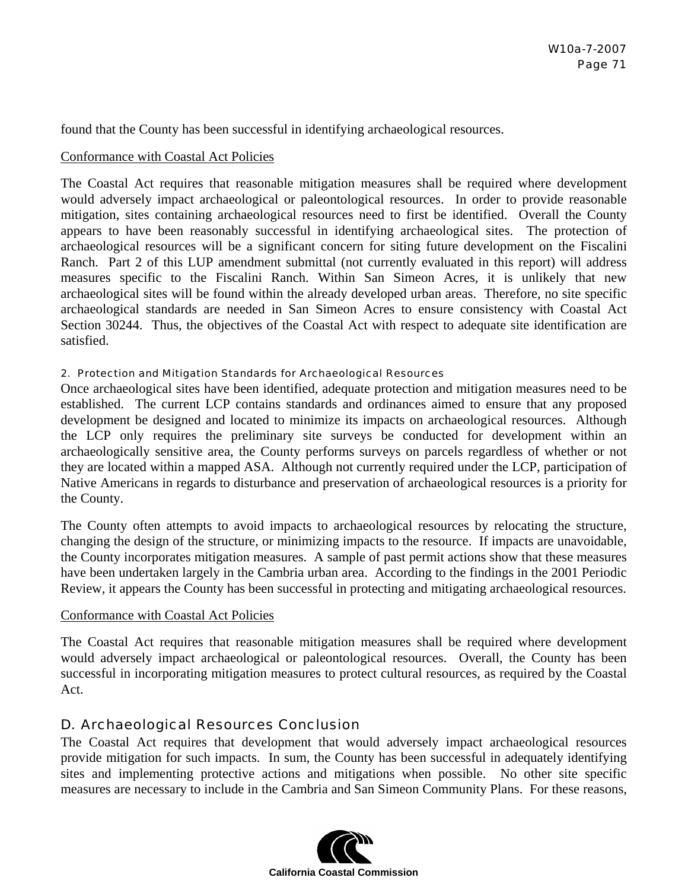found that the County has been successful in identifying archaeological resources.

#### Conformance with Coastal Act Policies

The Coastal Act requires that reasonable mitigation measures shall be required where development would adversely impact archaeological or paleontological resources. In order to provide reasonable mitigation, sites containing archaeological resources need to first be identified. Overall the County appears to have been reasonably successful in identifying archaeological sites. The protection of archaeological resources will be a significant concern for siting future development on the Fiscalini Ranch. Part 2 of this LUP amendment submittal (not currently evaluated in this report) will address measures specific to the Fiscalini Ranch. Within San Simeon Acres, it is unlikely that new archaeological sites will be found within the already developed urban areas. Therefore, no site specific archaeological standards are needed in San Simeon Acres to ensure consistency with Coastal Act Section 30244. Thus, the objectives of the Coastal Act with respect to adequate site identification are satisfied.

#### 2. Protection and Mitigation Standards for Archaeological Resources

Once archaeological sites have been identified, adequate protection and mitigation measures need to be established. The current LCP contains standards and ordinances aimed to ensure that any proposed development be designed and located to minimize its impacts on archaeological resources. Although the LCP only requires the preliminary site surveys be conducted for development within an archaeologically sensitive area, the County performs surveys on parcels regardless of whether or not they are located within a mapped ASA. Although not currently required under the LCP, participation of Native Americans in regards to disturbance and preservation of archaeological resources is a priority for the County.

The County often attempts to avoid impacts to archaeological resources by relocating the structure, changing the design of the structure, or minimizing impacts to the resource. If impacts are unavoidable, the County incorporates mitigation measures. A sample of past permit actions show that these measures have been undertaken largely in the Cambria urban area. According to the findings in the 2001 Periodic Review, it appears the County has been successful in protecting and mitigating archaeological resources.

#### Conformance with Coastal Act Policies

The Coastal Act requires that reasonable mitigation measures shall be required where development would adversely impact archaeological or paleontological resources. Overall, the County has been successful in incorporating mitigation measures to protect cultural resources, as required by the Coastal Act.

## D. Archaeological Resources Conclusion

The Coastal Act requires that development that would adversely impact archaeological resources provide mitigation for such impacts. In sum, the County has been successful in adequately identifying sites and implementing protective actions and mitigations when possible. No other site specific measures are necessary to include in the Cambria and San Simeon Community Plans. For these reasons,